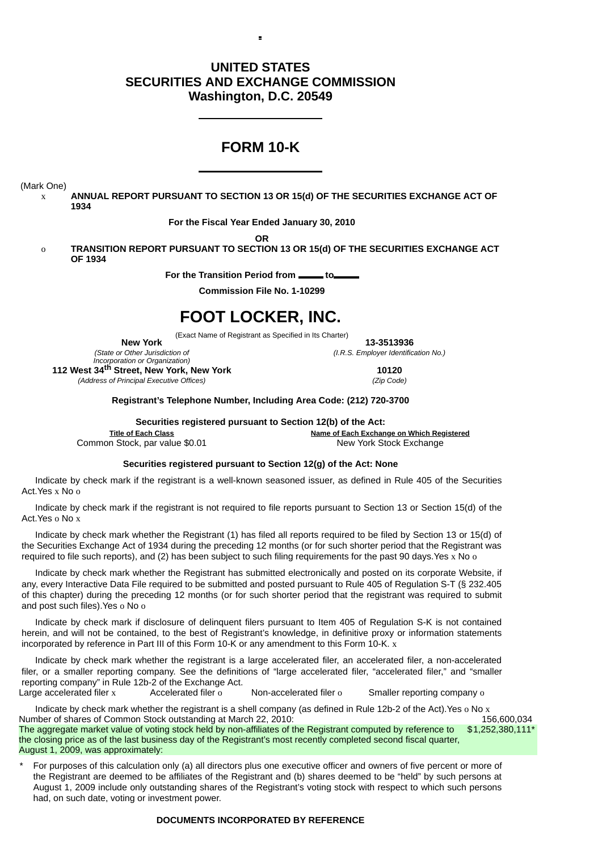# **UNITED STATES SECURITIES AND EXCHANGE COMMISSION Washington, D.C. 20549**

 $\blacksquare$ 

# **FORM 10-K**

(Mark One)

x **ANNUAL REPORT PURSUANT TO SECTION 13 OR 15(d) OF THE SECURITIES EXCHANGE ACT OF 1934**

**For the Fiscal Year Ended January 30, 2010**

**OR**

o **TRANSITION REPORT PURSUANT TO SECTION 13 OR 15(d) OF THE SECURITIES EXCHANGE ACT OF 1934**

**For the Transition Period from to**

**Commission File No. 1-10299**

# **FOOT LOCKER, INC.**

(Exact Name of Registrant as Specified in Its Charter) **New York 13-3513936**

*(I.R.S. Employer Identification No.)*

*(State or Other Jurisdiction of Incorporation or Organization)* **112 West 34 th Street, New York, New York 10120** *(Address of Principal Executive Offices) (Zip Code)*

**Registrant's Telephone Number, Including Area Code: (212) 720-3700**

**Securities registered pursuant to Section 12(b) of the Act:**

**Title of Each Class Name of Each Exchange on Which Registered** Common Stock, par value \$0.01 New York Stock Exchange

## **Securities registered pursuant to Section 12(g) of the Act: None**

Indicate by check mark if the registrant is a well-known seasoned issuer, as defined in Rule 405 of the Securities Act.Yes x No o

Indicate by check mark if the registrant is not required to file reports pursuant to Section 13 or Section 15(d) of the Act.Yes o No x

Indicate by check mark whether the Registrant (1) has filed all reports required to be filed by Section 13 or 15(d) of the Securities Exchange Act of 1934 during the preceding 12 months (or for such shorter period that the Registrant was required to file such reports), and (2) has been subject to such filing requirements for the past 90 days.Yes x No o

Indicate by check mark whether the Registrant has submitted electronically and posted on its corporate Website, if any, every Interactive Data File required to be submitted and posted pursuant to Rule 405 of Regulation S-T (§ 232.405 of this chapter) during the preceding 12 months (or for such shorter period that the registrant was required to submit and post such files).Yes o No o

Indicate by check mark if disclosure of delinquent filers pursuant to Item 405 of Regulation S-K is not contained herein, and will not be contained, to the best of Registrant's knowledge, in definitive proxy or information statements incorporated by reference in Part III of this Form 10-K or any amendment to this Form 10-K. x

Indicate by check mark whether the registrant is a large accelerated filer, an accelerated filer, a non-accelerated filer, or a smaller reporting company. See the definitions of "large accelerated filer, "accelerated filer," and "smaller reporting company" in Rule 12b-2 of the Exchange Act.

Large accelerated filer x accelerated filer o Non-accelerated filer o Smaller reporting company o

Indicate by check mark whether the registrant is a shell company (as defined in Rule 12b-2 of the Act).Yes o No x<br>156.600.034 156.600.034 Number of shares of Common Stock outstanding at March 22, 2010: The aggregate market value of voting stock held by non-affiliates of the Registrant computed by reference to the closing price as of the last business day of the Registrant's most recently completed second fiscal quarter, August 1, 2009, was approximately: \$1,252,380,111\*

For purposes of this calculation only (a) all directors plus one executive officer and owners of five percent or more of the Registrant are deemed to be affiliates of the Registrant and (b) shares deemed to be "held" by such persons at August 1, 2009 include only outstanding shares of the Registrant's voting stock with respect to which such persons had, on such date, voting or investment power.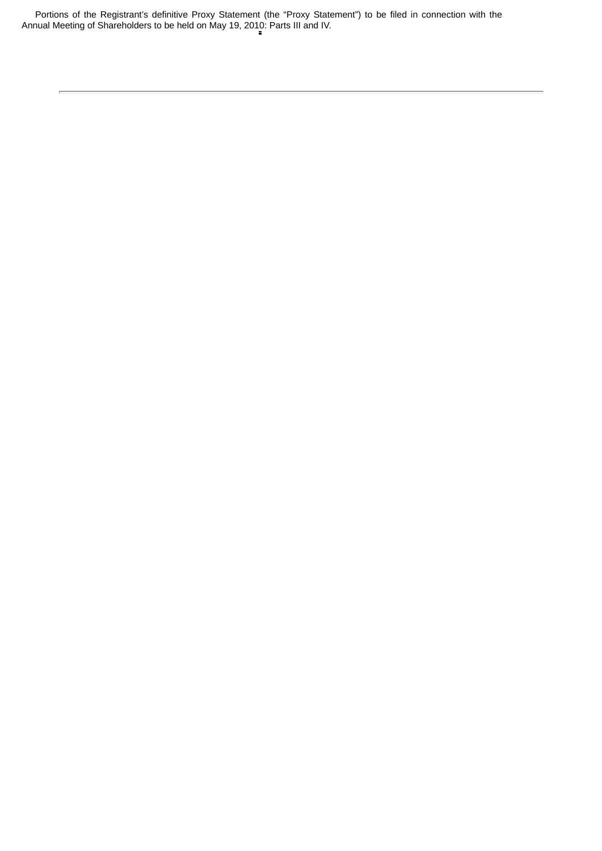Portions of the Registrant's definitive Proxy Statement (the "Proxy Statement") to be filed in connection with the Annual Meeting of Shareholders to be held on May 19, 2010: Parts III and IV.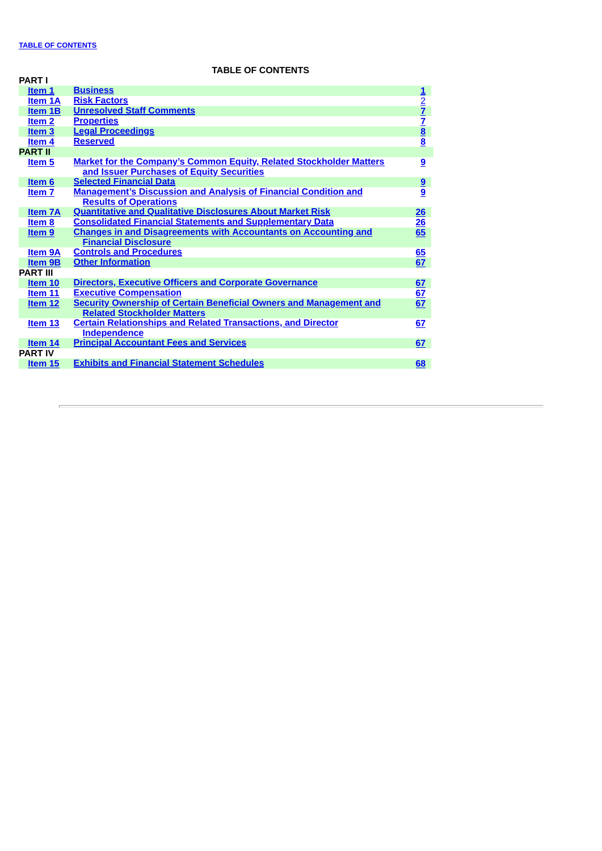$\overline{\mathbb{R}}$ 

# **TABLE OF CONTENTS**

| <b>PART I</b>     |                                                                            |                                           |
|-------------------|----------------------------------------------------------------------------|-------------------------------------------|
| Item 1            | <b>Business</b>                                                            |                                           |
| <b>Item 1A</b>    | <b>Risk Factors</b>                                                        |                                           |
| Item 1B           | <b>Unresolved Staff Comments</b>                                           |                                           |
| Item <sub>2</sub> | <b>Properties</b>                                                          | $\frac{1}{2}$ $\frac{7}{2}$ $\frac{7}{8}$ |
| Item <sub>3</sub> | <b>Legal Proceedings</b>                                                   |                                           |
| Item 4            | <b>Reserved</b>                                                            | 8                                         |
| <b>PART II</b>    |                                                                            |                                           |
| Item 5            | <b>Market for the Company's Common Equity, Related Stockholder Matters</b> | 9                                         |
|                   | and Issuer Purchases of Equity Securities                                  |                                           |
| Item 6            | <b>Selected Financial Data</b>                                             | $\frac{9}{9}$                             |
| Item <sub>7</sub> | <b>Management's Discussion and Analysis of Financial Condition and</b>     |                                           |
|                   | <b>Results of Operations</b>                                               |                                           |
| <b>Item 7A</b>    | <b>Quantitative and Qualitative Disclosures About Market Risk</b>          | 26                                        |
| Item 8            | <b>Consolidated Financial Statements and Supplementary Data</b>            | $\frac{26}{65}$                           |
| Item <sub>9</sub> | <b>Changes in and Disagreements with Accountants on Accounting and</b>     |                                           |
|                   | <b>Financial Disclosure</b>                                                |                                           |
| <b>Item 9A</b>    | <b>Controls and Procedures</b>                                             | 65                                        |
| Item 9B           | <b>Other Information</b>                                                   | 67                                        |
| <b>PART III</b>   |                                                                            |                                           |
| Item $10$         | <b>Directors, Executive Officers and Corporate Governance</b>              | 67                                        |
| Item 11           | <b>Executive Compensation</b>                                              | $\frac{67}{67}$                           |
| Item $12$         | <b>Security Ownership of Certain Beneficial Owners and Management and</b>  |                                           |
|                   | <b>Related Stockholder Matters</b>                                         |                                           |
| Item 13           | <b>Certain Relationships and Related Transactions, and Director</b>        | 67                                        |
|                   | <b>Independence</b>                                                        |                                           |
| Item 14           | <b>Principal Accountant Fees and Services</b>                              | 67                                        |
| <b>PART IV</b>    |                                                                            |                                           |
| Item $15$         | <b>Exhibits and Financial Statement Schedules</b>                          | 68                                        |
|                   |                                                                            |                                           |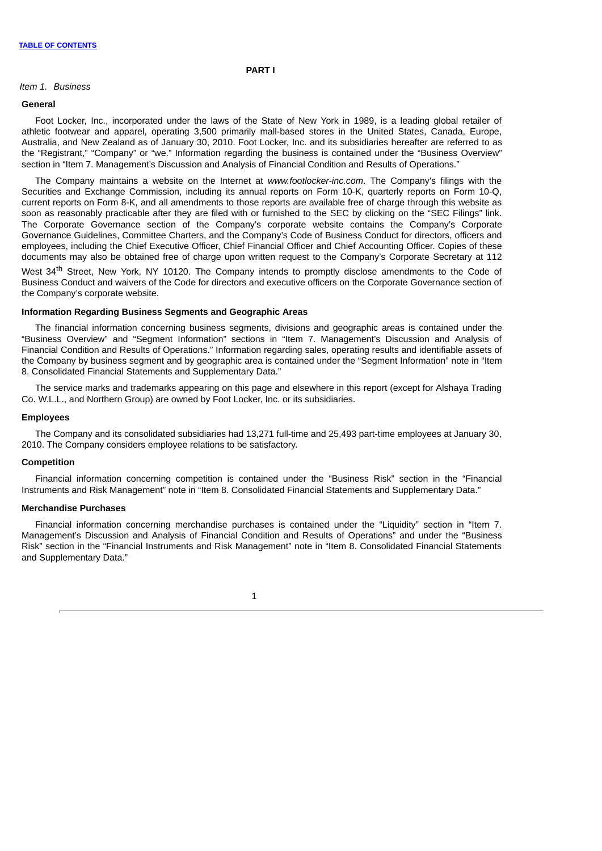#### **PART I**

## *Item 1. Business*

## **General**

Foot Locker, Inc., incorporated under the laws of the State of New York in 1989, is a leading global retailer of athletic footwear and apparel, operating 3,500 primarily mall-based stores in the United States, Canada, Europe, Australia, and New Zealand as of January 30, 2010. Foot Locker, Inc. and its subsidiaries hereafter are referred to as the "Registrant," "Company" or "we." Information regarding the business is contained under the "Business Overview" section in "Item 7. Management's Discussion and Analysis of Financial Condition and Results of Operations."

The Company maintains a website on the Internet at *www.footlocker-inc.com*. The Company's filings with the Securities and Exchange Commission, including its annual reports on Form 10-K, quarterly reports on Form 10-Q, current reports on Form 8-K, and all amendments to those reports are available free of charge through this website as soon as reasonably practicable after they are filed with or furnished to the SEC by clicking on the "SEC Filings" link. The Corporate Governance section of the Company's corporate website contains the Company's Corporate Governance Guidelines, Committee Charters, and the Company's Code of Business Conduct for directors, officers and employees, including the Chief Executive Officer, Chief Financial Officer and Chief Accounting Officer. Copies of these documents may also be obtained free of charge upon written request to the Company's Corporate Secretary at 112

West 34<sup>th</sup> Street, New York, NY 10120. The Company intends to promptly disclose amendments to the Code of Business Conduct and waivers of the Code for directors and executive officers on the Corporate Governance section of the Company's corporate website.

## **Information Regarding Business Segments and Geographic Areas**

The financial information concerning business segments, divisions and geographic areas is contained under the "Business Overview" and "Segment Information" sections in "Item 7. Management's Discussion and Analysis of Financial Condition and Results of Operations." Information regarding sales, operating results and identifiable assets of the Company by business segment and by geographic area is contained under the "Segment Information" note in "Item 8. Consolidated Financial Statements and Supplementary Data."

The service marks and trademarks appearing on this page and elsewhere in this report (except for Alshaya Trading Co. W.L.L., and Northern Group) are owned by Foot Locker, Inc. or its subsidiaries.

#### **Employees**

The Company and its consolidated subsidiaries had 13,271 full-time and 25,493 part-time employees at January 30, 2010. The Company considers employee relations to be satisfactory.

#### **Competition**

Financial information concerning competition is contained under the "Business Risk" section in the "Financial Instruments and Risk Management" note in "Item 8. Consolidated Financial Statements and Supplementary Data."

## **Merchandise Purchases**

Financial information concerning merchandise purchases is contained under the "Liquidity" section in "Item 7. Management's Discussion and Analysis of Financial Condition and Results of Operations" and under the "Business Risk" section in the "Financial Instruments and Risk Management" note in "Item 8. Consolidated Financial Statements and Supplementary Data."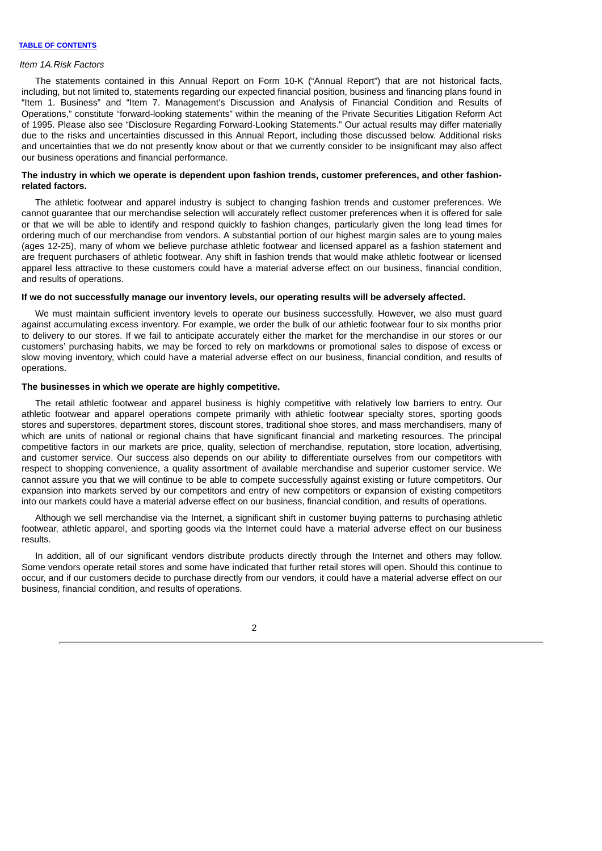#### *Item 1A.Risk Factors*

The statements contained in this Annual Report on Form 10-K ("Annual Report") that are not historical facts, including, but not limited to, statements regarding our expected financial position, business and financing plans found in "Item 1. Business" and "Item 7. Management's Discussion and Analysis of Financial Condition and Results of Operations," constitute "forward-looking statements" within the meaning of the Private Securities Litigation Reform Act of 1995. Please also see "Disclosure Regarding Forward-Looking Statements." Our actual results may differ materially due to the risks and uncertainties discussed in this Annual Report, including those discussed below. Additional risks and uncertainties that we do not presently know about or that we currently consider to be insignificant may also affect our business operations and financial performance.

## **The industry in which we operate is dependent upon fashion trends, customer preferences, and other fashionrelated factors.**

The athletic footwear and apparel industry is subject to changing fashion trends and customer preferences. We cannot guarantee that our merchandise selection will accurately reflect customer preferences when it is offered for sale or that we will be able to identify and respond quickly to fashion changes, particularly given the long lead times for ordering much of our merchandise from vendors. A substantial portion of our highest margin sales are to young males (ages 12-25), many of whom we believe purchase athletic footwear and licensed apparel as a fashion statement and are frequent purchasers of athletic footwear. Any shift in fashion trends that would make athletic footwear or licensed apparel less attractive to these customers could have a material adverse effect on our business, financial condition, and results of operations.

#### **If we do not successfully manage our inventory levels, our operating results will be adversely affected.**

We must maintain sufficient inventory levels to operate our business successfully. However, we also must guard against accumulating excess inventory. For example, we order the bulk of our athletic footwear four to six months prior to delivery to our stores. If we fail to anticipate accurately either the market for the merchandise in our stores or our customers' purchasing habits, we may be forced to rely on markdowns or promotional sales to dispose of excess or slow moving inventory, which could have a material adverse effect on our business, financial condition, and results of operations.

## **The businesses in which we operate are highly competitive.**

The retail athletic footwear and apparel business is highly competitive with relatively low barriers to entry. Our athletic footwear and apparel operations compete primarily with athletic footwear specialty stores, sporting goods stores and superstores, department stores, discount stores, traditional shoe stores, and mass merchandisers, many of which are units of national or regional chains that have significant financial and marketing resources. The principal competitive factors in our markets are price, quality, selection of merchandise, reputation, store location, advertising, and customer service. Our success also depends on our ability to differentiate ourselves from our competitors with respect to shopping convenience, a quality assortment of available merchandise and superior customer service. We cannot assure you that we will continue to be able to compete successfully against existing or future competitors. Our expansion into markets served by our competitors and entry of new competitors or expansion of existing competitors into our markets could have a material adverse effect on our business, financial condition, and results of operations.

Although we sell merchandise via the Internet, a significant shift in customer buying patterns to purchasing athletic footwear, athletic apparel, and sporting goods via the Internet could have a material adverse effect on our business results.

In addition, all of our significant vendors distribute products directly through the Internet and others may follow. Some vendors operate retail stores and some have indicated that further retail stores will open. Should this continue to occur, and if our customers decide to purchase directly from our vendors, it could have a material adverse effect on our business, financial condition, and results of operations.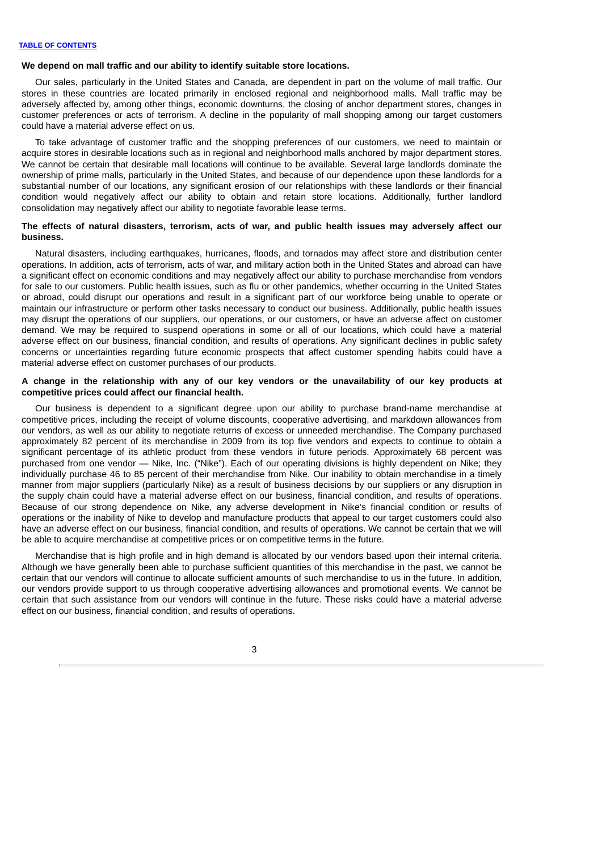#### **We depend on mall traffic and our ability to identify suitable store locations.**

Our sales, particularly in the United States and Canada, are dependent in part on the volume of mall traffic. Our stores in these countries are located primarily in enclosed regional and neighborhood malls. Mall traffic may be adversely affected by, among other things, economic downturns, the closing of anchor department stores, changes in customer preferences or acts of terrorism. A decline in the popularity of mall shopping among our target customers could have a material adverse effect on us.

To take advantage of customer traffic and the shopping preferences of our customers, we need to maintain or acquire stores in desirable locations such as in regional and neighborhood malls anchored by major department stores. We cannot be certain that desirable mall locations will continue to be available. Several large landlords dominate the ownership of prime malls, particularly in the United States, and because of our dependence upon these landlords for a substantial number of our locations, any significant erosion of our relationships with these landlords or their financial condition would negatively affect our ability to obtain and retain store locations. Additionally, further landlord consolidation may negatively affect our ability to negotiate favorable lease terms.

#### The effects of natural disasters, terrorism, acts of war, and public health issues may adversely affect our **business.**

Natural disasters, including earthquakes, hurricanes, floods, and tornados may affect store and distribution center operations. In addition, acts of terrorism, acts of war, and military action both in the United States and abroad can have a significant effect on economic conditions and may negatively affect our ability to purchase merchandise from vendors for sale to our customers. Public health issues, such as flu or other pandemics, whether occurring in the United States or abroad, could disrupt our operations and result in a significant part of our workforce being unable to operate or maintain our infrastructure or perform other tasks necessary to conduct our business. Additionally, public health issues may disrupt the operations of our suppliers, our operations, or our customers, or have an adverse affect on customer demand. We may be required to suspend operations in some or all of our locations, which could have a material adverse effect on our business, financial condition, and results of operations. Any significant declines in public safety concerns or uncertainties regarding future economic prospects that affect customer spending habits could have a material adverse effect on customer purchases of our products.

## A change in the relationship with any of our key vendors or the unavailability of our key products at **competitive prices could affect our financial health.**

Our business is dependent to a significant degree upon our ability to purchase brand-name merchandise at competitive prices, including the receipt of volume discounts, cooperative advertising, and markdown allowances from our vendors, as well as our ability to negotiate returns of excess or unneeded merchandise. The Company purchased approximately 82 percent of its merchandise in 2009 from its top five vendors and expects to continue to obtain a significant percentage of its athletic product from these vendors in future periods. Approximately 68 percent was purchased from one vendor — Nike, Inc. ("Nike"). Each of our operating divisions is highly dependent on Nike; they individually purchase 46 to 85 percent of their merchandise from Nike. Our inability to obtain merchandise in a timely manner from major suppliers (particularly Nike) as a result of business decisions by our suppliers or any disruption in the supply chain could have a material adverse effect on our business, financial condition, and results of operations. Because of our strong dependence on Nike, any adverse development in Nike's financial condition or results of operations or the inability of Nike to develop and manufacture products that appeal to our target customers could also have an adverse effect on our business, financial condition, and results of operations. We cannot be certain that we will be able to acquire merchandise at competitive prices or on competitive terms in the future.

Merchandise that is high profile and in high demand is allocated by our vendors based upon their internal criteria. Although we have generally been able to purchase sufficient quantities of this merchandise in the past, we cannot be certain that our vendors will continue to allocate sufficient amounts of such merchandise to us in the future. In addition, our vendors provide support to us through cooperative advertising allowances and promotional events. We cannot be certain that such assistance from our vendors will continue in the future. These risks could have a material adverse effect on our business, financial condition, and results of operations.

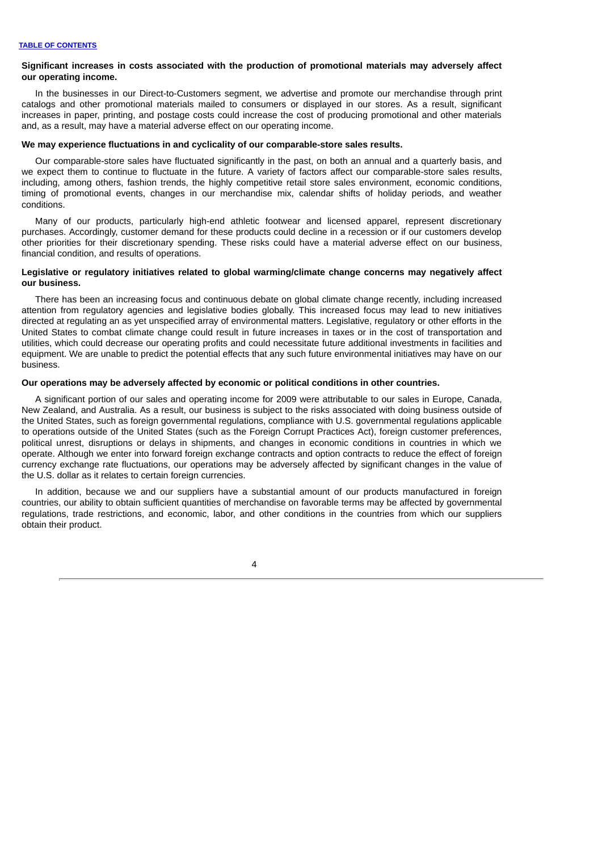## **Significant increases in costs associated with the production of promotional materials may adversely affect our operating income.**

In the businesses in our Direct-to-Customers segment, we advertise and promote our merchandise through print catalogs and other promotional materials mailed to consumers or displayed in our stores. As a result, significant increases in paper, printing, and postage costs could increase the cost of producing promotional and other materials and, as a result, may have a material adverse effect on our operating income.

#### **We may experience fluctuations in and cyclicality of our comparable-store sales results.**

Our comparable-store sales have fluctuated significantly in the past, on both an annual and a quarterly basis, and we expect them to continue to fluctuate in the future. A variety of factors affect our comparable-store sales results, including, among others, fashion trends, the highly competitive retail store sales environment, economic conditions, timing of promotional events, changes in our merchandise mix, calendar shifts of holiday periods, and weather conditions.

Many of our products, particularly high-end athletic footwear and licensed apparel, represent discretionary purchases. Accordingly, customer demand for these products could decline in a recession or if our customers develop other priorities for their discretionary spending. These risks could have a material adverse effect on our business, financial condition, and results of operations.

## **Legislative or regulatory initiatives related to global warming/climate change concerns may negatively affect our business.**

There has been an increasing focus and continuous debate on global climate change recently, including increased attention from regulatory agencies and legislative bodies globally. This increased focus may lead to new initiatives directed at regulating an as yet unspecified array of environmental matters. Legislative, regulatory or other efforts in the United States to combat climate change could result in future increases in taxes or in the cost of transportation and utilities, which could decrease our operating profits and could necessitate future additional investments in facilities and equipment. We are unable to predict the potential effects that any such future environmental initiatives may have on our business.

#### **Our operations may be adversely affected by economic or political conditions in other countries.**

A significant portion of our sales and operating income for 2009 were attributable to our sales in Europe, Canada, New Zealand, and Australia. As a result, our business is subject to the risks associated with doing business outside of the United States, such as foreign governmental regulations, compliance with U.S. governmental regulations applicable to operations outside of the United States (such as the Foreign Corrupt Practices Act), foreign customer preferences, political unrest, disruptions or delays in shipments, and changes in economic conditions in countries in which we operate. Although we enter into forward foreign exchange contracts and option contracts to reduce the effect of foreign currency exchange rate fluctuations, our operations may be adversely affected by significant changes in the value of the U.S. dollar as it relates to certain foreign currencies.

In addition, because we and our suppliers have a substantial amount of our products manufactured in foreign countries, our ability to obtain sufficient quantities of merchandise on favorable terms may be affected by governmental regulations, trade restrictions, and economic, labor, and other conditions in the countries from which our suppliers obtain their product.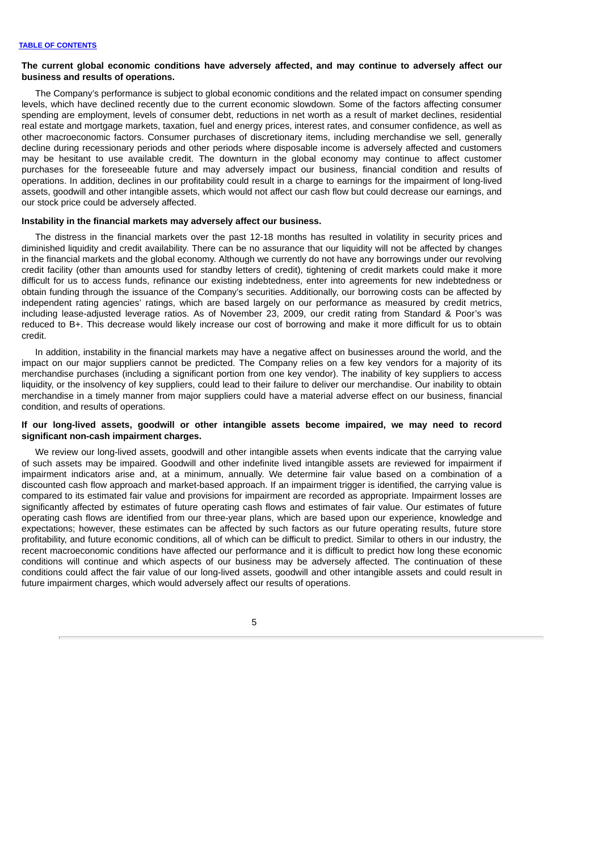## **The current global economic conditions have adversely affected, and may continue to adversely affect our business and results of operations.**

The Company's performance is subject to global economic conditions and the related impact on consumer spending levels, which have declined recently due to the current economic slowdown. Some of the factors affecting consumer spending are employment, levels of consumer debt, reductions in net worth as a result of market declines, residential real estate and mortgage markets, taxation, fuel and energy prices, interest rates, and consumer confidence, as well as other macroeconomic factors. Consumer purchases of discretionary items, including merchandise we sell, generally decline during recessionary periods and other periods where disposable income is adversely affected and customers may be hesitant to use available credit. The downturn in the global economy may continue to affect customer purchases for the foreseeable future and may adversely impact our business, financial condition and results of operations. In addition, declines in our profitability could result in a charge to earnings for the impairment of long-lived assets, goodwill and other intangible assets, which would not affect our cash flow but could decrease our earnings, and our stock price could be adversely affected.

### **Instability in the financial markets may adversely affect our business.**

The distress in the financial markets over the past 12-18 months has resulted in volatility in security prices and diminished liquidity and credit availability. There can be no assurance that our liquidity will not be affected by changes in the financial markets and the global economy. Although we currently do not have any borrowings under our revolving credit facility (other than amounts used for standby letters of credit), tightening of credit markets could make it more difficult for us to access funds, refinance our existing indebtedness, enter into agreements for new indebtedness or obtain funding through the issuance of the Company's securities. Additionally, our borrowing costs can be affected by independent rating agencies' ratings, which are based largely on our performance as measured by credit metrics, including lease-adjusted leverage ratios. As of November 23, 2009, our credit rating from Standard & Poor's was reduced to B+. This decrease would likely increase our cost of borrowing and make it more difficult for us to obtain credit.

In addition, instability in the financial markets may have a negative affect on businesses around the world, and the impact on our major suppliers cannot be predicted. The Company relies on a few key vendors for a majority of its merchandise purchases (including a significant portion from one key vendor). The inability of key suppliers to access liquidity, or the insolvency of key suppliers, could lead to their failure to deliver our merchandise. Our inability to obtain merchandise in a timely manner from major suppliers could have a material adverse effect on our business, financial condition, and results of operations.

## **If our long-lived assets, goodwill or other intangible assets become impaired, we may need to record significant non-cash impairment charges.**

We review our long-lived assets, goodwill and other intangible assets when events indicate that the carrying value of such assets may be impaired. Goodwill and other indefinite lived intangible assets are reviewed for impairment if impairment indicators arise and, at a minimum, annually. We determine fair value based on a combination of a discounted cash flow approach and market-based approach. If an impairment trigger is identified, the carrying value is compared to its estimated fair value and provisions for impairment are recorded as appropriate. Impairment losses are significantly affected by estimates of future operating cash flows and estimates of fair value. Our estimates of future operating cash flows are identified from our three-year plans, which are based upon our experience, knowledge and expectations; however, these estimates can be affected by such factors as our future operating results, future store profitability, and future economic conditions, all of which can be difficult to predict. Similar to others in our industry, the recent macroeconomic conditions have affected our performance and it is difficult to predict how long these economic conditions will continue and which aspects of our business may be adversely affected. The continuation of these conditions could affect the fair value of our long-lived assets, goodwill and other intangible assets and could result in future impairment charges, which would adversely affect our results of operations.

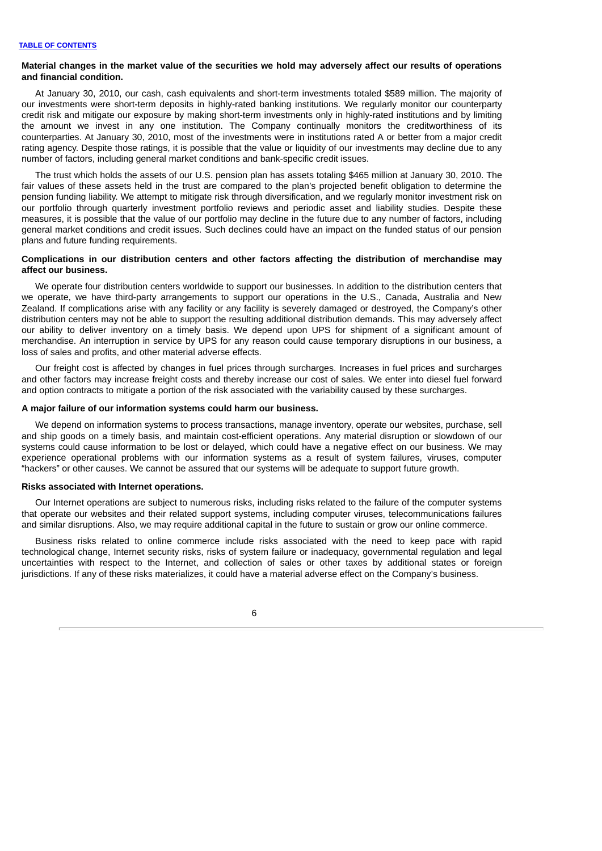## Material changes in the market value of the securities we hold may adversely affect our results of operations **and financial condition.**

At January 30, 2010, our cash, cash equivalents and short-term investments totaled \$589 million. The majority of our investments were short-term deposits in highly-rated banking institutions. We regularly monitor our counterparty credit risk and mitigate our exposure by making short-term investments only in highly-rated institutions and by limiting the amount we invest in any one institution. The Company continually monitors the creditworthiness of its counterparties. At January 30, 2010, most of the investments were in institutions rated A or better from a major credit rating agency. Despite those ratings, it is possible that the value or liquidity of our investments may decline due to any number of factors, including general market conditions and bank-specific credit issues.

The trust which holds the assets of our U.S. pension plan has assets totaling \$465 million at January 30, 2010. The fair values of these assets held in the trust are compared to the plan's projected benefit obligation to determine the pension funding liability. We attempt to mitigate risk through diversification, and we regularly monitor investment risk on our portfolio through quarterly investment portfolio reviews and periodic asset and liability studies. Despite these measures, it is possible that the value of our portfolio may decline in the future due to any number of factors, including general market conditions and credit issues. Such declines could have an impact on the funded status of our pension plans and future funding requirements.

## **Complications in our distribution centers and other factors affecting the distribution of merchandise may affect our business.**

We operate four distribution centers worldwide to support our businesses. In addition to the distribution centers that we operate, we have third-party arrangements to support our operations in the U.S., Canada, Australia and New Zealand. If complications arise with any facility or any facility is severely damaged or destroyed, the Company's other distribution centers may not be able to support the resulting additional distribution demands. This may adversely affect our ability to deliver inventory on a timely basis. We depend upon UPS for shipment of a significant amount of merchandise. An interruption in service by UPS for any reason could cause temporary disruptions in our business, a loss of sales and profits, and other material adverse effects.

Our freight cost is affected by changes in fuel prices through surcharges. Increases in fuel prices and surcharges and other factors may increase freight costs and thereby increase our cost of sales. We enter into diesel fuel forward and option contracts to mitigate a portion of the risk associated with the variability caused by these surcharges.

#### **A major failure of our information systems could harm our business.**

We depend on information systems to process transactions, manage inventory, operate our websites, purchase, sell and ship goods on a timely basis, and maintain cost-efficient operations. Any material disruption or slowdown of our systems could cause information to be lost or delayed, which could have a negative effect on our business. We may experience operational problems with our information systems as a result of system failures, viruses, computer "hackers" or other causes. We cannot be assured that our systems will be adequate to support future growth.

#### **Risks associated with Internet operations.**

Our Internet operations are subject to numerous risks, including risks related to the failure of the computer systems that operate our websites and their related support systems, including computer viruses, telecommunications failures and similar disruptions. Also, we may require additional capital in the future to sustain or grow our online commerce.

Business risks related to online commerce include risks associated with the need to keep pace with rapid technological change, Internet security risks, risks of system failure or inadequacy, governmental regulation and legal uncertainties with respect to the Internet, and collection of sales or other taxes by additional states or foreign jurisdictions. If any of these risks materializes, it could have a material adverse effect on the Company's business.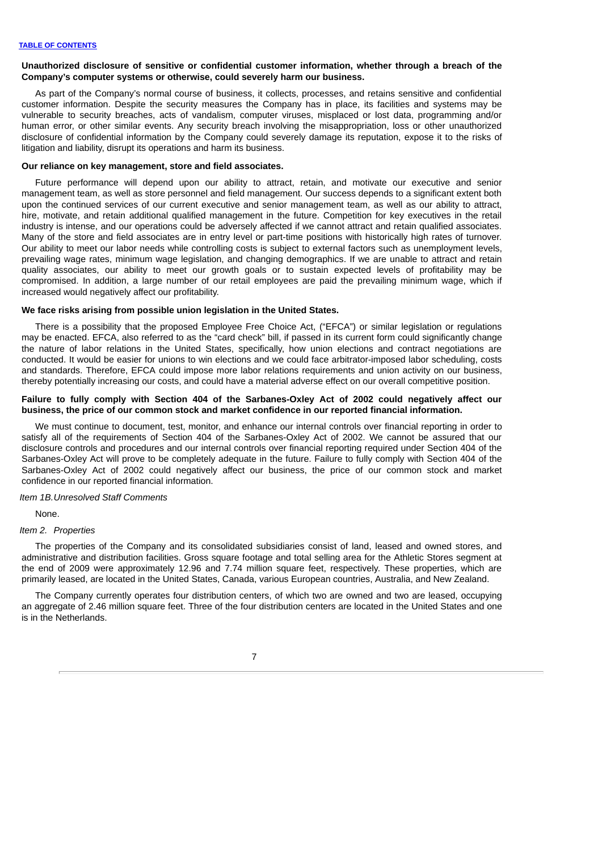## **Unauthorized disclosure of sensitive or confidential customer information, whether through a breach of the Company's computer systems or otherwise, could severely harm our business.**

As part of the Company's normal course of business, it collects, processes, and retains sensitive and confidential customer information. Despite the security measures the Company has in place, its facilities and systems may be vulnerable to security breaches, acts of vandalism, computer viruses, misplaced or lost data, programming and/or human error, or other similar events. Any security breach involving the misappropriation, loss or other unauthorized disclosure of confidential information by the Company could severely damage its reputation, expose it to the risks of litigation and liability, disrupt its operations and harm its business.

#### **Our reliance on key management, store and field associates.**

Future performance will depend upon our ability to attract, retain, and motivate our executive and senior management team, as well as store personnel and field management. Our success depends to a significant extent both upon the continued services of our current executive and senior management team, as well as our ability to attract, hire, motivate, and retain additional qualified management in the future. Competition for key executives in the retail industry is intense, and our operations could be adversely affected if we cannot attract and retain qualified associates. Many of the store and field associates are in entry level or part-time positions with historically high rates of turnover. Our ability to meet our labor needs while controlling costs is subject to external factors such as unemployment levels, prevailing wage rates, minimum wage legislation, and changing demographics. If we are unable to attract and retain quality associates, our ability to meet our growth goals or to sustain expected levels of profitability may be compromised. In addition, a large number of our retail employees are paid the prevailing minimum wage, which if increased would negatively affect our profitability.

#### **We face risks arising from possible union legislation in the United States.**

There is a possibility that the proposed Employee Free Choice Act, ("EFCA") or similar legislation or regulations may be enacted. EFCA, also referred to as the "card check" bill, if passed in its current form could significantly change the nature of labor relations in the United States, specifically, how union elections and contract negotiations are conducted. It would be easier for unions to win elections and we could face arbitrator-imposed labor scheduling, costs and standards. Therefore, EFCA could impose more labor relations requirements and union activity on our business, thereby potentially increasing our costs, and could have a material adverse effect on our overall competitive position.

#### **Failure to fully comply with Section 404 of the Sarbanes-Oxley Act of 2002 could negatively affect our business, the price of our common stock and market confidence in our reported financial information.**

We must continue to document, test, monitor, and enhance our internal controls over financial reporting in order to satisfy all of the requirements of Section 404 of the Sarbanes-Oxley Act of 2002. We cannot be assured that our disclosure controls and procedures and our internal controls over financial reporting required under Section 404 of the Sarbanes-Oxley Act will prove to be completely adequate in the future. Failure to fully comply with Section 404 of the Sarbanes-Oxley Act of 2002 could negatively affect our business, the price of our common stock and market confidence in our reported financial information.

#### *Item 1B.Unresolved Staff Comments*

None.

#### *Item 2. Properties*

The properties of the Company and its consolidated subsidiaries consist of land, leased and owned stores, and administrative and distribution facilities. Gross square footage and total selling area for the Athletic Stores segment at the end of 2009 were approximately 12.96 and 7.74 million square feet, respectively. These properties, which are primarily leased, are located in the United States, Canada, various European countries, Australia, and New Zealand.

The Company currently operates four distribution centers, of which two are owned and two are leased, occupying an aggregate of 2.46 million square feet. Three of the four distribution centers are located in the United States and one is in the Netherlands.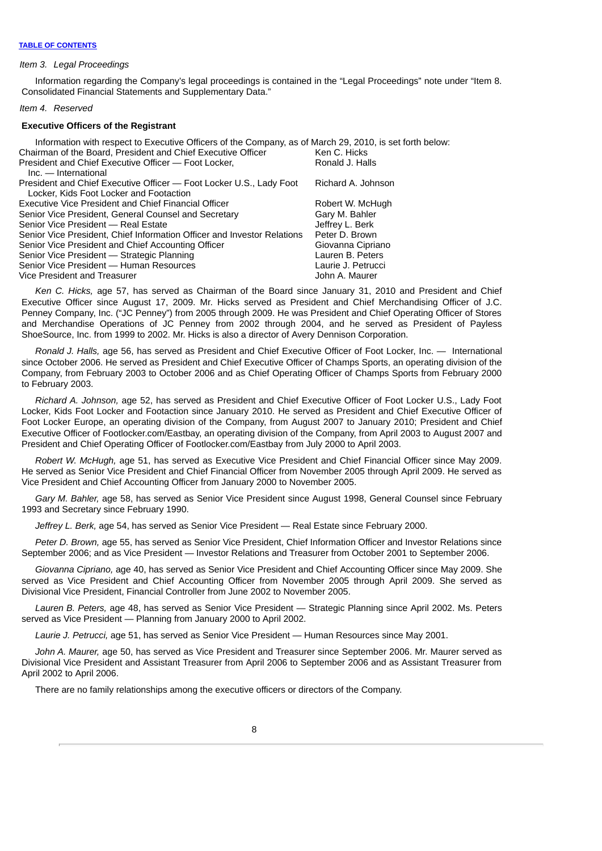#### *Item 3. Legal Proceedings*

Information regarding the Company's legal proceedings is contained in the "Legal Proceedings" note under "Item 8. Consolidated Financial Statements and Supplementary Data."

#### *Item 4. Reserved*

#### **Executive Officers of the Registrant**

| Information with respect to Executive Officers of the Company, as of March 29, 2010, is set forth below: |                    |
|----------------------------------------------------------------------------------------------------------|--------------------|
| Chairman of the Board, President and Chief Executive Officer                                             | Ken C. Hicks       |
| President and Chief Executive Officer — Foot Locker,                                                     | Ronald J. Halls    |
| Inc. — International                                                                                     |                    |
| President and Chief Executive Officer - Foot Locker U.S., Lady Foot                                      | Richard A. Johnson |
| Locker, Kids Foot Locker and Footaction                                                                  |                    |
| Executive Vice President and Chief Financial Officer                                                     | Robert W. McHugh   |
| Senior Vice President, General Counsel and Secretary                                                     | Gary M. Bahler     |
| Senior Vice President - Real Estate                                                                      | Jeffrey L. Berk    |
| Senior Vice President, Chief Information Officer and Investor Relations                                  | Peter D. Brown     |
| Senior Vice President and Chief Accounting Officer                                                       | Giovanna Cipriano  |
| Senior Vice President — Strategic Planning                                                               | Lauren B. Peters   |
| Senior Vice President - Human Resources                                                                  | Laurie J. Petrucci |
| Vice President and Treasurer                                                                             | John A. Maurer     |

*Ken C. Hicks,* age 57, has served as Chairman of the Board since January 31, 2010 and President and Chief Executive Officer since August 17, 2009. Mr. Hicks served as President and Chief Merchandising Officer of J.C. Penney Company, Inc. ("JC Penney") from 2005 through 2009. He was President and Chief Operating Officer of Stores and Merchandise Operations of JC Penney from 2002 through 2004, and he served as President of Payless ShoeSource, Inc. from 1999 to 2002. Mr. Hicks is also a director of Avery Dennison Corporation.

*Ronald J. Halls,* age 56, has served as President and Chief Executive Officer of Foot Locker, Inc. — International since October 2006. He served as President and Chief Executive Officer of Champs Sports, an operating division of the Company, from February 2003 to October 2006 and as Chief Operating Officer of Champs Sports from February 2000 to February 2003.

*Richard A. Johnson,* age 52, has served as President and Chief Executive Officer of Foot Locker U.S., Lady Foot Locker, Kids Foot Locker and Footaction since January 2010. He served as President and Chief Executive Officer of Foot Locker Europe, an operating division of the Company, from August 2007 to January 2010; President and Chief Executive Officer of Footlocker.com/Eastbay, an operating division of the Company, from April 2003 to August 2007 and President and Chief Operating Officer of Footlocker.com/Eastbay from July 2000 to April 2003.

*Robert W. McHugh,* age 51, has served as Executive Vice President and Chief Financial Officer since May 2009. He served as Senior Vice President and Chief Financial Officer from November 2005 through April 2009. He served as Vice President and Chief Accounting Officer from January 2000 to November 2005.

*Gary M. Bahler,* age 58, has served as Senior Vice President since August 1998, General Counsel since February 1993 and Secretary since February 1990.

*Jeffrey L. Berk,* age 54, has served as Senior Vice President — Real Estate since February 2000.

*Peter D. Brown,* age 55, has served as Senior Vice President, Chief Information Officer and Investor Relations since September 2006; and as Vice President — Investor Relations and Treasurer from October 2001 to September 2006.

*Giovanna Cipriano,* age 40, has served as Senior Vice President and Chief Accounting Officer since May 2009. She served as Vice President and Chief Accounting Officer from November 2005 through April 2009. She served as Divisional Vice President, Financial Controller from June 2002 to November 2005.

*Lauren B. Peters,* age 48, has served as Senior Vice President — Strategic Planning since April 2002. Ms. Peters served as Vice President — Planning from January 2000 to April 2002.

*Laurie J. Petrucci,* age 51, has served as Senior Vice President — Human Resources since May 2001.

*John A. Maurer,* age 50, has served as Vice President and Treasurer since September 2006. Mr. Maurer served as Divisional Vice President and Assistant Treasurer from April 2006 to September 2006 and as Assistant Treasurer from April 2002 to April 2006.

There are no family relationships among the executive officers or directors of the Company.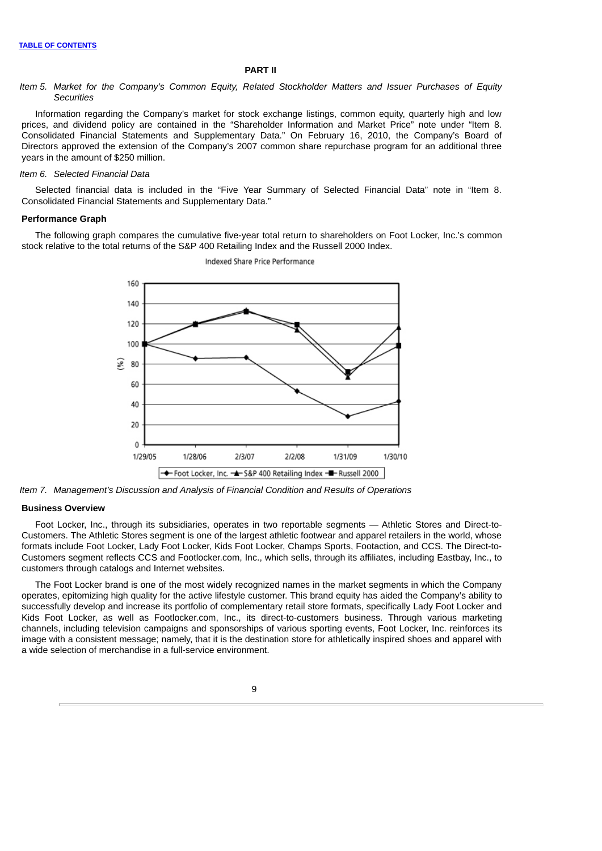#### **PART II**

*Item 5. Market for the Company's Common Equity, Related Stockholder Matters and Issuer Purchases of Equity Securities*

Information regarding the Company's market for stock exchange listings, common equity, quarterly high and low prices, and dividend policy are contained in the "Shareholder Information and Market Price" note under "Item 8. Consolidated Financial Statements and Supplementary Data." On February 16, 2010, the Company's Board of Directors approved the extension of the Company's 2007 common share repurchase program for an additional three years in the amount of \$250 million.

#### *Item 6. Selected Financial Data*

Selected financial data is included in the "Five Year Summary of Selected Financial Data" note in "Item 8. Consolidated Financial Statements and Supplementary Data."

#### **Performance Graph**

The following graph compares the cumulative five-year total return to shareholders on Foot Locker, Inc.'s common stock relative to the total returns of the S&P 400 Retailing Index and the Russell 2000 Index.



Indexed Share Price Performance

*Item 7. Management's Discussion and Analysis of Financial Condition and Results of Operations*

#### **Business Overview**

Foot Locker, Inc., through its subsidiaries, operates in two reportable segments — Athletic Stores and Direct-to-Customers. The Athletic Stores segment is one of the largest athletic footwear and apparel retailers in the world, whose formats include Foot Locker, Lady Foot Locker, Kids Foot Locker, Champs Sports, Footaction, and CCS. The Direct-to-Customers segment reflects CCS and Footlocker.com, Inc., which sells, through its affiliates, including Eastbay, Inc., to customers through catalogs and Internet websites.

The Foot Locker brand is one of the most widely recognized names in the market segments in which the Company operates, epitomizing high quality for the active lifestyle customer. This brand equity has aided the Company's ability to successfully develop and increase its portfolio of complementary retail store formats, specifically Lady Foot Locker and Kids Foot Locker, as well as Footlocker.com, Inc., its direct-to-customers business. Through various marketing channels, including television campaigns and sponsorships of various sporting events, Foot Locker, Inc. reinforces its image with a consistent message; namely, that it is the destination store for athletically inspired shoes and apparel with a wide selection of merchandise in a full-service environment.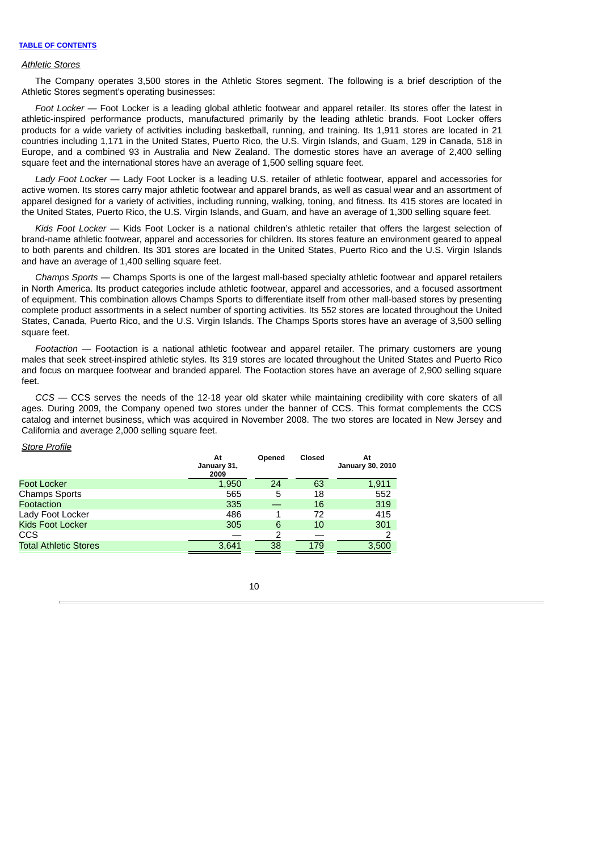## *Athletic Stores*

The Company operates 3,500 stores in the Athletic Stores segment. The following is a brief description of the Athletic Stores segment's operating businesses:

*Foot Locker —* Foot Locker is a leading global athletic footwear and apparel retailer. Its stores offer the latest in athletic-inspired performance products, manufactured primarily by the leading athletic brands. Foot Locker offers products for a wide variety of activities including basketball, running, and training. Its 1,911 stores are located in 21 countries including 1,171 in the United States, Puerto Rico, the U.S. Virgin Islands, and Guam, 129 in Canada, 518 in Europe, and a combined 93 in Australia and New Zealand. The domestic stores have an average of 2,400 selling square feet and the international stores have an average of 1,500 selling square feet.

*Lady Foot Locker* — Lady Foot Locker is a leading U.S. retailer of athletic footwear, apparel and accessories for active women. Its stores carry major athletic footwear and apparel brands, as well as casual wear and an assortment of apparel designed for a variety of activities, including running, walking, toning, and fitness. Its 415 stores are located in the United States, Puerto Rico, the U.S. Virgin Islands, and Guam, and have an average of 1,300 selling square feet.

*Kids Foot Locker* — Kids Foot Locker is a national children's athletic retailer that offers the largest selection of brand-name athletic footwear, apparel and accessories for children. Its stores feature an environment geared to appeal to both parents and children. Its 301 stores are located in the United States, Puerto Rico and the U.S. Virgin Islands and have an average of 1,400 selling square feet.

*Champs Sports* — Champs Sports is one of the largest mall-based specialty athletic footwear and apparel retailers in North America. Its product categories include athletic footwear, apparel and accessories, and a focused assortment of equipment. This combination allows Champs Sports to differentiate itself from other mall-based stores by presenting complete product assortments in a select number of sporting activities. Its 552 stores are located throughout the United States, Canada, Puerto Rico, and the U.S. Virgin Islands. The Champs Sports stores have an average of 3,500 selling square feet.

*Footaction* — Footaction is a national athletic footwear and apparel retailer. The primary customers are young males that seek street-inspired athletic styles. Its 319 stores are located throughout the United States and Puerto Rico and focus on marquee footwear and branded apparel. The Footaction stores have an average of 2,900 selling square feet.

*CCS* — CCS serves the needs of the 12-18 year old skater while maintaining credibility with core skaters of all ages. During 2009, the Company opened two stores under the banner of CCS. This format complements the CCS catalog and internet business, which was acquired in November 2008. The two stores are located in New Jersey and California and average 2,000 selling square feet.

| <b>Store Profile</b>         |                           |        |        |                               |
|------------------------------|---------------------------|--------|--------|-------------------------------|
|                              | At<br>January 31,<br>2009 | Opened | Closed | At<br><b>January 30, 2010</b> |
| Foot Locker                  | 1,950                     | 24     | 63     | 1,911                         |
| Champs Sports                | 565                       | 5      | 18     | 552                           |
| Footaction                   | 335                       |        | 16     | 319                           |
| Lady Foot Locker             | 486                       |        | 72     | 415                           |
| <b>Kids Foot Locker</b>      | 305                       | 6      | 10     | 301                           |
| ccs                          |                           |        |        |                               |
| <b>Total Athletic Stores</b> | 3,641                     | 38     | 179    | 3,500                         |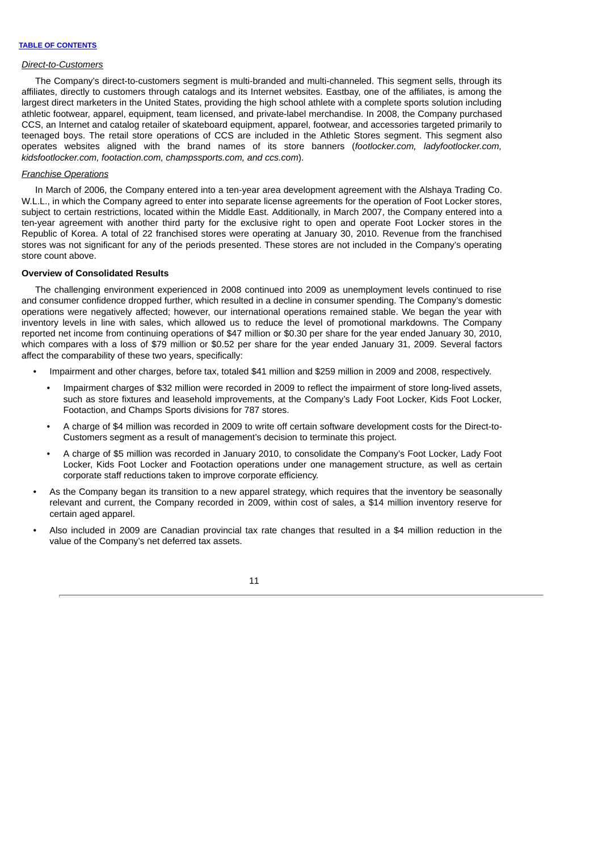#### *Direct-to-Customers*

The Company's direct-to-customers segment is multi-branded and multi-channeled. This segment sells, through its affiliates, directly to customers through catalogs and its Internet websites. Eastbay, one of the affiliates, is among the largest direct marketers in the United States, providing the high school athlete with a complete sports solution including athletic footwear, apparel, equipment, team licensed, and private-label merchandise. In 2008, the Company purchased CCS, an Internet and catalog retailer of skateboard equipment, apparel, footwear, and accessories targeted primarily to teenaged boys. The retail store operations of CCS are included in the Athletic Stores segment. This segment also operates websites aligned with the brand names of its store banners (*footlocker.com, ladyfootlocker.com, kidsfootlocker.com, footaction.com, champssports.com, and ccs.com*).

## *Franchise Operations*

In March of 2006, the Company entered into a ten-year area development agreement with the Alshaya Trading Co. W.L.L., in which the Company agreed to enter into separate license agreements for the operation of Foot Locker stores, subject to certain restrictions, located within the Middle East. Additionally, in March 2007, the Company entered into a ten-year agreement with another third party for the exclusive right to open and operate Foot Locker stores in the Republic of Korea. A total of 22 franchised stores were operating at January 30, 2010. Revenue from the franchised stores was not significant for any of the periods presented. These stores are not included in the Company's operating store count above.

## **Overview of Consolidated Results**

The challenging environment experienced in 2008 continued into 2009 as unemployment levels continued to rise and consumer confidence dropped further, which resulted in a decline in consumer spending. The Company's domestic operations were negatively affected; however, our international operations remained stable. We began the year with inventory levels in line with sales, which allowed us to reduce the level of promotional markdowns. The Company reported net income from continuing operations of \$47 million or \$0.30 per share for the year ended January 30, 2010, which compares with a loss of \$79 million or \$0.52 per share for the year ended January 31, 2009. Several factors affect the comparability of these two years, specifically:

- Impairment and other charges, before tax, totaled \$41 million and \$259 million in 2009 and 2008, respectively.
	- Impairment charges of \$32 million were recorded in 2009 to reflect the impairment of store long-lived assets, such as store fixtures and leasehold improvements, at the Company's Lady Foot Locker, Kids Foot Locker, Footaction, and Champs Sports divisions for 787 stores.
	- A charge of \$4 million was recorded in 2009 to write off certain software development costs for the Direct-to-Customers segment as a result of management's decision to terminate this project.
	- A charge of \$5 million was recorded in January 2010, to consolidate the Company's Foot Locker, Lady Foot Locker, Kids Foot Locker and Footaction operations under one management structure, as well as certain corporate staff reductions taken to improve corporate efficiency.
- As the Company began its transition to a new apparel strategy, which requires that the inventory be seasonally relevant and current, the Company recorded in 2009, within cost of sales, a \$14 million inventory reserve for certain aged apparel.
- Also included in 2009 are Canadian provincial tax rate changes that resulted in a \$4 million reduction in the value of the Company's net deferred tax assets.

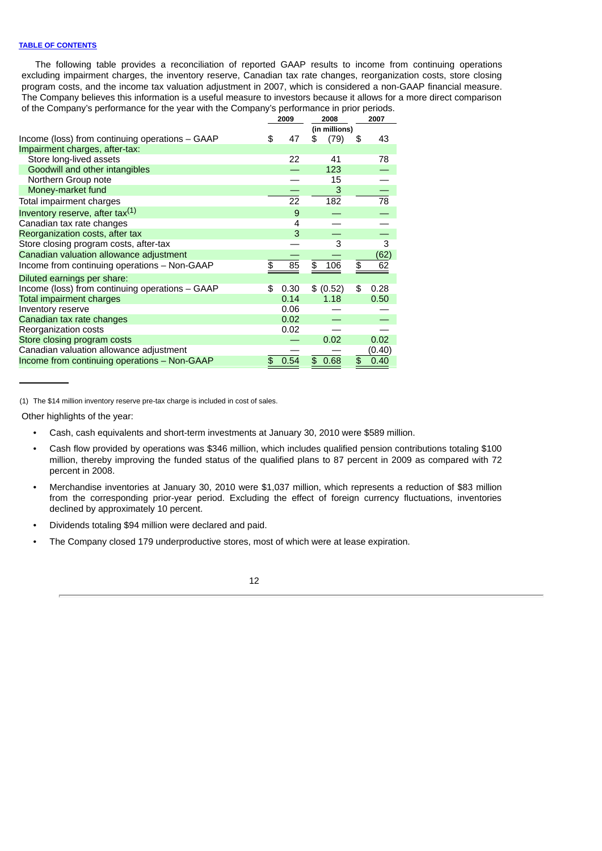#### **TABLE OF CONTENTS**

The following table provides a reconciliation of reported GAAP results to income from continuing operations excluding impairment charges, the inventory reserve, Canadian tax rate changes, reorganization costs, store closing program costs, and the income tax valuation adjustment in 2007, which is considered a non-GAAP financial measure. The Company believes this information is a useful measure to investors because it allows for a more direct comparison of the Company's performance for the year with the Company's performance in prior periods.

|                                                 | 2009 |      | 2008 |               | 2007            |
|-------------------------------------------------|------|------|------|---------------|-----------------|
|                                                 |      |      |      | (in millions) |                 |
| Income (loss) from continuing operations - GAAP | \$   | 47   | \$   | (79)          | \$<br>43        |
| Impairment charges, after-tax:                  |      |      |      |               |                 |
| Store long-lived assets                         |      | 22   |      | 41            | 78              |
| Goodwill and other intangibles                  |      |      |      | 123           |                 |
| Northern Group note                             |      |      |      | 15            |                 |
| Money-market fund                               |      |      |      | 3             |                 |
| Total impairment charges                        |      | 22   |      | 182           | $\overline{78}$ |
| Inventory reserve, after tax $(1)$              |      | 9    |      |               |                 |
| Canadian tax rate changes                       |      | 4    |      |               |                 |
| Reorganization costs, after tax                 |      | 3    |      |               |                 |
| Store closing program costs, after-tax          |      |      |      | 3             | 3               |
| Canadian valuation allowance adjustment         |      |      |      |               | (62)            |
| Income from continuing operations - Non-GAAP    | \$   | 85   | \$   | 106           | \$<br>62        |
| Diluted earnings per share:                     |      |      |      |               |                 |
| Income (loss) from continuing operations - GAAP | \$   | 0.30 |      | \$ (0.52)     | \$<br>0.28      |
| <b>Total impairment charges</b>                 |      | 0.14 |      | 1.18          | 0.50            |
| Inventory reserve                               |      | 0.06 |      |               |                 |
| Canadian tax rate changes                       |      | 0.02 |      |               |                 |
| Reorganization costs                            |      | 0.02 |      |               |                 |
| Store closing program costs                     |      |      |      | 0.02          | 0.02            |
| Canadian valuation allowance adjustment         |      |      |      |               | (0.40)          |
| Income from continuing operations - Non-GAAP    | \$   | 0.54 | \$   | 0.68          | \$<br>0.40      |

(1) The \$14 million inventory reserve pre-tax charge is included in cost of sales.

Other highlights of the year:

- Cash, cash equivalents and short-term investments at January 30, 2010 were \$589 million.
- Cash flow provided by operations was \$346 million, which includes qualified pension contributions totaling \$100 million, thereby improving the funded status of the qualified plans to 87 percent in 2009 as compared with 72 percent in 2008.
- Merchandise inventories at January 30, 2010 were \$1,037 million, which represents a reduction of \$83 million from the corresponding prior-year period. Excluding the effect of foreign currency fluctuations, inventories declined by approximately 10 percent.
- Dividends totaling \$94 million were declared and paid.
- The Company closed 179 underproductive stores, most of which were at lease expiration.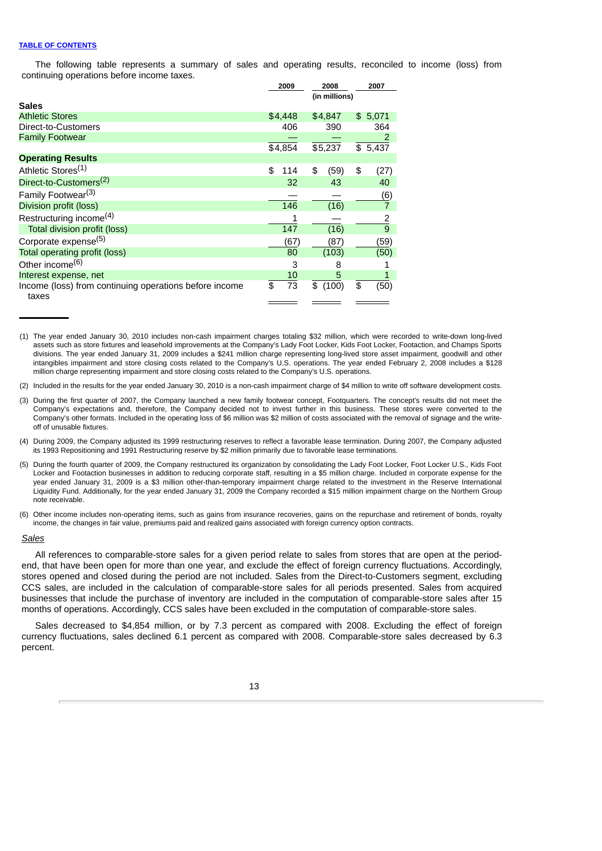#### **TABLE OF CONTENTS**

The following table represents a summary of sales and operating results, reconciled to income (loss) from continuing operations before income taxes.

|                                                                 | 2009      | 2008          | 2007           |
|-----------------------------------------------------------------|-----------|---------------|----------------|
|                                                                 |           | (in millions) |                |
| <b>Sales</b>                                                    |           |               |                |
| <b>Athletic Stores</b>                                          | \$4,448   | \$4,847       | \$5,071        |
| Direct-to-Customers                                             | 406       | 390           | 364            |
| <b>Family Footwear</b>                                          |           |               | 2              |
|                                                                 | \$4,854   | \$5,237       | \$5,437        |
| <b>Operating Results</b>                                        |           |               |                |
| Athletic Stores <sup>(1)</sup>                                  | \$<br>114 | \$<br>(59)    | \$<br>(27)     |
| Direct-to-Customers <sup>(2)</sup>                              | 32        | 43            | 40             |
| Family Footwear <sup>(3)</sup>                                  |           |               | (6)            |
| Division profit (loss)                                          | 146       | (16)          |                |
| Restructuring income <sup>(4)</sup>                             | 1         |               | $\overline{c}$ |
| Total division profit (loss)                                    | 147       | (16)          | $\overline{9}$ |
| Corporate expense <sup>(5)</sup>                                | (67)      | (87)          | (59)           |
| <b>Total operating profit (loss)</b>                            | 80        | (103)         | (50)           |
| Other income <sup>(6)</sup>                                     | 3         | 8             |                |
| Interest expense, net                                           | 10        | 5             | $\mathbf{1}$   |
| Income (loss) from continuing operations before income<br>taxes | 73<br>\$  | \$<br>(100)   | \$<br>(50)     |
|                                                                 |           |               |                |

(1) The year ended January 30, 2010 includes non-cash impairment charges totaling \$32 million, which were recorded to write-down long-lived assets such as store fixtures and leasehold improvements at the Company's Lady Foot Locker, Kids Foot Locker, Footaction, and Champs Sports divisions. The year ended January 31, 2009 includes a \$241 million charge representing long-lived store asset impairment, goodwill and other intangibles impairment and store closing costs related to the Company's U.S. operations. The year ended February 2, 2008 includes a \$128 million charge representing impairment and store closing costs related to the Company's U.S. operations.

(2) Included in the results for the year ended January 30, 2010 is a non-cash impairment charge of \$4 million to write off software development costs.

- (3) During the first quarter of 2007, the Company launched a new family footwear concept, Footquarters. The concept's results did not meet the Company's expectations and, therefore, the Company decided not to invest further in this business. These stores were converted to the Company's other formats. Included in the operating loss of \$6 million was \$2 million of costs associated with the removal of signage and the writeoff of unusable fixtures.
- (4) During 2009, the Company adjusted its 1999 restructuring reserves to reflect a favorable lease termination. During 2007, the Company adjusted its 1993 Repositioning and 1991 Restructuring reserve by \$2 million primarily due to favorable lease terminations.
- (5) During the fourth quarter of 2009, the Company restructured its organization by consolidating the Lady Foot Locker, Foot Locker U.S., Kids Foot Locker and Footaction businesses in addition to reducing corporate staff, resulting in a \$5 million charge. Included in corporate expense for the year ended January 31, 2009 is a \$3 million other-than-temporary impairment charge related to the investment in the Reserve International Liquidity Fund. Additionally, for the year ended January 31, 2009 the Company recorded a \$15 million impairment charge on the Northern Group note receivable.

(6) Other income includes non-operating items, such as gains from insurance recoveries, gains on the repurchase and retirement of bonds, royalty income, the changes in fair value, premiums paid and realized gains associated with foreign currency option contracts.

#### *Sales*

All references to comparable-store sales for a given period relate to sales from stores that are open at the periodend, that have been open for more than one year, and exclude the effect of foreign currency fluctuations. Accordingly, stores opened and closed during the period are not included. Sales from the Direct-to-Customers segment, excluding CCS sales, are included in the calculation of comparable-store sales for all periods presented. Sales from acquired businesses that include the purchase of inventory are included in the computation of comparable-store sales after 15 months of operations. Accordingly, CCS sales have been excluded in the computation of comparable-store sales.

Sales decreased to \$4,854 million, or by 7.3 percent as compared with 2008. Excluding the effect of foreign currency fluctuations, sales declined 6.1 percent as compared with 2008. Comparable-store sales decreased by 6.3 percent.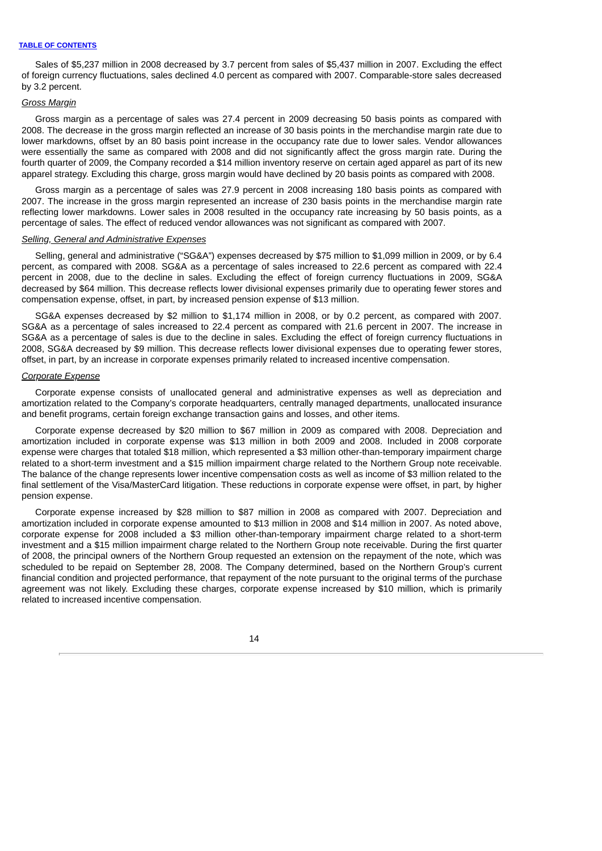Sales of \$5,237 million in 2008 decreased by 3.7 percent from sales of \$5,437 million in 2007. Excluding the effect of foreign currency fluctuations, sales declined 4.0 percent as compared with 2007. Comparable-store sales decreased by 3.2 percent.

#### *Gross Margin*

Gross margin as a percentage of sales was 27.4 percent in 2009 decreasing 50 basis points as compared with 2008. The decrease in the gross margin reflected an increase of 30 basis points in the merchandise margin rate due to lower markdowns, offset by an 80 basis point increase in the occupancy rate due to lower sales. Vendor allowances were essentially the same as compared with 2008 and did not significantly affect the gross margin rate. During the fourth quarter of 2009, the Company recorded a \$14 million inventory reserve on certain aged apparel as part of its new apparel strategy. Excluding this charge, gross margin would have declined by 20 basis points as compared with 2008.

Gross margin as a percentage of sales was 27.9 percent in 2008 increasing 180 basis points as compared with 2007. The increase in the gross margin represented an increase of 230 basis points in the merchandise margin rate reflecting lower markdowns. Lower sales in 2008 resulted in the occupancy rate increasing by 50 basis points, as a percentage of sales. The effect of reduced vendor allowances was not significant as compared with 2007.

## *Selling, General and Administrative Expenses*

Selling, general and administrative ("SG&A") expenses decreased by \$75 million to \$1,099 million in 2009, or by 6.4 percent, as compared with 2008. SG&A as a percentage of sales increased to 22.6 percent as compared with 22.4 percent in 2008, due to the decline in sales. Excluding the effect of foreign currency fluctuations in 2009, SG&A decreased by \$64 million. This decrease reflects lower divisional expenses primarily due to operating fewer stores and compensation expense, offset, in part, by increased pension expense of \$13 million.

SG&A expenses decreased by \$2 million to \$1,174 million in 2008, or by 0.2 percent, as compared with 2007. SG&A as a percentage of sales increased to 22.4 percent as compared with 21.6 percent in 2007. The increase in SG&A as a percentage of sales is due to the decline in sales. Excluding the effect of foreign currency fluctuations in 2008, SG&A decreased by \$9 million. This decrease reflects lower divisional expenses due to operating fewer stores, offset, in part, by an increase in corporate expenses primarily related to increased incentive compensation.

#### *Corporate Expense*

Corporate expense consists of unallocated general and administrative expenses as well as depreciation and amortization related to the Company's corporate headquarters, centrally managed departments, unallocated insurance and benefit programs, certain foreign exchange transaction gains and losses, and other items.

Corporate expense decreased by \$20 million to \$67 million in 2009 as compared with 2008. Depreciation and amortization included in corporate expense was \$13 million in both 2009 and 2008. Included in 2008 corporate expense were charges that totaled \$18 million, which represented a \$3 million other-than-temporary impairment charge related to a short-term investment and a \$15 million impairment charge related to the Northern Group note receivable. The balance of the change represents lower incentive compensation costs as well as income of \$3 million related to the final settlement of the Visa/MasterCard litigation. These reductions in corporate expense were offset, in part, by higher pension expense.

Corporate expense increased by \$28 million to \$87 million in 2008 as compared with 2007. Depreciation and amortization included in corporate expense amounted to \$13 million in 2008 and \$14 million in 2007. As noted above, corporate expense for 2008 included a \$3 million other-than-temporary impairment charge related to a short-term investment and a \$15 million impairment charge related to the Northern Group note receivable. During the first quarter of 2008, the principal owners of the Northern Group requested an extension on the repayment of the note, which was scheduled to be repaid on September 28, 2008. The Company determined, based on the Northern Group's current financial condition and projected performance, that repayment of the note pursuant to the original terms of the purchase agreement was not likely. Excluding these charges, corporate expense increased by \$10 million, which is primarily related to increased incentive compensation.

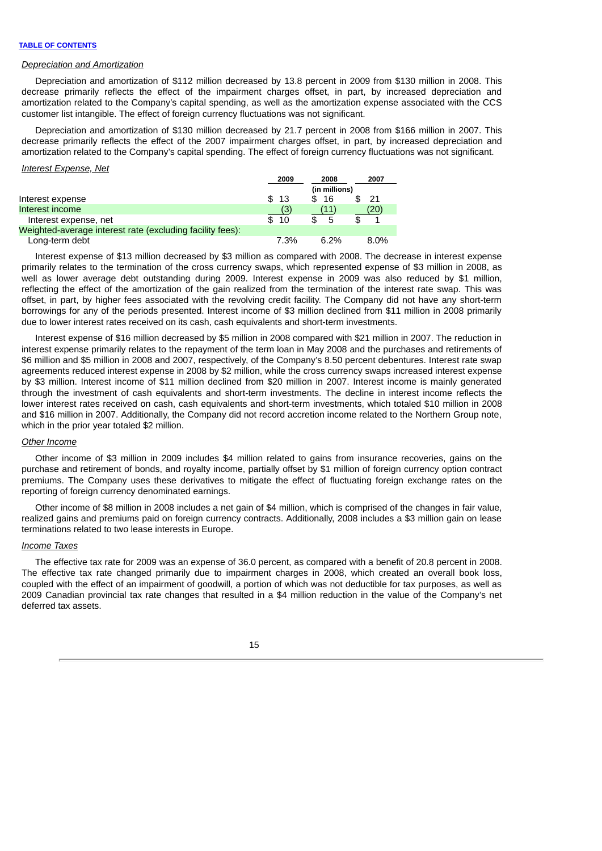#### *Depreciation and Amortization*

Depreciation and amortization of \$112 million decreased by 13.8 percent in 2009 from \$130 million in 2008. This decrease primarily reflects the effect of the impairment charges offset, in part, by increased depreciation and amortization related to the Company's capital spending, as well as the amortization expense associated with the CCS customer list intangible. The effect of foreign currency fluctuations was not significant.

Depreciation and amortization of \$130 million decreased by 21.7 percent in 2008 from \$166 million in 2007. This decrease primarily reflects the effect of the 2007 impairment charges offset, in part, by increased depreciation and amortization related to the Company's capital spending. The effect of foreign currency fluctuations was not significant.

#### *Interest Expense, Net*

|                                                           | 2009  | 2008          | 2007 |
|-----------------------------------------------------------|-------|---------------|------|
|                                                           |       | (in millions) |      |
| Interest expense                                          | \$ 13 | \$ 16         | 21   |
| Interest income                                           | (3)   | (11)          | (20) |
| Interest expense, net                                     | \$10  | 5             |      |
| Weighted-average interest rate (excluding facility fees): |       |               |      |
| Long-term debt                                            | 7.3%  | 6.2%          | 8.0% |

Interest expense of \$13 million decreased by \$3 million as compared with 2008. The decrease in interest expense primarily relates to the termination of the cross currency swaps, which represented expense of \$3 million in 2008, as well as lower average debt outstanding during 2009. Interest expense in 2009 was also reduced by \$1 million, reflecting the effect of the amortization of the gain realized from the termination of the interest rate swap. This was offset, in part, by higher fees associated with the revolving credit facility. The Company did not have any short-term borrowings for any of the periods presented. Interest income of \$3 million declined from \$11 million in 2008 primarily due to lower interest rates received on its cash, cash equivalents and short-term investments.

Interest expense of \$16 million decreased by \$5 million in 2008 compared with \$21 million in 2007. The reduction in interest expense primarily relates to the repayment of the term loan in May 2008 and the purchases and retirements of \$6 million and \$5 million in 2008 and 2007, respectively, of the Company's 8.50 percent debentures. Interest rate swap agreements reduced interest expense in 2008 by \$2 million, while the cross currency swaps increased interest expense by \$3 million. Interest income of \$11 million declined from \$20 million in 2007. Interest income is mainly generated through the investment of cash equivalents and short-term investments. The decline in interest income reflects the lower interest rates received on cash, cash equivalents and short-term investments, which totaled \$10 million in 2008 and \$16 million in 2007. Additionally, the Company did not record accretion income related to the Northern Group note, which in the prior year totaled \$2 million.

#### *Other Income*

Other income of \$3 million in 2009 includes \$4 million related to gains from insurance recoveries, gains on the purchase and retirement of bonds, and royalty income, partially offset by \$1 million of foreign currency option contract premiums. The Company uses these derivatives to mitigate the effect of fluctuating foreign exchange rates on the reporting of foreign currency denominated earnings.

Other income of \$8 million in 2008 includes a net gain of \$4 million, which is comprised of the changes in fair value, realized gains and premiums paid on foreign currency contracts. Additionally, 2008 includes a \$3 million gain on lease terminations related to two lease interests in Europe.

## *Income Taxes*

The effective tax rate for 2009 was an expense of 36.0 percent, as compared with a benefit of 20.8 percent in 2008. The effective tax rate changed primarily due to impairment charges in 2008, which created an overall book loss, coupled with the effect of an impairment of goodwill, a portion of which was not deductible for tax purposes, as well as 2009 Canadian provincial tax rate changes that resulted in a \$4 million reduction in the value of the Company's net deferred tax assets.

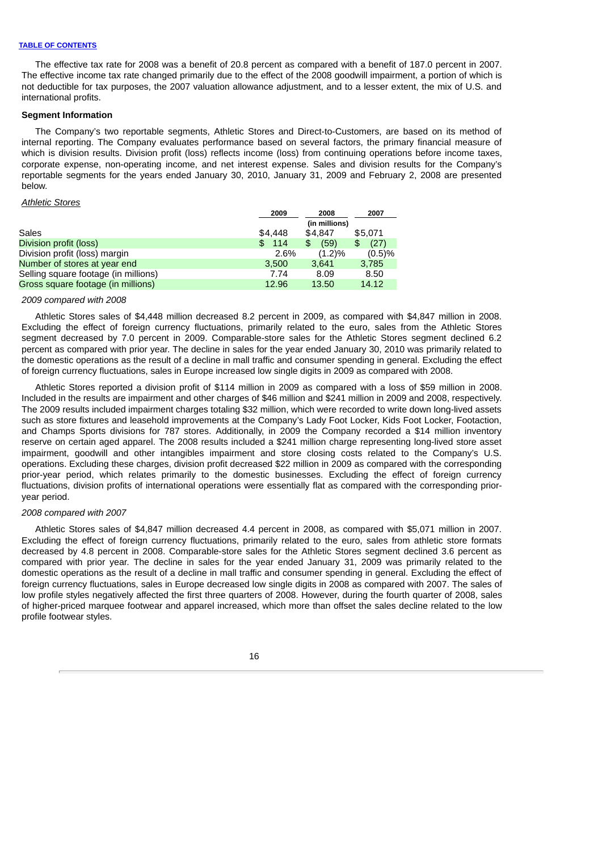#### **TABLE OF CONTENTS**

The effective tax rate for 2008 was a benefit of 20.8 percent as compared with a benefit of 187.0 percent in 2007. The effective income tax rate changed primarily due to the effect of the 2008 goodwill impairment, a portion of which is not deductible for tax purposes, the 2007 valuation allowance adjustment, and to a lesser extent, the mix of U.S. and international profits.

#### **Segment Information**

The Company's two reportable segments, Athletic Stores and Direct-to-Customers, are based on its method of internal reporting. The Company evaluates performance based on several factors, the primary financial measure of which is division results. Division profit (loss) reflects income (loss) from continuing operations before income taxes, corporate expense, non-operating income, and net interest expense. Sales and division results for the Company's reportable segments for the years ended January 30, 2010, January 31, 2009 and February 2, 2008 are presented below.

#### *Athletic Stores*

|                                      | 2009      | 2008          | 2007    |
|--------------------------------------|-----------|---------------|---------|
|                                      |           | (in millions) |         |
| Sales                                | \$4.448   | \$4.847       | \$5,071 |
| Division profit (loss)               | 114<br>\$ | (59)          | (27)    |
| Division profit (loss) margin        | 2.6%      | (1.2)%        | (0.5)%  |
| Number of stores at year end         | 3.500     | 3.641         | 3,785   |
| Selling square footage (in millions) | 7.74      | 8.09          | 8.50    |
| Gross square footage (in millions)   | 12.96     | 13.50         | 14.12   |

#### *2009 compared with 2008*

Athletic Stores sales of \$4,448 million decreased 8.2 percent in 2009, as compared with \$4,847 million in 2008. Excluding the effect of foreign currency fluctuations, primarily related to the euro, sales from the Athletic Stores segment decreased by 7.0 percent in 2009. Comparable-store sales for the Athletic Stores segment declined 6.2 percent as compared with prior year. The decline in sales for the year ended January 30, 2010 was primarily related to the domestic operations as the result of a decline in mall traffic and consumer spending in general. Excluding the effect of foreign currency fluctuations, sales in Europe increased low single digits in 2009 as compared with 2008.

Athletic Stores reported a division profit of \$114 million in 2009 as compared with a loss of \$59 million in 2008. Included in the results are impairment and other charges of \$46 million and \$241 million in 2009 and 2008, respectively. The 2009 results included impairment charges totaling \$32 million, which were recorded to write down long-lived assets such as store fixtures and leasehold improvements at the Company's Lady Foot Locker, Kids Foot Locker, Footaction, and Champs Sports divisions for 787 stores. Additionally, in 2009 the Company recorded a \$14 million inventory reserve on certain aged apparel. The 2008 results included a \$241 million charge representing long-lived store asset impairment, goodwill and other intangibles impairment and store closing costs related to the Company's U.S. operations. Excluding these charges, division profit decreased \$22 million in 2009 as compared with the corresponding prior-year period, which relates primarily to the domestic businesses. Excluding the effect of foreign currency fluctuations, division profits of international operations were essentially flat as compared with the corresponding prioryear period.

#### *2008 compared with 2007*

Athletic Stores sales of \$4,847 million decreased 4.4 percent in 2008, as compared with \$5,071 million in 2007. Excluding the effect of foreign currency fluctuations, primarily related to the euro, sales from athletic store formats decreased by 4.8 percent in 2008. Comparable-store sales for the Athletic Stores segment declined 3.6 percent as compared with prior year. The decline in sales for the year ended January 31, 2009 was primarily related to the domestic operations as the result of a decline in mall traffic and consumer spending in general. Excluding the effect of foreign currency fluctuations, sales in Europe decreased low single digits in 2008 as compared with 2007. The sales of low profile styles negatively affected the first three quarters of 2008. However, during the fourth quarter of 2008, sales of higher-priced marquee footwear and apparel increased, which more than offset the sales decline related to the low profile footwear styles.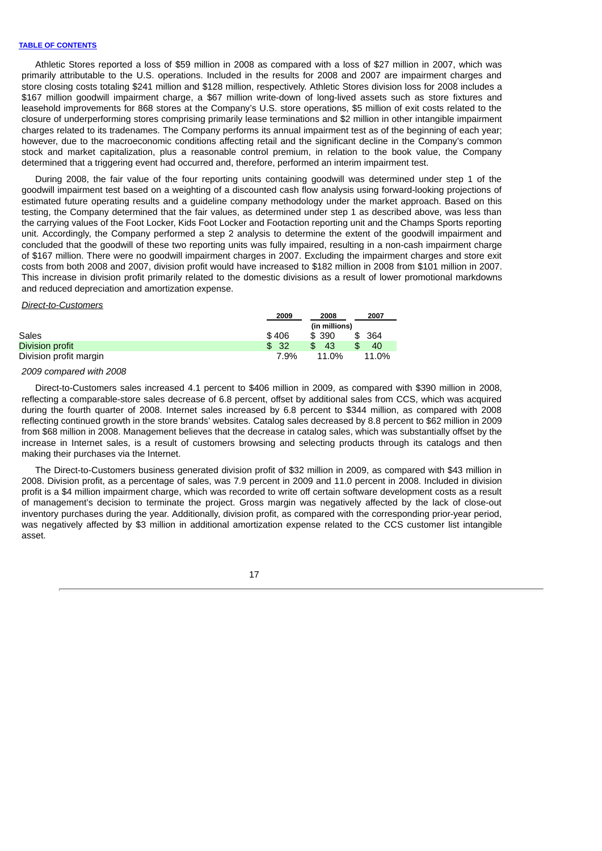Athletic Stores reported a loss of \$59 million in 2008 as compared with a loss of \$27 million in 2007, which was primarily attributable to the U.S. operations. Included in the results for 2008 and 2007 are impairment charges and store closing costs totaling \$241 million and \$128 million, respectively. Athletic Stores division loss for 2008 includes a \$167 million goodwill impairment charge, a \$67 million write-down of long-lived assets such as store fixtures and leasehold improvements for 868 stores at the Company's U.S. store operations, \$5 million of exit costs related to the closure of underperforming stores comprising primarily lease terminations and \$2 million in other intangible impairment charges related to its tradenames. The Company performs its annual impairment test as of the beginning of each year; however, due to the macroeconomic conditions affecting retail and the significant decline in the Company's common stock and market capitalization, plus a reasonable control premium, in relation to the book value, the Company determined that a triggering event had occurred and, therefore, performed an interim impairment test.

During 2008, the fair value of the four reporting units containing goodwill was determined under step 1 of the goodwill impairment test based on a weighting of a discounted cash flow analysis using forward-looking projections of estimated future operating results and a guideline company methodology under the market approach. Based on this testing, the Company determined that the fair values, as determined under step 1 as described above, was less than the carrying values of the Foot Locker, Kids Foot Locker and Footaction reporting unit and the Champs Sports reporting unit. Accordingly, the Company performed a step 2 analysis to determine the extent of the goodwill impairment and concluded that the goodwill of these two reporting units was fully impaired, resulting in a non-cash impairment charge of \$167 million. There were no goodwill impairment charges in 2007. Excluding the impairment charges and store exit costs from both 2008 and 2007, division profit would have increased to \$182 million in 2008 from \$101 million in 2007. This increase in division profit primarily related to the domestic divisions as a result of lower promotional markdowns and reduced depreciation and amortization expense.

#### *Direct-to-Customers*

|                        | 2009  | 2008          | 2007      |  |  |  |  |
|------------------------|-------|---------------|-----------|--|--|--|--|
|                        |       | (in millions) |           |  |  |  |  |
| Sales                  | \$406 | \$ 390        | 364<br>\$ |  |  |  |  |
| Division profit        | \$32  | 43<br>\$.     | 40        |  |  |  |  |
| Division profit margin | 7.9%  | 11.0%         | 11.0%     |  |  |  |  |

#### *2009 compared with 2008*

Direct-to-Customers sales increased 4.1 percent to \$406 million in 2009, as compared with \$390 million in 2008, reflecting a comparable-store sales decrease of 6.8 percent, offset by additional sales from CCS, which was acquired during the fourth quarter of 2008. Internet sales increased by 6.8 percent to \$344 million, as compared with 2008 reflecting continued growth in the store brands' websites. Catalog sales decreased by 8.8 percent to \$62 million in 2009 from \$68 million in 2008. Management believes that the decrease in catalog sales, which was substantially offset by the increase in Internet sales, is a result of customers browsing and selecting products through its catalogs and then making their purchases via the Internet.

The Direct-to-Customers business generated division profit of \$32 million in 2009, as compared with \$43 million in 2008. Division profit, as a percentage of sales, was 7.9 percent in 2009 and 11.0 percent in 2008. Included in division profit is a \$4 million impairment charge, which was recorded to write off certain software development costs as a result of management's decision to terminate the project. Gross margin was negatively affected by the lack of close-out inventory purchases during the year. Additionally, division profit, as compared with the corresponding prior-year period, was negatively affected by \$3 million in additional amortization expense related to the CCS customer list intangible asset.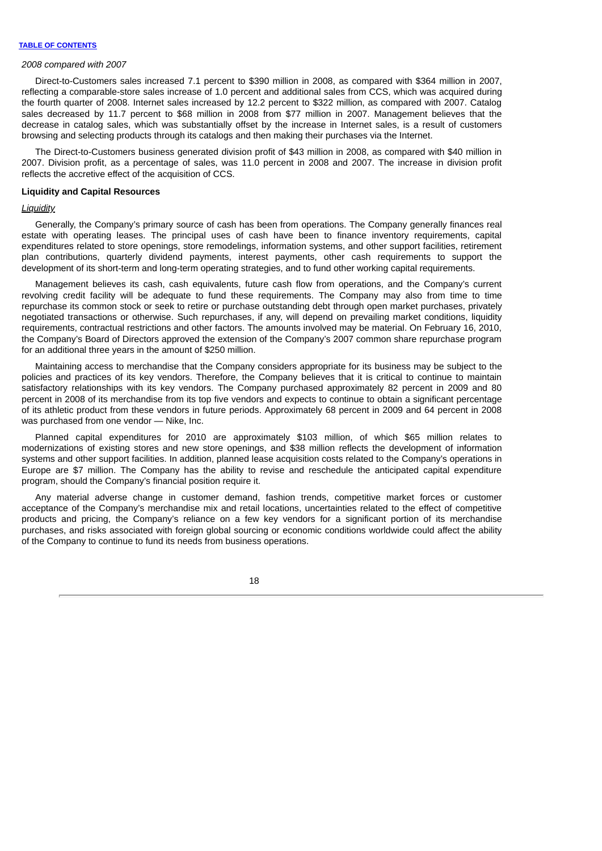#### *2008 compared with 2007*

Direct-to-Customers sales increased 7.1 percent to \$390 million in 2008, as compared with \$364 million in 2007, reflecting a comparable-store sales increase of 1.0 percent and additional sales from CCS, which was acquired during the fourth quarter of 2008. Internet sales increased by 12.2 percent to \$322 million, as compared with 2007. Catalog sales decreased by 11.7 percent to \$68 million in 2008 from \$77 million in 2007. Management believes that the decrease in catalog sales, which was substantially offset by the increase in Internet sales, is a result of customers browsing and selecting products through its catalogs and then making their purchases via the Internet.

The Direct-to-Customers business generated division profit of \$43 million in 2008, as compared with \$40 million in 2007. Division profit, as a percentage of sales, was 11.0 percent in 2008 and 2007. The increase in division profit reflects the accretive effect of the acquisition of CCS.

#### **Liquidity and Capital Resources**

## *Liquidity*

Generally, the Company's primary source of cash has been from operations. The Company generally finances real estate with operating leases. The principal uses of cash have been to finance inventory requirements, capital expenditures related to store openings, store remodelings, information systems, and other support facilities, retirement plan contributions, quarterly dividend payments, interest payments, other cash requirements to support the development of its short-term and long-term operating strategies, and to fund other working capital requirements.

Management believes its cash, cash equivalents, future cash flow from operations, and the Company's current revolving credit facility will be adequate to fund these requirements. The Company may also from time to time repurchase its common stock or seek to retire or purchase outstanding debt through open market purchases, privately negotiated transactions or otherwise. Such repurchases, if any, will depend on prevailing market conditions, liquidity requirements, contractual restrictions and other factors. The amounts involved may be material. On February 16, 2010, the Company's Board of Directors approved the extension of the Company's 2007 common share repurchase program for an additional three years in the amount of \$250 million.

Maintaining access to merchandise that the Company considers appropriate for its business may be subject to the policies and practices of its key vendors. Therefore, the Company believes that it is critical to continue to maintain satisfactory relationships with its key vendors. The Company purchased approximately 82 percent in 2009 and 80 percent in 2008 of its merchandise from its top five vendors and expects to continue to obtain a significant percentage of its athletic product from these vendors in future periods. Approximately 68 percent in 2009 and 64 percent in 2008 was purchased from one vendor — Nike, Inc.

Planned capital expenditures for 2010 are approximately \$103 million, of which \$65 million relates to modernizations of existing stores and new store openings, and \$38 million reflects the development of information systems and other support facilities. In addition, planned lease acquisition costs related to the Company's operations in Europe are \$7 million. The Company has the ability to revise and reschedule the anticipated capital expenditure program, should the Company's financial position require it.

Any material adverse change in customer demand, fashion trends, competitive market forces or customer acceptance of the Company's merchandise mix and retail locations, uncertainties related to the effect of competitive products and pricing, the Company's reliance on a few key vendors for a significant portion of its merchandise purchases, and risks associated with foreign global sourcing or economic conditions worldwide could affect the ability of the Company to continue to fund its needs from business operations.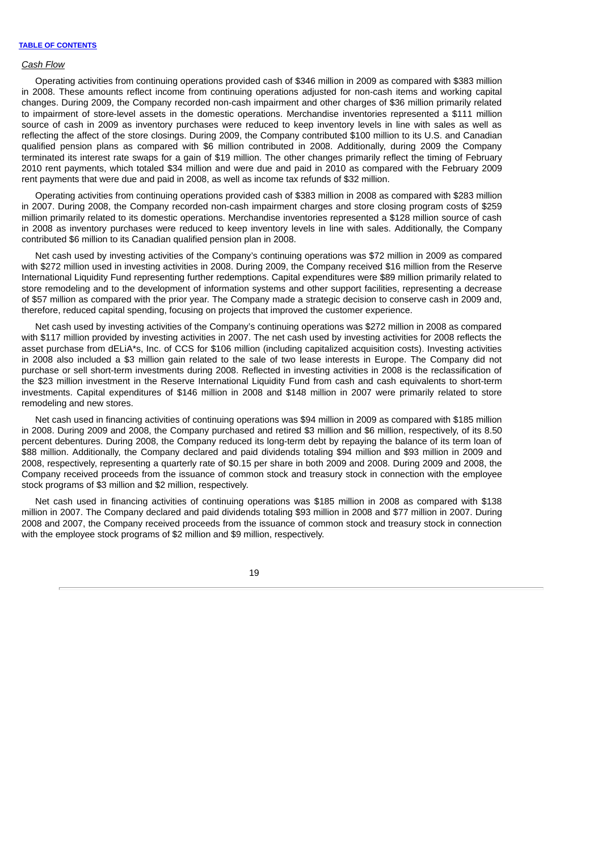#### *Cash Flow*

Operating activities from continuing operations provided cash of \$346 million in 2009 as compared with \$383 million in 2008. These amounts reflect income from continuing operations adjusted for non-cash items and working capital changes. During 2009, the Company recorded non-cash impairment and other charges of \$36 million primarily related to impairment of store-level assets in the domestic operations. Merchandise inventories represented a \$111 million source of cash in 2009 as inventory purchases were reduced to keep inventory levels in line with sales as well as reflecting the affect of the store closings. During 2009, the Company contributed \$100 million to its U.S. and Canadian qualified pension plans as compared with \$6 million contributed in 2008. Additionally, during 2009 the Company terminated its interest rate swaps for a gain of \$19 million. The other changes primarily reflect the timing of February 2010 rent payments, which totaled \$34 million and were due and paid in 2010 as compared with the February 2009 rent payments that were due and paid in 2008, as well as income tax refunds of \$32 million.

Operating activities from continuing operations provided cash of \$383 million in 2008 as compared with \$283 million in 2007. During 2008, the Company recorded non-cash impairment charges and store closing program costs of \$259 million primarily related to its domestic operations. Merchandise inventories represented a \$128 million source of cash in 2008 as inventory purchases were reduced to keep inventory levels in line with sales. Additionally, the Company contributed \$6 million to its Canadian qualified pension plan in 2008.

Net cash used by investing activities of the Company's continuing operations was \$72 million in 2009 as compared with \$272 million used in investing activities in 2008. During 2009, the Company received \$16 million from the Reserve International Liquidity Fund representing further redemptions. Capital expenditures were \$89 million primarily related to store remodeling and to the development of information systems and other support facilities, representing a decrease of \$57 million as compared with the prior year. The Company made a strategic decision to conserve cash in 2009 and, therefore, reduced capital spending, focusing on projects that improved the customer experience.

Net cash used by investing activities of the Company's continuing operations was \$272 million in 2008 as compared with \$117 million provided by investing activities in 2007. The net cash used by investing activities for 2008 reflects the asset purchase from dELiA\*s, Inc. of CCS for \$106 million (including capitalized acquisition costs). Investing activities in 2008 also included a \$3 million gain related to the sale of two lease interests in Europe. The Company did not purchase or sell short-term investments during 2008. Reflected in investing activities in 2008 is the reclassification of the \$23 million investment in the Reserve International Liquidity Fund from cash and cash equivalents to short-term investments. Capital expenditures of \$146 million in 2008 and \$148 million in 2007 were primarily related to store remodeling and new stores.

Net cash used in financing activities of continuing operations was \$94 million in 2009 as compared with \$185 million in 2008. During 2009 and 2008, the Company purchased and retired \$3 million and \$6 million, respectively, of its 8.50 percent debentures. During 2008, the Company reduced its long-term debt by repaying the balance of its term loan of \$88 million. Additionally, the Company declared and paid dividends totaling \$94 million and \$93 million in 2009 and 2008, respectively, representing a quarterly rate of \$0.15 per share in both 2009 and 2008. During 2009 and 2008, the Company received proceeds from the issuance of common stock and treasury stock in connection with the employee stock programs of \$3 million and \$2 million, respectively.

Net cash used in financing activities of continuing operations was \$185 million in 2008 as compared with \$138 million in 2007. The Company declared and paid dividends totaling \$93 million in 2008 and \$77 million in 2007. During 2008 and 2007, the Company received proceeds from the issuance of common stock and treasury stock in connection with the employee stock programs of \$2 million and \$9 million, respectively.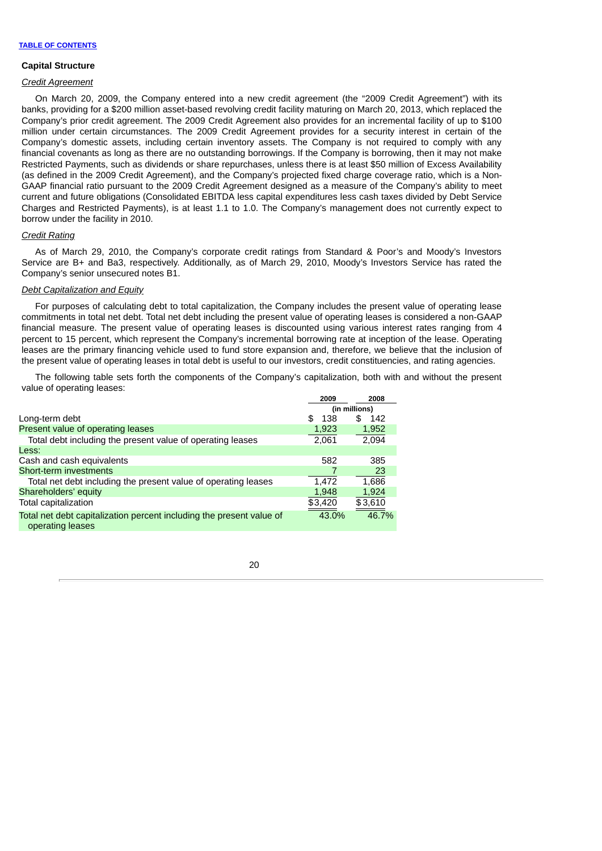#### **Capital Structure**

#### *Credit Agreement*

On March 20, 2009, the Company entered into a new credit agreement (the "2009 Credit Agreement") with its banks, providing for a \$200 million asset-based revolving credit facility maturing on March 20, 2013, which replaced the Company's prior credit agreement. The 2009 Credit Agreement also provides for an incremental facility of up to \$100 million under certain circumstances. The 2009 Credit Agreement provides for a security interest in certain of the Company's domestic assets, including certain inventory assets. The Company is not required to comply with any financial covenants as long as there are no outstanding borrowings. If the Company is borrowing, then it may not make Restricted Payments, such as dividends or share repurchases, unless there is at least \$50 million of Excess Availability (as defined in the 2009 Credit Agreement), and the Company's projected fixed charge coverage ratio, which is a Non-GAAP financial ratio pursuant to the 2009 Credit Agreement designed as a measure of the Company's ability to meet current and future obligations (Consolidated EBITDA less capital expenditures less cash taxes divided by Debt Service Charges and Restricted Payments), is at least 1.1 to 1.0. The Company's management does not currently expect to borrow under the facility in 2010.

## *Credit Rating*

As of March 29, 2010, the Company's corporate credit ratings from Standard & Poor's and Moody's Investors Service are B+ and Ba3, respectively. Additionally, as of March 29, 2010, Moody's Investors Service has rated the Company's senior unsecured notes B1.

#### *Debt Capitalization and Equity*

For purposes of calculating debt to total capitalization, the Company includes the present value of operating lease commitments in total net debt. Total net debt including the present value of operating leases is considered a non-GAAP financial measure. The present value of operating leases is discounted using various interest rates ranging from 4 percent to 15 percent, which represent the Company's incremental borrowing rate at inception of the lease. Operating leases are the primary financing vehicle used to fund store expansion and, therefore, we believe that the inclusion of the present value of operating leases in total debt is useful to our investors, credit constituencies, and rating agencies.

The following table sets forth the components of the Company's capitalization, both with and without the present value of operating leases:

|                                                                                          | 2009      | 2008          |
|------------------------------------------------------------------------------------------|-----------|---------------|
|                                                                                          |           | (in millions) |
| Long-term debt                                                                           | 138<br>\$ | 142           |
| Present value of operating leases                                                        | 1,923     | 1,952         |
| Total debt including the present value of operating leases                               | 2,061     | 2,094         |
| Less:                                                                                    |           |               |
| Cash and cash equivalents                                                                | 582       | 385           |
| Short-term investments                                                                   |           | 23            |
| Total net debt including the present value of operating leases                           | 1,472     | 1,686         |
| Shareholders' equity                                                                     | 1,948     | 1,924         |
| Total capitalization                                                                     | \$3,420   | \$3,610       |
| Total net debt capitalization percent including the present value of<br>operating leases | 43.0%     | 46.7%         |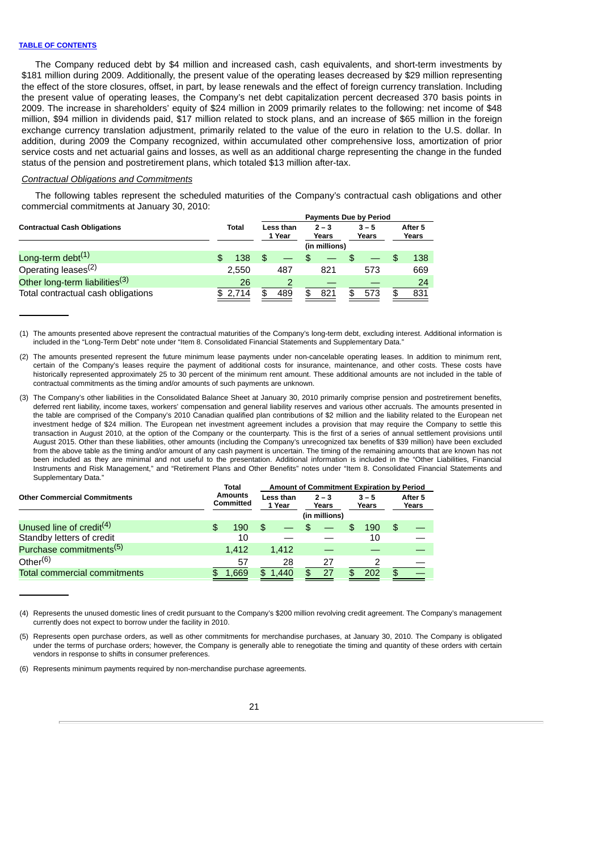#### **TABLE OF CONTENTS**

The Company reduced debt by \$4 million and increased cash, cash equivalents, and short-term investments by \$181 million during 2009. Additionally, the present value of the operating leases decreased by \$29 million representing the effect of the store closures, offset, in part, by lease renewals and the effect of foreign currency translation. Including the present value of operating leases, the Company's net debt capitalization percent decreased 370 basis points in 2009. The increase in shareholders' equity of \$24 million in 2009 primarily relates to the following: net income of \$48 million, \$94 million in dividends paid, \$17 million related to stock plans, and an increase of \$65 million in the foreign exchange currency translation adjustment, primarily related to the value of the euro in relation to the U.S. dollar. In addition, during 2009 the Company recognized, within accumulated other comprehensive loss, amortization of prior service costs and net actuarial gains and losses, as well as an additional charge representing the change in the funded status of the pension and postretirement plans, which totaled \$13 million after-tax.

## *Contractual Obligations and Commitments*

The following tables represent the scheduled maturities of the Company's contractual cash obligations and other commercial commitments at January 30, 2010:

|                                              |              | <b>Payments Due by Period</b> |     |                            |     |                  |     |                  |     |  |                  |
|----------------------------------------------|--------------|-------------------------------|-----|----------------------------|-----|------------------|-----|------------------|-----|--|------------------|
| <b>Contractual Cash Obligations</b>          | <b>Total</b> |                               |     | <b>Less than</b><br>1 Year |     | $2 - 3$<br>Years |     | $3 - 5$<br>Years |     |  | After 5<br>Years |
|                                              |              | (in millions)                 |     |                            |     |                  |     |                  |     |  |                  |
| Long-term debt $(1)$                         | 138<br>\$.   | \$                            |     |                            |     |                  |     |                  | 138 |  |                  |
| Operating leases <sup><math>(2)</math></sup> | 2.550        |                               | 487 |                            | 821 |                  | 573 |                  | 669 |  |                  |
| Other long-term liabilities <sup>(3)</sup>   | 26           |                               |     |                            |     |                  |     |                  | 24  |  |                  |
| Total contractual cash obligations           | \$2.714      | ዳ                             | 489 | £.                         | 821 |                  | 573 |                  | 831 |  |                  |
|                                              |              |                               |     |                            |     |                  |     |                  |     |  |                  |

(1) The amounts presented above represent the contractual maturities of the Company's long-term debt, excluding interest. Additional information is included in the "Long-Term Debt" note under "Item 8. Consolidated Financial Statements and Supplementary Data."

(2) The amounts presented represent the future minimum lease payments under non-cancelable operating leases. In addition to minimum rent, certain of the Company's leases require the payment of additional costs for insurance, maintenance, and other costs. These costs have historically represented approximately 25 to 30 percent of the minimum rent amount. These additional amounts are not included in the table of contractual commitments as the timing and/or amounts of such payments are unknown.

(3) The Company's other liabilities in the Consolidated Balance Sheet at January 30, 2010 primarily comprise pension and postretirement benefits, deferred rent liability, income taxes, workers' compensation and general liability reserves and various other accruals. The amounts presented in the table are comprised of the Company's 2010 Canadian qualified plan contributions of \$2 million and the liability related to the European net investment hedge of \$24 million. The European net investment agreement includes a provision that may require the Company to settle this transaction in August 2010, at the option of the Company or the counterparty. This is the first of a series of annual settlement provisions until August 2015. Other than these liabilities, other amounts (including the Company's unrecognized tax benefits of \$39 million) have been excluded from the above table as the timing and/or amount of any cash payment is uncertain. The timing of the remaining amounts that are known has not been included as they are minimal and not useful to the presentation. Additional information is included in the "Other Liabilities, Financial Instruments and Risk Management," and "Retirement Plans and Other Benefits" notes under "Item 8. Consolidated Financial Statements and Supplementary Data."

| <b>Amounts</b><br><b>Committed</b> |       |                            |               |                  |    |                  |     |                  |                                                  |
|------------------------------------|-------|----------------------------|---------------|------------------|----|------------------|-----|------------------|--------------------------------------------------|
|                                    |       | <b>Less than</b><br>1 Year |               | $2 - 3$<br>Years |    | $3 - 5$<br>Years |     | After 5<br>Years |                                                  |
|                                    |       |                            | (in millions) |                  |    |                  |     |                  |                                                  |
| \$                                 | 190   | \$                         |               | £.               |    | \$.              | 190 | \$.              |                                                  |
|                                    | 10    |                            |               |                  |    |                  | 10  |                  |                                                  |
|                                    |       |                            |               |                  |    |                  |     |                  |                                                  |
|                                    | 57    |                            | 28            |                  | 27 |                  |     |                  |                                                  |
|                                    | 1.669 | \$.                        | .440          | ፍ                | 27 |                  | 202 |                  |                                                  |
|                                    |       | <b>Total</b><br>1.412      |               | 1.412            |    |                  |     |                  | <b>Amount of Commitment Expiration by Period</b> |

<sup>(4)</sup> Represents the unused domestic lines of credit pursuant to the Company's \$200 million revolving credit agreement. The Company's management currently does not expect to borrow under the facility in 2010.

<sup>(5)</sup> Represents open purchase orders, as well as other commitments for merchandise purchases, at January 30, 2010. The Company is obligated under the terms of purchase orders; however, the Company is generally able to renegotiate the timing and quantity of these orders with certain vendors in response to shifts in consumer preferences.

<sup>(6)</sup> Represents minimum payments required by non-merchandise purchase agreements.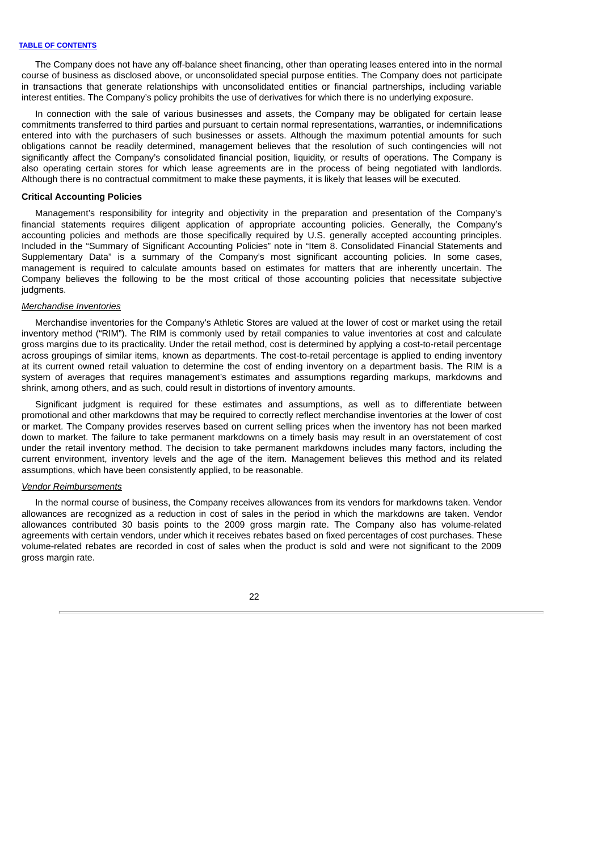The Company does not have any off-balance sheet financing, other than operating leases entered into in the normal course of business as disclosed above, or unconsolidated special purpose entities. The Company does not participate in transactions that generate relationships with unconsolidated entities or financial partnerships, including variable interest entities. The Company's policy prohibits the use of derivatives for which there is no underlying exposure.

In connection with the sale of various businesses and assets, the Company may be obligated for certain lease commitments transferred to third parties and pursuant to certain normal representations, warranties, or indemnifications entered into with the purchasers of such businesses or assets. Although the maximum potential amounts for such obligations cannot be readily determined, management believes that the resolution of such contingencies will not significantly affect the Company's consolidated financial position, liquidity, or results of operations. The Company is also operating certain stores for which lease agreements are in the process of being negotiated with landlords. Although there is no contractual commitment to make these payments, it is likely that leases will be executed.

## **Critical Accounting Policies**

Management's responsibility for integrity and objectivity in the preparation and presentation of the Company's financial statements requires diligent application of appropriate accounting policies. Generally, the Company's accounting policies and methods are those specifically required by U.S. generally accepted accounting principles. Included in the "Summary of Significant Accounting Policies" note in "Item 8. Consolidated Financial Statements and Supplementary Data" is a summary of the Company's most significant accounting policies. In some cases, management is required to calculate amounts based on estimates for matters that are inherently uncertain. The Company believes the following to be the most critical of those accounting policies that necessitate subjective judgments.

#### *Merchandise Inventories*

Merchandise inventories for the Company's Athletic Stores are valued at the lower of cost or market using the retail inventory method ("RIM"). The RIM is commonly used by retail companies to value inventories at cost and calculate gross margins due to its practicality. Under the retail method, cost is determined by applying a cost-to-retail percentage across groupings of similar items, known as departments. The cost-to-retail percentage is applied to ending inventory at its current owned retail valuation to determine the cost of ending inventory on a department basis. The RIM is a system of averages that requires management's estimates and assumptions regarding markups, markdowns and shrink, among others, and as such, could result in distortions of inventory amounts.

Significant judgment is required for these estimates and assumptions, as well as to differentiate between promotional and other markdowns that may be required to correctly reflect merchandise inventories at the lower of cost or market. The Company provides reserves based on current selling prices when the inventory has not been marked down to market. The failure to take permanent markdowns on a timely basis may result in an overstatement of cost under the retail inventory method. The decision to take permanent markdowns includes many factors, including the current environment, inventory levels and the age of the item. Management believes this method and its related assumptions, which have been consistently applied, to be reasonable.

## *Vendor Reimbursements*

In the normal course of business, the Company receives allowances from its vendors for markdowns taken. Vendor allowances are recognized as a reduction in cost of sales in the period in which the markdowns are taken. Vendor allowances contributed 30 basis points to the 2009 gross margin rate. The Company also has volume-related agreements with certain vendors, under which it receives rebates based on fixed percentages of cost purchases. These volume-related rebates are recorded in cost of sales when the product is sold and were not significant to the 2009 gross margin rate.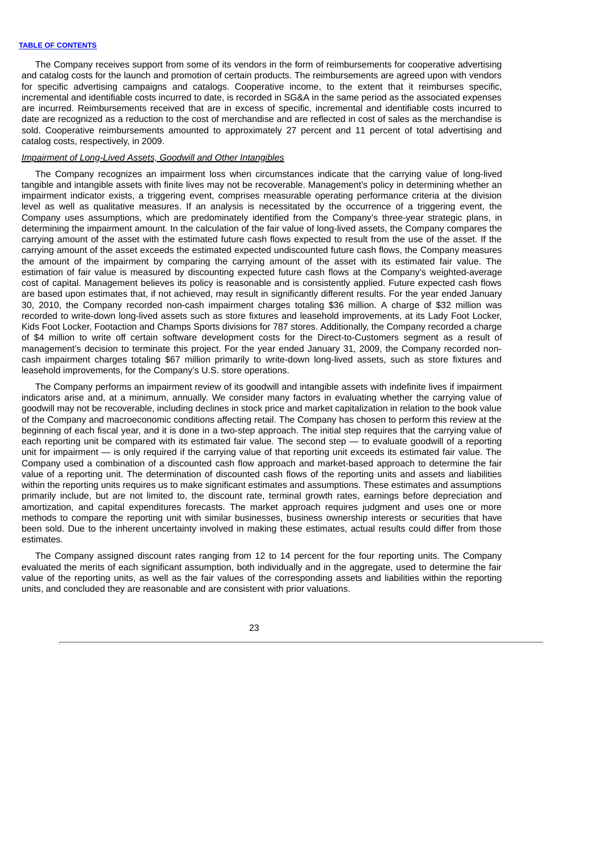The Company receives support from some of its vendors in the form of reimbursements for cooperative advertising and catalog costs for the launch and promotion of certain products. The reimbursements are agreed upon with vendors for specific advertising campaigns and catalogs. Cooperative income, to the extent that it reimburses specific, incremental and identifiable costs incurred to date, is recorded in SG&A in the same period as the associated expenses are incurred. Reimbursements received that are in excess of specific, incremental and identifiable costs incurred to date are recognized as a reduction to the cost of merchandise and are reflected in cost of sales as the merchandise is sold. Cooperative reimbursements amounted to approximately 27 percent and 11 percent of total advertising and catalog costs, respectively, in 2009.

## *Impairment of Long-Lived Assets, Goodwill and Other Intangibles*

The Company recognizes an impairment loss when circumstances indicate that the carrying value of long-lived tangible and intangible assets with finite lives may not be recoverable. Management's policy in determining whether an impairment indicator exists, a triggering event, comprises measurable operating performance criteria at the division level as well as qualitative measures. If an analysis is necessitated by the occurrence of a triggering event, the Company uses assumptions, which are predominately identified from the Company's three-year strategic plans, in determining the impairment amount. In the calculation of the fair value of long-lived assets, the Company compares the carrying amount of the asset with the estimated future cash flows expected to result from the use of the asset. If the carrying amount of the asset exceeds the estimated expected undiscounted future cash flows, the Company measures the amount of the impairment by comparing the carrying amount of the asset with its estimated fair value. The estimation of fair value is measured by discounting expected future cash flows at the Company's weighted-average cost of capital. Management believes its policy is reasonable and is consistently applied. Future expected cash flows are based upon estimates that, if not achieved, may result in significantly different results. For the year ended January 30, 2010, the Company recorded non-cash impairment charges totaling \$36 million. A charge of \$32 million was recorded to write-down long-lived assets such as store fixtures and leasehold improvements, at its Lady Foot Locker, Kids Foot Locker, Footaction and Champs Sports divisions for 787 stores. Additionally, the Company recorded a charge of \$4 million to write off certain software development costs for the Direct-to-Customers segment as a result of management's decision to terminate this project. For the year ended January 31, 2009, the Company recorded noncash impairment charges totaling \$67 million primarily to write-down long-lived assets, such as store fixtures and leasehold improvements, for the Company's U.S. store operations.

The Company performs an impairment review of its goodwill and intangible assets with indefinite lives if impairment indicators arise and, at a minimum, annually. We consider many factors in evaluating whether the carrying value of goodwill may not be recoverable, including declines in stock price and market capitalization in relation to the book value of the Company and macroeconomic conditions affecting retail. The Company has chosen to perform this review at the beginning of each fiscal year, and it is done in a two-step approach. The initial step requires that the carrying value of each reporting unit be compared with its estimated fair value. The second step — to evaluate goodwill of a reporting unit for impairment — is only required if the carrying value of that reporting unit exceeds its estimated fair value. The Company used a combination of a discounted cash flow approach and market-based approach to determine the fair value of a reporting unit. The determination of discounted cash flows of the reporting units and assets and liabilities within the reporting units requires us to make significant estimates and assumptions. These estimates and assumptions primarily include, but are not limited to, the discount rate, terminal growth rates, earnings before depreciation and amortization, and capital expenditures forecasts. The market approach requires judgment and uses one or more methods to compare the reporting unit with similar businesses, business ownership interests or securities that have been sold. Due to the inherent uncertainty involved in making these estimates, actual results could differ from those estimates.

The Company assigned discount rates ranging from 12 to 14 percent for the four reporting units. The Company evaluated the merits of each significant assumption, both individually and in the aggregate, used to determine the fair value of the reporting units, as well as the fair values of the corresponding assets and liabilities within the reporting units, and concluded they are reasonable and are consistent with prior valuations.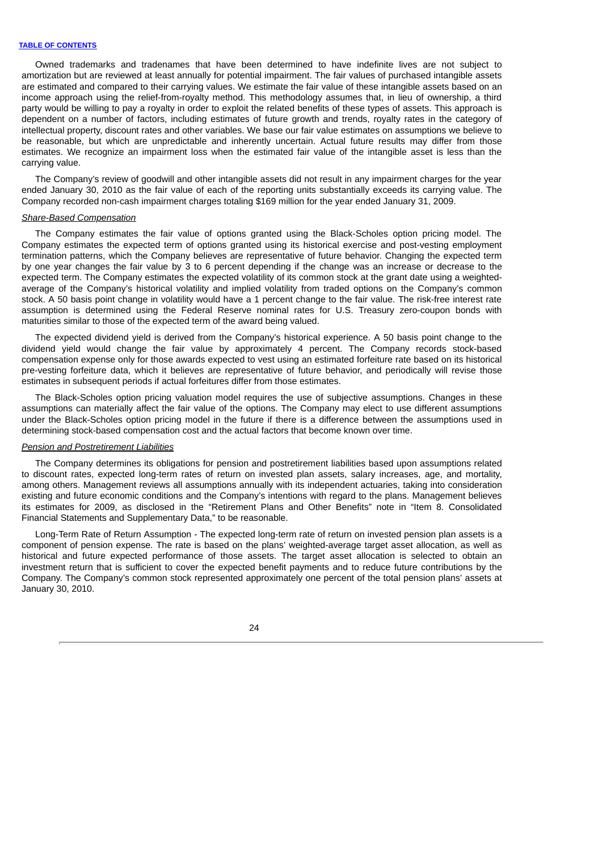Owned trademarks and tradenames that have been determined to have indefinite lives are not subject to amortization but are reviewed at least annually for potential impairment. The fair values of purchased intangible assets are estimated and compared to their carrying values. We estimate the fair value of these intangible assets based on an income approach using the relief-from-royalty method. This methodology assumes that, in lieu of ownership, a third party would be willing to pay a royalty in order to exploit the related benefits of these types of assets. This approach is dependent on a number of factors, including estimates of future growth and trends, royalty rates in the category of intellectual property, discount rates and other variables. We base our fair value estimates on assumptions we believe to be reasonable, but which are unpredictable and inherently uncertain. Actual future results may differ from those estimates. We recognize an impairment loss when the estimated fair value of the intangible asset is less than the carrying value.

The Company's review of goodwill and other intangible assets did not result in any impairment charges for the year ended January 30, 2010 as the fair value of each of the reporting units substantially exceeds its carrying value. The Company recorded non-cash impairment charges totaling \$169 million for the year ended January 31, 2009.

#### *Share-Based Compensation*

The Company estimates the fair value of options granted using the Black-Scholes option pricing model. The Company estimates the expected term of options granted using its historical exercise and post-vesting employment termination patterns, which the Company believes are representative of future behavior. Changing the expected term by one year changes the fair value by 3 to 6 percent depending if the change was an increase or decrease to the expected term. The Company estimates the expected volatility of its common stock at the grant date using a weightedaverage of the Company's historical volatility and implied volatility from traded options on the Company's common stock. A 50 basis point change in volatility would have a 1 percent change to the fair value. The risk-free interest rate assumption is determined using the Federal Reserve nominal rates for U.S. Treasury zero-coupon bonds with maturities similar to those of the expected term of the award being valued.

The expected dividend yield is derived from the Company's historical experience. A 50 basis point change to the dividend yield would change the fair value by approximately 4 percent. The Company records stock-based compensation expense only for those awards expected to vest using an estimated forfeiture rate based on its historical pre-vesting forfeiture data, which it believes are representative of future behavior, and periodically will revise those estimates in subsequent periods if actual forfeitures differ from those estimates.

The Black-Scholes option pricing valuation model requires the use of subjective assumptions. Changes in these assumptions can materially affect the fair value of the options. The Company may elect to use different assumptions under the Black-Scholes option pricing model in the future if there is a difference between the assumptions used in determining stock-based compensation cost and the actual factors that become known over time.

## *Pension and Postretirement Liabilities*

The Company determines its obligations for pension and postretirement liabilities based upon assumptions related to discount rates, expected long-term rates of return on invested plan assets, salary increases, age, and mortality, among others. Management reviews all assumptions annually with its independent actuaries, taking into consideration existing and future economic conditions and the Company's intentions with regard to the plans. Management believes its estimates for 2009, as disclosed in the "Retirement Plans and Other Benefits" note in "Item 8. Consolidated Financial Statements and Supplementary Data," to be reasonable.

Long-Term Rate of Return Assumption - The expected long-term rate of return on invested pension plan assets is a component of pension expense. The rate is based on the plans' weighted-average target asset allocation, as well as historical and future expected performance of those assets. The target asset allocation is selected to obtain an investment return that is sufficient to cover the expected benefit payments and to reduce future contributions by the Company. The Company's common stock represented approximately one percent of the total pension plans' assets at January 30, 2010.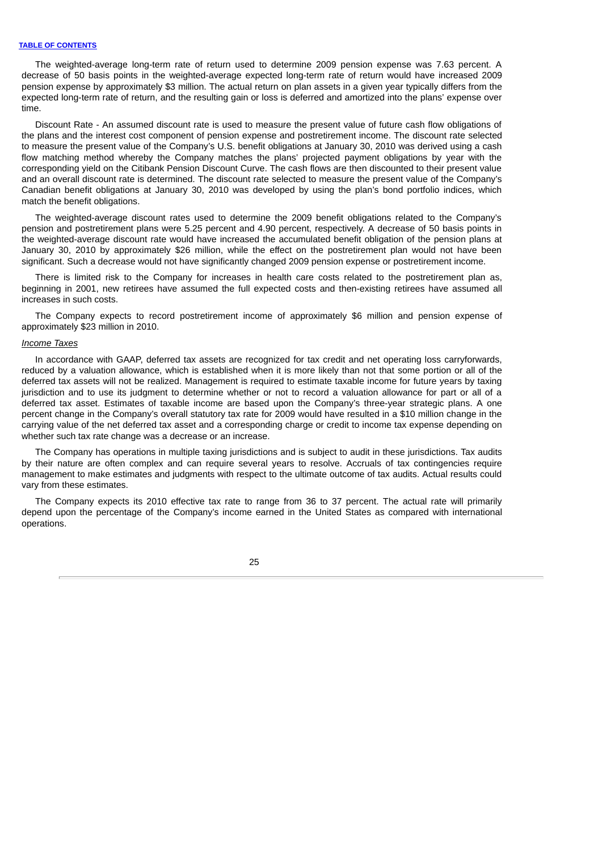The weighted-average long-term rate of return used to determine 2009 pension expense was 7.63 percent. A decrease of 50 basis points in the weighted-average expected long-term rate of return would have increased 2009 pension expense by approximately \$3 million. The actual return on plan assets in a given year typically differs from the expected long-term rate of return, and the resulting gain or loss is deferred and amortized into the plans' expense over time.

Discount Rate - An assumed discount rate is used to measure the present value of future cash flow obligations of the plans and the interest cost component of pension expense and postretirement income. The discount rate selected to measure the present value of the Company's U.S. benefit obligations at January 30, 2010 was derived using a cash flow matching method whereby the Company matches the plans' projected payment obligations by year with the corresponding yield on the Citibank Pension Discount Curve. The cash flows are then discounted to their present value and an overall discount rate is determined. The discount rate selected to measure the present value of the Company's Canadian benefit obligations at January 30, 2010 was developed by using the plan's bond portfolio indices, which match the benefit obligations.

The weighted-average discount rates used to determine the 2009 benefit obligations related to the Company's pension and postretirement plans were 5.25 percent and 4.90 percent, respectively. A decrease of 50 basis points in the weighted-average discount rate would have increased the accumulated benefit obligation of the pension plans at January 30, 2010 by approximately \$26 million, while the effect on the postretirement plan would not have been significant. Such a decrease would not have significantly changed 2009 pension expense or postretirement income.

There is limited risk to the Company for increases in health care costs related to the postretirement plan as, beginning in 2001, new retirees have assumed the full expected costs and then-existing retirees have assumed all increases in such costs.

The Company expects to record postretirement income of approximately \$6 million and pension expense of approximately \$23 million in 2010.

#### *Income Taxes*

In accordance with GAAP, deferred tax assets are recognized for tax credit and net operating loss carryforwards, reduced by a valuation allowance, which is established when it is more likely than not that some portion or all of the deferred tax assets will not be realized. Management is required to estimate taxable income for future years by taxing jurisdiction and to use its judgment to determine whether or not to record a valuation allowance for part or all of a deferred tax asset. Estimates of taxable income are based upon the Company's three-year strategic plans. A one percent change in the Company's overall statutory tax rate for 2009 would have resulted in a \$10 million change in the carrying value of the net deferred tax asset and a corresponding charge or credit to income tax expense depending on whether such tax rate change was a decrease or an increase.

The Company has operations in multiple taxing jurisdictions and is subject to audit in these jurisdictions. Tax audits by their nature are often complex and can require several years to resolve. Accruals of tax contingencies require management to make estimates and judgments with respect to the ultimate outcome of tax audits. Actual results could vary from these estimates.

The Company expects its 2010 effective tax rate to range from 36 to 37 percent. The actual rate will primarily depend upon the percentage of the Company's income earned in the United States as compared with international operations.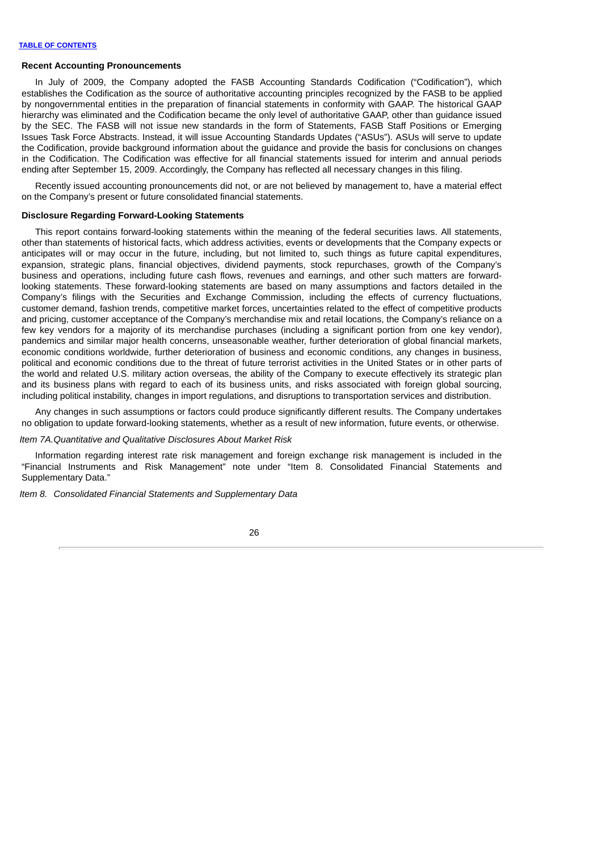## **Recent Accounting Pronouncements**

In July of 2009, the Company adopted the FASB Accounting Standards Codification ("Codification"), which establishes the Codification as the source of authoritative accounting principles recognized by the FASB to be applied by nongovernmental entities in the preparation of financial statements in conformity with GAAP. The historical GAAP hierarchy was eliminated and the Codification became the only level of authoritative GAAP, other than guidance issued by the SEC. The FASB will not issue new standards in the form of Statements, FASB Staff Positions or Emerging Issues Task Force Abstracts. Instead, it will issue Accounting Standards Updates ("ASUs"). ASUs will serve to update the Codification, provide background information about the guidance and provide the basis for conclusions on changes in the Codification. The Codification was effective for all financial statements issued for interim and annual periods ending after September 15, 2009. Accordingly, the Company has reflected all necessary changes in this filing.

Recently issued accounting pronouncements did not, or are not believed by management to, have a material effect on the Company's present or future consolidated financial statements.

## **Disclosure Regarding Forward-Looking Statements**

This report contains forward-looking statements within the meaning of the federal securities laws. All statements, other than statements of historical facts, which address activities, events or developments that the Company expects or anticipates will or may occur in the future, including, but not limited to, such things as future capital expenditures, expansion, strategic plans, financial objectives, dividend payments, stock repurchases, growth of the Company's business and operations, including future cash flows, revenues and earnings, and other such matters are forwardlooking statements. These forward-looking statements are based on many assumptions and factors detailed in the Company's filings with the Securities and Exchange Commission, including the effects of currency fluctuations, customer demand, fashion trends, competitive market forces, uncertainties related to the effect of competitive products and pricing, customer acceptance of the Company's merchandise mix and retail locations, the Company's reliance on a few key vendors for a majority of its merchandise purchases (including a significant portion from one key vendor), pandemics and similar major health concerns, unseasonable weather, further deterioration of global financial markets, economic conditions worldwide, further deterioration of business and economic conditions, any changes in business, political and economic conditions due to the threat of future terrorist activities in the United States or in other parts of the world and related U.S. military action overseas, the ability of the Company to execute effectively its strategic plan and its business plans with regard to each of its business units, and risks associated with foreign global sourcing, including political instability, changes in import regulations, and disruptions to transportation services and distribution.

Any changes in such assumptions or factors could produce significantly different results. The Company undertakes no obligation to update forward-looking statements, whether as a result of new information, future events, or otherwise.

## *Item 7A.Quantitative and Qualitative Disclosures About Market Risk*

Information regarding interest rate risk management and foreign exchange risk management is included in the "Financial Instruments and Risk Management" note under "Item 8. Consolidated Financial Statements and Supplementary Data."

*Item 8. Consolidated Financial Statements and Supplementary Data*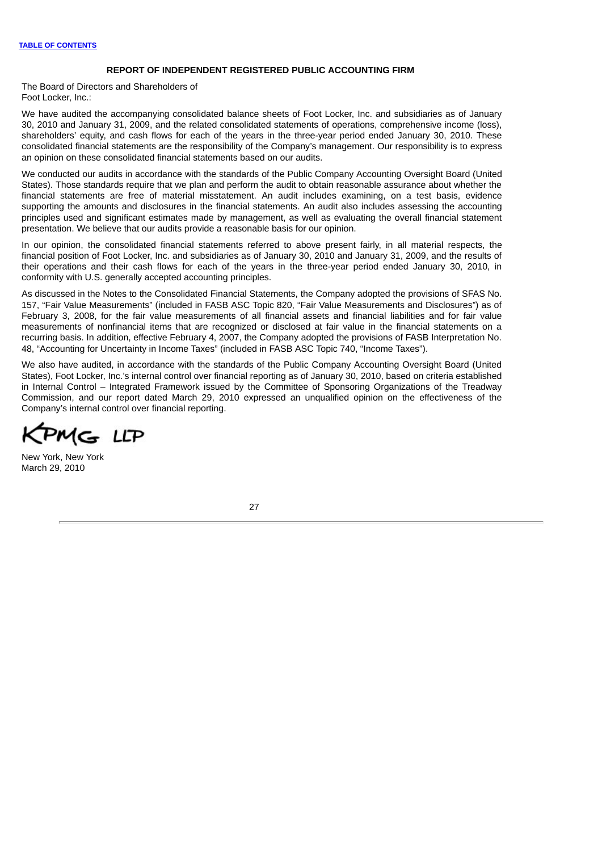#### **REPORT OF INDEPENDENT REGISTERED PUBLIC ACCOUNTING FIRM**

The Board of Directors and Shareholders of Foot Locker, Inc.:

We have audited the accompanying consolidated balance sheets of Foot Locker, Inc. and subsidiaries as of January 30, 2010 and January 31, 2009, and the related consolidated statements of operations, comprehensive income (loss), shareholders' equity, and cash flows for each of the years in the three-year period ended January 30, 2010. These consolidated financial statements are the responsibility of the Company's management. Our responsibility is to express an opinion on these consolidated financial statements based on our audits.

We conducted our audits in accordance with the standards of the Public Company Accounting Oversight Board (United States). Those standards require that we plan and perform the audit to obtain reasonable assurance about whether the financial statements are free of material misstatement. An audit includes examining, on a test basis, evidence supporting the amounts and disclosures in the financial statements. An audit also includes assessing the accounting principles used and significant estimates made by management, as well as evaluating the overall financial statement presentation. We believe that our audits provide a reasonable basis for our opinion.

In our opinion, the consolidated financial statements referred to above present fairly, in all material respects, the financial position of Foot Locker, Inc. and subsidiaries as of January 30, 2010 and January 31, 2009, and the results of their operations and their cash flows for each of the years in the three-year period ended January 30, 2010, in conformity with U.S. generally accepted accounting principles.

As discussed in the Notes to the Consolidated Financial Statements, the Company adopted the provisions of SFAS No. 157, "Fair Value Measurements" (included in FASB ASC Topic 820, "Fair Value Measurements and Disclosures") as of February 3, 2008, for the fair value measurements of all financial assets and financial liabilities and for fair value measurements of nonfinancial items that are recognized or disclosed at fair value in the financial statements on a recurring basis. In addition, effective February 4, 2007, the Company adopted the provisions of FASB Interpretation No. 48, "Accounting for Uncertainty in Income Taxes" (included in FASB ASC Topic 740, "Income Taxes").

We also have audited, in accordance with the standards of the Public Company Accounting Oversight Board (United States), Foot Locker, Inc.'s internal control over financial reporting as of January 30, 2010, based on criteria established in Internal Control – Integrated Framework issued by the Committee of Sponsoring Organizations of the Treadway Commission, and our report dated March 29, 2010 expressed an unqualified opinion on the effectiveness of the Company's internal control over financial reporting.

MG. **LLP** 

New York, New York March 29, 2010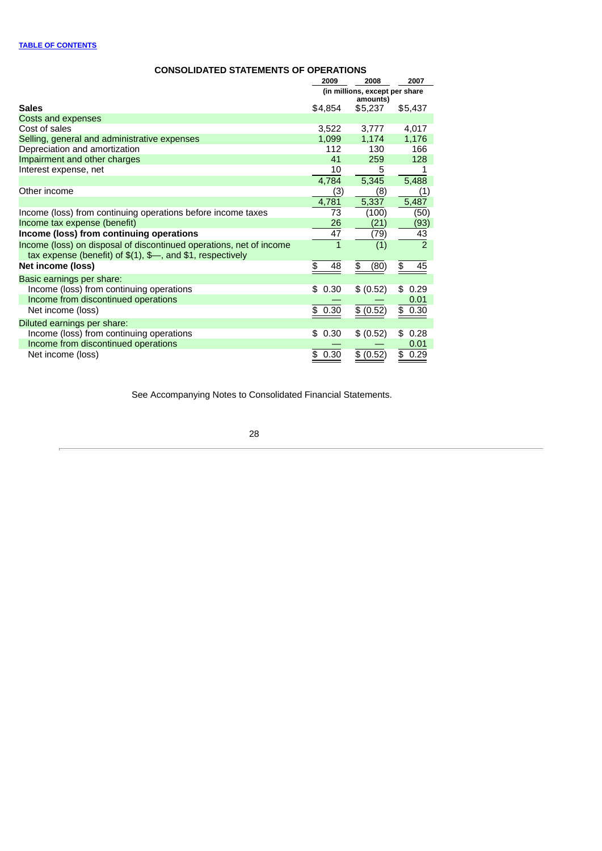# **CONSOLIDATED STATEMENTS OF OPERATIONS**

|                                                                                                                                     | 2009                                       | 2008       | 2007           |  |
|-------------------------------------------------------------------------------------------------------------------------------------|--------------------------------------------|------------|----------------|--|
|                                                                                                                                     | (in millions, except per share<br>amounts) |            |                |  |
| <b>Sales</b>                                                                                                                        | \$4,854                                    | \$5,237    | \$5,437        |  |
| Costs and expenses                                                                                                                  |                                            |            |                |  |
| Cost of sales                                                                                                                       | 3,522                                      | 3,777      | 4,017          |  |
| Selling, general and administrative expenses                                                                                        | 1,099                                      | 1,174      | 1,176          |  |
| Depreciation and amortization                                                                                                       | 112                                        | 130        | 166            |  |
| Impairment and other charges                                                                                                        | 41                                         | 259        | 128            |  |
| Interest expense, net                                                                                                               | 10                                         | 5          | 1              |  |
|                                                                                                                                     | 4,784                                      | 5,345      | 5,488          |  |
| Other income                                                                                                                        | (3)                                        | (8)        | (1)            |  |
|                                                                                                                                     | 4,781                                      | 5,337      | 5,487          |  |
| Income (loss) from continuing operations before income taxes                                                                        | 73                                         | (100)      | (50)           |  |
| Income tax expense (benefit)                                                                                                        | 26                                         | (21)       | (93)           |  |
| Income (loss) from continuing operations                                                                                            | 47                                         | (79)       | 43             |  |
| Income (loss) on disposal of discontinued operations, net of income<br>tax expense (benefit) of $$(1), $—$ , and $$1, respectively$ | $\mathbf{1}$                               | (1)        | $\overline{2}$ |  |
| Net income (loss)                                                                                                                   | \$<br>48                                   | \$<br>(80) | 45<br>\$       |  |
| Basic earnings per share:                                                                                                           |                                            |            |                |  |
| Income (loss) from continuing operations                                                                                            | \$<br>0.30                                 | \$ (0.52)  | \$<br>0.29     |  |
| Income from discontinued operations                                                                                                 |                                            |            | 0.01           |  |
| Net income (loss)                                                                                                                   | \$0.30                                     | \$ (0.52)  | \$0.30         |  |
| Diluted earnings per share:                                                                                                         |                                            |            |                |  |
| Income (loss) from continuing operations                                                                                            | 0.30<br>\$                                 | \$ (0.52)  | 0.28<br>\$     |  |
| Income from discontinued operations                                                                                                 |                                            |            | 0.01           |  |
| Net income (loss)                                                                                                                   | 0.30<br>\$                                 | \$ (0.52)  | \$<br>0.29     |  |

See Accompanying Notes to Consolidated Financial Statements.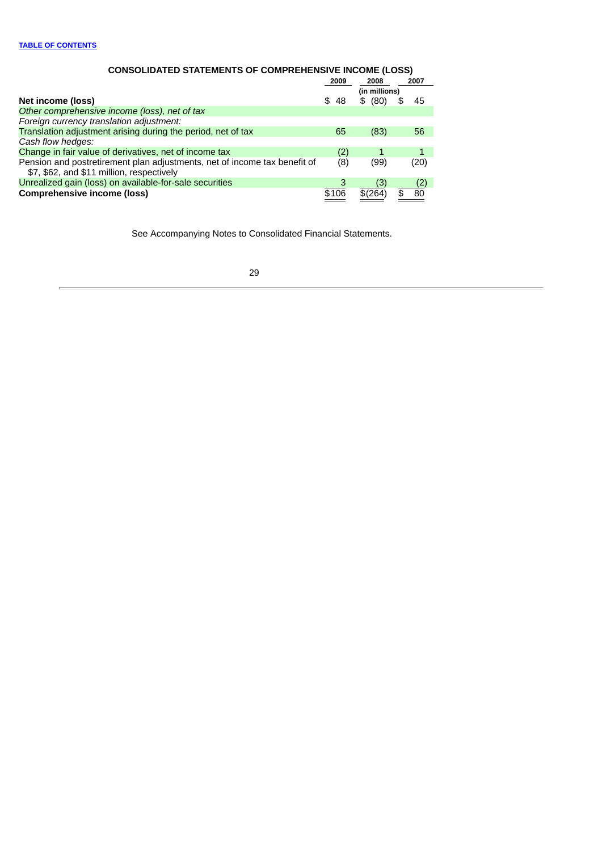|                                                                           | 2009  | 2008          | 2007 |  |
|---------------------------------------------------------------------------|-------|---------------|------|--|
|                                                                           |       | (in millions) |      |  |
| Net income (loss)                                                         | \$48  | (80)<br>\$    | 45   |  |
| Other comprehensive income (loss), net of tax                             |       |               |      |  |
| Foreign currency translation adjustment:                                  |       |               |      |  |
| Translation adjustment arising during the period, net of tax              | 65    | (83)          | 56   |  |
| Cash flow hedges:                                                         |       |               |      |  |
| Change in fair value of derivatives, net of income tax                    | (2)   |               | 1    |  |
| Pension and postretirement plan adjustments, net of income tax benefit of | (8)   | (99)          | (20) |  |
| \$7, \$62, and \$11 million, respectively                                 |       |               |      |  |
| Unrealized gain (loss) on available-for-sale securities                   |       |               | (2)  |  |
| <b>Comprehensive income (loss)</b>                                        | \$106 |               | 80   |  |

**CONSOLIDATED STATEMENTS OF COMPREHENSIVE INCOME (LOSS)**

See Accompanying Notes to Consolidated Financial Statements.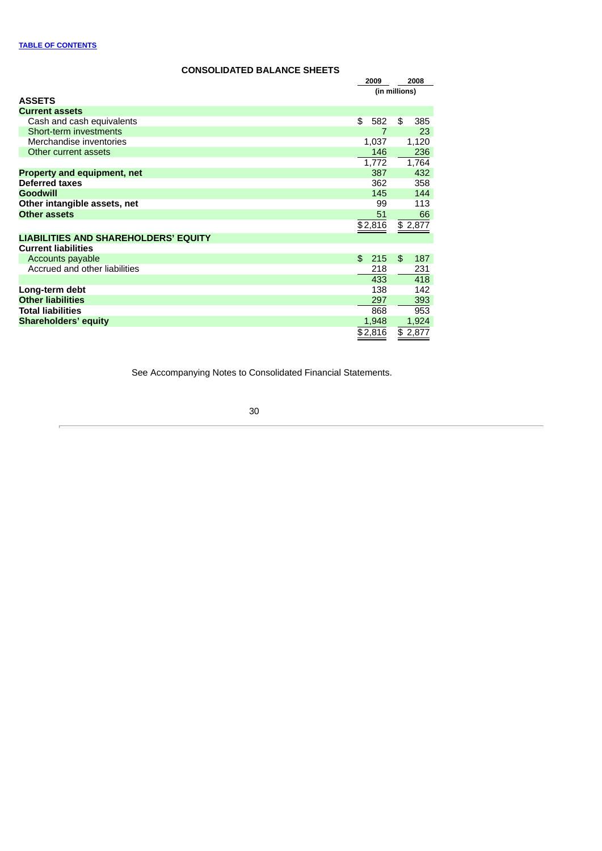# **CONSOLIDATED BALANCE SHEETS**

|                                             |           | 2009<br>2008  |  |
|---------------------------------------------|-----------|---------------|--|
|                                             |           | (in millions) |  |
| <b>ASSETS</b>                               |           |               |  |
| <b>Current assets</b>                       |           |               |  |
| Cash and cash equivalents                   | \$<br>582 | \$<br>385     |  |
| Short-term investments                      | 7         | 23            |  |
| Merchandise inventories                     | 1,037     | 1,120         |  |
| Other current assets                        | 146       | 236           |  |
|                                             | 1,772     | 1,764         |  |
| <b>Property and equipment, net</b>          | 387       | 432           |  |
| <b>Deferred taxes</b>                       | 362       | 358           |  |
| <b>Goodwill</b>                             | 145       | 144           |  |
| Other intangible assets, net                | 99        | 113           |  |
| <b>Other assets</b>                         | 51        | 66            |  |
|                                             | \$2,816   | \$2,877       |  |
| <b>LIABILITIES AND SHAREHOLDERS' EQUITY</b> |           |               |  |
| <b>Current liabilities</b>                  |           |               |  |
| <b>Accounts payable</b>                     | \$<br>215 | \$<br>187     |  |
| Accrued and other liabilities               | 218       | 231           |  |
|                                             | 433       | 418           |  |
| Long-term debt                              | 138       | 142           |  |
| <b>Other liabilities</b>                    | 297       | 393           |  |
| <b>Total liabilities</b>                    | 868       | 953           |  |
| <b>Shareholders' equity</b>                 | 1,948     | 1,924         |  |
|                                             | \$2,816   | \$2,877       |  |

See Accompanying Notes to Consolidated Financial Statements.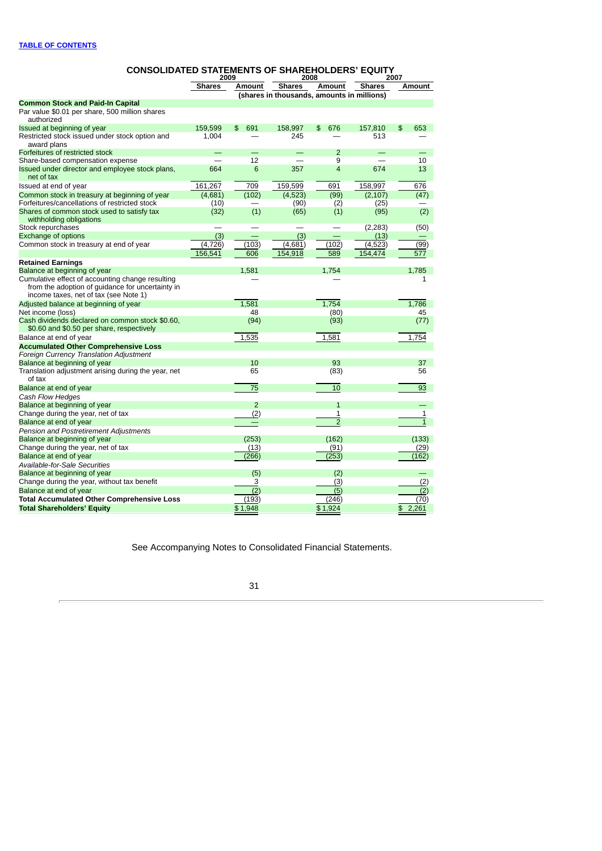|                                                                                                                                               | 2009<br>2007<br>2008 |                  |                                            |                |               |              |
|-----------------------------------------------------------------------------------------------------------------------------------------------|----------------------|------------------|--------------------------------------------|----------------|---------------|--------------|
|                                                                                                                                               | <b>Shares</b>        | Amount           | <b>Shares</b>                              | Amount         | <b>Shares</b> | Amount       |
|                                                                                                                                               |                      |                  | (shares in thousands, amounts in millions) |                |               |              |
| <b>Common Stock and Paid-In Capital</b>                                                                                                       |                      |                  |                                            |                |               |              |
| Par value \$0.01 per share, 500 million shares<br>authorized                                                                                  |                      |                  |                                            |                |               |              |
| Issued at beginning of year                                                                                                                   | 159,599              | \$<br>691        | 158,997                                    | \$<br>676      | 157,810       | \$<br>653    |
| Restricted stock issued under stock option and                                                                                                | 1,004                |                  | 245                                        |                | 513           |              |
| award plans                                                                                                                                   |                      |                  |                                            |                |               |              |
| Forfeitures of restricted stock                                                                                                               |                      |                  |                                            | $\overline{2}$ |               |              |
| Share-based compensation expense                                                                                                              |                      | 12               |                                            | 9              |               | 10           |
| Issued under director and employee stock plans,                                                                                               | 664                  | 6                | 357                                        | $\overline{4}$ | 674           | 13           |
| net of tax                                                                                                                                    |                      |                  |                                            |                |               |              |
| Issued at end of year                                                                                                                         | 161,267              | 709              | 159,599                                    | 691            | 158,997       | 676          |
| Common stock in treasury at beginning of year                                                                                                 | (4,681)              | (102)            | (4,523)                                    | (99)           | (2, 107)      | (47)         |
| Forfeitures/cancellations of restricted stock                                                                                                 | (10)                 |                  | (90)                                       | (2)            | (25)          |              |
| Shares of common stock used to satisfy tax                                                                                                    | (32)                 | (1)              | (65)                                       | (1)            | (95)          | (2)          |
| withholding obligations                                                                                                                       |                      |                  |                                            |                |               |              |
| Stock repurchases                                                                                                                             |                      |                  |                                            |                | (2, 283)      | (50)         |
| <b>Exchange of options</b>                                                                                                                    | (3)                  |                  | (3)                                        |                | (13)          |              |
| Common stock in treasury at end of year                                                                                                       | (4, 726)             | (103)            | (4,681)                                    | (102)          | (4, 523)      | (99)         |
|                                                                                                                                               | 156,541              | 606              | 154,918                                    | 589            | 154,474       | 577          |
| <b>Retained Earnings</b>                                                                                                                      |                      |                  |                                            |                |               |              |
| Balance at beginning of year                                                                                                                  |                      | 1,581            |                                            | 1.754          |               | 1,785        |
| Cumulative effect of accounting change resulting<br>from the adoption of guidance for uncertainty in<br>income taxes, net of tax (see Note 1) |                      |                  |                                            |                |               | 1            |
| Adjusted balance at beginning of year                                                                                                         |                      | 1.581            |                                            | 1.754          |               | 1,786        |
| Net income (loss)                                                                                                                             |                      | 48               |                                            | (80)           |               | 45           |
| Cash dividends declared on common stock \$0.60,                                                                                               |                      | (94)             |                                            | (93)           |               | (77)         |
| \$0.60 and \$0.50 per share, respectively                                                                                                     |                      |                  |                                            |                |               |              |
| Balance at end of year                                                                                                                        |                      | 1,535            |                                            | 1,581          |               | 1,754        |
| <b>Accumulated Other Comprehensive Loss</b>                                                                                                   |                      |                  |                                            |                |               |              |
| Foreign Currency Translation Adjustment                                                                                                       |                      |                  |                                            |                |               |              |
| Balance at beginning of year                                                                                                                  |                      | 10               |                                            | 93             |               | 37           |
| Translation adjustment arising during the year, net                                                                                           |                      | 65               |                                            | (83)           |               | 56           |
| of tax                                                                                                                                        |                      |                  |                                            |                |               |              |
| Balance at end of year                                                                                                                        |                      | $\overline{75}$  |                                            | 10             |               | 93           |
| Cash Flow Hedges                                                                                                                              |                      |                  |                                            |                |               |              |
| Balance at beginning of year                                                                                                                  |                      | $\overline{2}$   |                                            | $\mathbf{1}$   |               | $\equiv$     |
| Change during the year, net of tax                                                                                                            |                      | (2)              |                                            | 1              |               | 1            |
| Balance at end of year                                                                                                                        |                      |                  |                                            | $\overline{2}$ |               | $\mathbf{1}$ |
| Pension and Postretirement Adjustments                                                                                                        |                      |                  |                                            |                |               |              |
| Balance at beginning of year                                                                                                                  |                      | (253)            |                                            | (162)          |               | (133)        |
| Change during the year, net of tax                                                                                                            |                      | (13)             |                                            | (91)           |               | (29)         |
| Balance at end of year                                                                                                                        |                      | (266)            |                                            | (253)          |               | (162)        |
| Available-for-Sale Securities                                                                                                                 |                      |                  |                                            |                |               |              |
| Balance at beginning of year                                                                                                                  |                      | (5)              |                                            | (2)            |               |              |
| Change during the year, without tax benefit                                                                                                   |                      | 3                |                                            | (3)            |               | (2)          |
| Balance at end of year                                                                                                                        |                      | $\overline{(2)}$ |                                            | (5)            |               | (2)          |
| <b>Total Accumulated Other Comprehensive Loss</b>                                                                                             |                      | (193)            |                                            | (246)          |               | (70)         |
| <b>Total Shareholders' Equity</b>                                                                                                             |                      | \$1,948          |                                            | \$1,924        |               | \$<br>2,261  |
|                                                                                                                                               |                      |                  |                                            |                |               |              |

**CONSOLIDATED STATEMENTS OF SHAREHOLDERS' EQUITY**

See Accompanying Notes to Consolidated Financial Statements.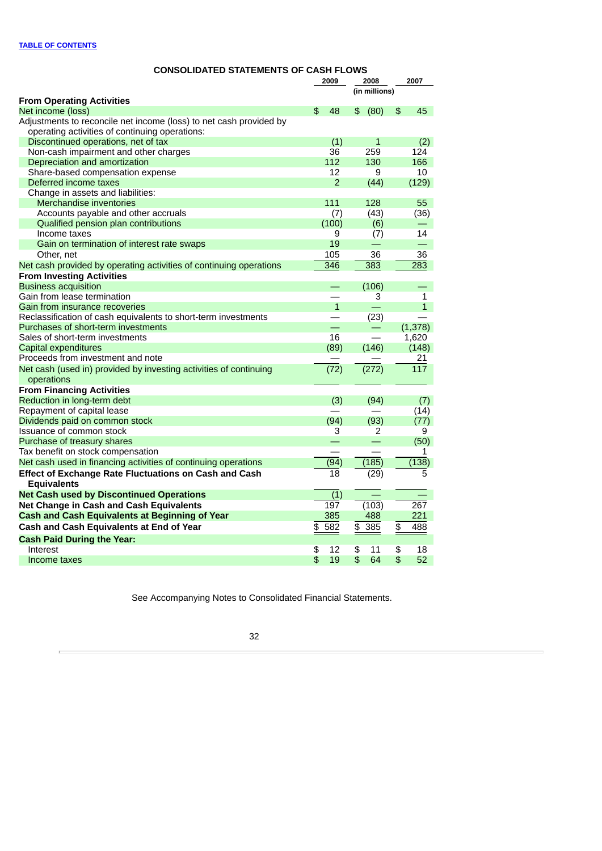| <b>CONSOLIDATED STATEMENTS OF CASH FLOWS</b>                       |               |                          |                          |   |    |                  |  |  |  |
|--------------------------------------------------------------------|---------------|--------------------------|--------------------------|---|----|------------------|--|--|--|
|                                                                    |               | 2009<br>2008             |                          |   |    | 2007             |  |  |  |
|                                                                    | (in millions) |                          |                          |   |    |                  |  |  |  |
| <b>From Operating Activities</b>                                   |               |                          |                          |   |    |                  |  |  |  |
| Net income (loss)                                                  | \$            | 48                       | \$<br>(80)               |   | \$ | 45               |  |  |  |
| Adjustments to reconcile net income (loss) to net cash provided by |               |                          |                          |   |    |                  |  |  |  |
| operating activities of continuing operations:                     |               |                          |                          |   |    |                  |  |  |  |
| Discontinued operations, net of tax                                |               | (1)                      |                          | 1 |    | (2)              |  |  |  |
| Non-cash impairment and other charges                              |               | 36                       | 259                      |   |    | 124              |  |  |  |
| Depreciation and amortization                                      |               | 112                      | 130                      |   |    | 166              |  |  |  |
| Share-based compensation expense                                   |               | 12                       |                          | 9 |    | 10               |  |  |  |
| Deferred income taxes                                              |               | $\overline{2}$           | (44)                     |   |    | (129)            |  |  |  |
| Change in assets and liabilities:                                  |               |                          |                          |   |    |                  |  |  |  |
| Merchandise inventories                                            |               | 111                      | 128                      |   |    | 55               |  |  |  |
| Accounts payable and other accruals                                |               | (7)                      | (43)                     |   |    | (36)             |  |  |  |
| Qualified pension plan contributions                               |               | (100)                    | (6)                      |   |    |                  |  |  |  |
| Income taxes                                                       |               | 9                        | (7)                      |   |    | 14               |  |  |  |
| Gain on termination of interest rate swaps                         |               | 19                       |                          |   |    |                  |  |  |  |
| Other, net                                                         |               | 105                      | 36                       |   |    | 36               |  |  |  |
| Net cash provided by operating activities of continuing operations |               | 346                      | 383                      |   |    | 283              |  |  |  |
| <b>From Investing Activities</b>                                   |               |                          |                          |   |    |                  |  |  |  |
| <b>Business acquisition</b>                                        |               |                          | (106)                    |   |    |                  |  |  |  |
| Gain from lease termination                                        |               | $\overline{\phantom{0}}$ |                          | 3 |    | $\mathbf{1}$     |  |  |  |
| Gain from insurance recoveries                                     |               | $\mathbf{1}$             |                          |   |    | $\mathbf{1}$     |  |  |  |
| Reclassification of cash equivalents to short-term investments     |               |                          | (23)                     |   |    |                  |  |  |  |
| Purchases of short-term investments                                |               |                          |                          |   |    | (1,378)          |  |  |  |
| Sales of short-term investments                                    |               | 16                       |                          |   |    | 1,620            |  |  |  |
| <b>Capital expenditures</b>                                        |               | (89)                     | (146)                    |   |    | (148)            |  |  |  |
| Proceeds from investment and note                                  |               |                          |                          |   |    | 21               |  |  |  |
| Net cash (used in) provided by investing activities of continuing  |               |                          | (272)                    |   |    | 117              |  |  |  |
| operations                                                         |               | (72)                     |                          |   |    |                  |  |  |  |
| <b>From Financing Activities</b>                                   |               |                          |                          |   |    |                  |  |  |  |
| Reduction in long-term debt                                        |               | (3)                      | (94)                     |   |    | (7)              |  |  |  |
| Repayment of capital lease                                         |               |                          |                          |   |    | (14)             |  |  |  |
| Dividends paid on common stock                                     |               | (94)                     | (93)                     |   |    | (77)             |  |  |  |
| Issuance of common stock                                           |               | 3                        |                          | 2 |    | 9                |  |  |  |
| Purchase of treasury shares                                        |               | $\overline{\phantom{0}}$ | $\overline{\phantom{0}}$ |   |    | (50)             |  |  |  |
| Tax benefit on stock compensation                                  |               |                          |                          |   |    | 1                |  |  |  |
| Net cash used in financing activities of continuing operations     |               | (94)                     | (185)                    |   |    | (138)            |  |  |  |
| Effect of Exchange Rate Fluctuations on Cash and Cash              |               | 18                       | (29)                     |   |    | 5                |  |  |  |
| <b>Equivalents</b>                                                 |               |                          |                          |   |    |                  |  |  |  |
| <b>Net Cash used by Discontinued Operations</b>                    |               | (1)                      |                          |   |    |                  |  |  |  |
| Net Change in Cash and Cash Equivalents                            |               | 197                      | (103)                    |   |    | $\overline{267}$ |  |  |  |
| <b>Cash and Cash Equivalents at Beginning of Year</b>              |               | 385                      | 488                      |   |    | 221              |  |  |  |
| Cash and Cash Equivalents at End of Year                           | \$            | 582                      | \$ 385                   |   | \$ | 488              |  |  |  |
|                                                                    |               |                          |                          |   |    |                  |  |  |  |
| <b>Cash Paid During the Year:</b>                                  |               |                          |                          |   |    |                  |  |  |  |
| Interest                                                           | \$<br>\$      | 12                       | \$<br>11<br>\$           |   | \$ | 18               |  |  |  |
| Income taxes                                                       |               | 19                       | 64                       |   | \$ | 52               |  |  |  |

See Accompanying Notes to Consolidated Financial Statements.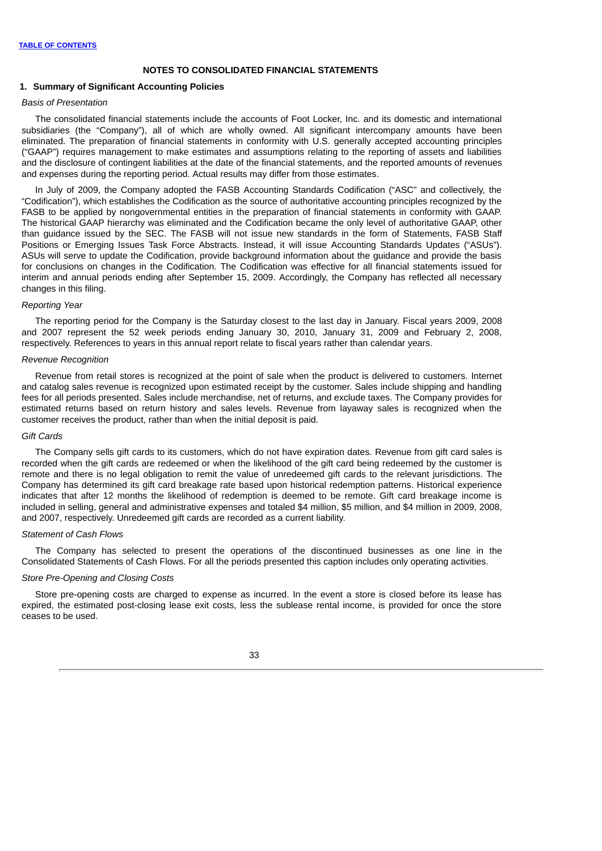#### **NOTES TO CONSOLIDATED FINANCIAL STATEMENTS**

### **1. Summary of Significant Accounting Policies**

### *Basis of Presentation*

The consolidated financial statements include the accounts of Foot Locker, Inc. and its domestic and international subsidiaries (the "Company"), all of which are wholly owned. All significant intercompany amounts have been eliminated. The preparation of financial statements in conformity with U.S. generally accepted accounting principles ("GAAP") requires management to make estimates and assumptions relating to the reporting of assets and liabilities and the disclosure of contingent liabilities at the date of the financial statements, and the reported amounts of revenues and expenses during the reporting period. Actual results may differ from those estimates.

In July of 2009, the Company adopted the FASB Accounting Standards Codification ("ASC" and collectively, the "Codification"), which establishes the Codification as the source of authoritative accounting principles recognized by the FASB to be applied by nongovernmental entities in the preparation of financial statements in conformity with GAAP. The historical GAAP hierarchy was eliminated and the Codification became the only level of authoritative GAAP, other than guidance issued by the SEC. The FASB will not issue new standards in the form of Statements, FASB Staff Positions or Emerging Issues Task Force Abstracts. Instead, it will issue Accounting Standards Updates ("ASUs"). ASUs will serve to update the Codification, provide background information about the guidance and provide the basis for conclusions on changes in the Codification. The Codification was effective for all financial statements issued for interim and annual periods ending after September 15, 2009. Accordingly, the Company has reflected all necessary changes in this filing.

#### *Reporting Year*

The reporting period for the Company is the Saturday closest to the last day in January. Fiscal years 2009, 2008 and 2007 represent the 52 week periods ending January 30, 2010, January 31, 2009 and February 2, 2008, respectively. References to years in this annual report relate to fiscal years rather than calendar years.

#### *Revenue Recognition*

Revenue from retail stores is recognized at the point of sale when the product is delivered to customers. Internet and catalog sales revenue is recognized upon estimated receipt by the customer. Sales include shipping and handling fees for all periods presented. Sales include merchandise, net of returns, and exclude taxes. The Company provides for estimated returns based on return history and sales levels. Revenue from layaway sales is recognized when the customer receives the product, rather than when the initial deposit is paid.

#### *Gift Cards*

The Company sells gift cards to its customers, which do not have expiration dates. Revenue from gift card sales is recorded when the gift cards are redeemed or when the likelihood of the gift card being redeemed by the customer is remote and there is no legal obligation to remit the value of unredeemed gift cards to the relevant jurisdictions. The Company has determined its gift card breakage rate based upon historical redemption patterns. Historical experience indicates that after 12 months the likelihood of redemption is deemed to be remote. Gift card breakage income is included in selling, general and administrative expenses and totaled \$4 million, \$5 million, and \$4 million in 2009, 2008, and 2007, respectively. Unredeemed gift cards are recorded as a current liability.

#### *Statement of Cash Flows*

The Company has selected to present the operations of the discontinued businesses as one line in the Consolidated Statements of Cash Flows. For all the periods presented this caption includes only operating activities.

#### *Store Pre-Opening and Closing Costs*

Store pre-opening costs are charged to expense as incurred. In the event a store is closed before its lease has expired, the estimated post-closing lease exit costs, less the sublease rental income, is provided for once the store ceases to be used.

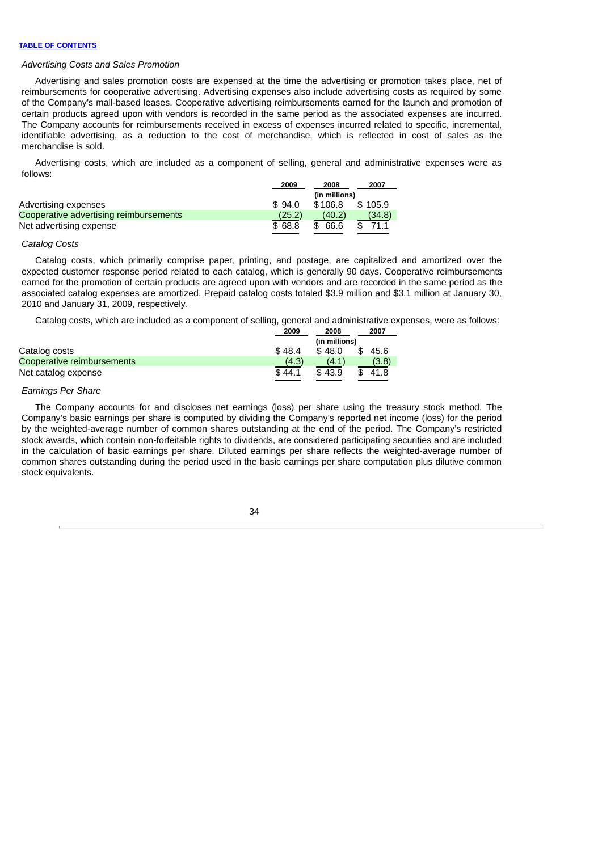# *Advertising Costs and Sales Promotion*

Advertising and sales promotion costs are expensed at the time the advertising or promotion takes place, net of reimbursements for cooperative advertising. Advertising expenses also include advertising costs as required by some of the Company's mall-based leases. Cooperative advertising reimbursements earned for the launch and promotion of certain products agreed upon with vendors is recorded in the same period as the associated expenses are incurred. The Company accounts for reimbursements received in excess of expenses incurred related to specific, incremental, identifiable advertising, as a reduction to the cost of merchandise, which is reflected in cost of sales as the merchandise is sold.

Advertising costs, which are included as a component of selling, general and administrative expenses were as follows:

|                                        | 2009   | 2008          | 2007    |
|----------------------------------------|--------|---------------|---------|
|                                        |        | (in millions) |         |
| Advertising expenses                   | \$94.0 | \$106.8       | \$105.9 |
| Cooperative advertising reimbursements | (25.2) | (40.2)        | (34.8)  |
| Net advertising expense                | \$68.8 | 66.6          | 71.1    |

# *Catalog Costs*

Catalog costs, which primarily comprise paper, printing, and postage, are capitalized and amortized over the expected customer response period related to each catalog, which is generally 90 days. Cooperative reimbursements earned for the promotion of certain products are agreed upon with vendors and are recorded in the same period as the associated catalog expenses are amortized. Prepaid catalog costs totaled \$3.9 million and \$3.1 million at January 30, 2010 and January 31, 2009, respectively.

Catalog costs, which are included as a component of selling, general and administrative expenses, were as follows:

|                            | 2009   | 2008          | 2007  |
|----------------------------|--------|---------------|-------|
|                            |        | (in millions) |       |
| Catalog costs              | \$48.4 | \$48.0        | 45.6  |
| Cooperative reimbursements | (4.3)  | (4.1)         | (3.8) |
| Net catalog expense        | \$44.1 | \$43.9        | 41.8  |

# *Earnings Per Share*

The Company accounts for and discloses net earnings (loss) per share using the treasury stock method. The Company's basic earnings per share is computed by dividing the Company's reported net income (loss) for the period by the weighted-average number of common shares outstanding at the end of the period. The Company's restricted stock awards, which contain non-forfeitable rights to dividends, are considered participating securities and are included in the calculation of basic earnings per share. Diluted earnings per share reflects the weighted-average number of common shares outstanding during the period used in the basic earnings per share computation plus dilutive common stock equivalents.

$$
34 \\
$$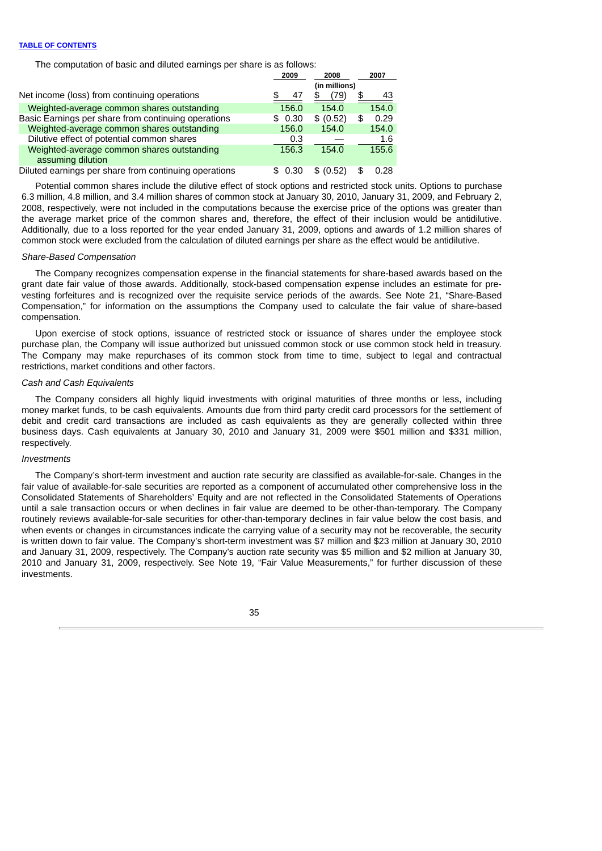The computation of basic and diluted earnings per share is as follows:

|                                                                 | 2009   | 2008          | 2007  |  |  |
|-----------------------------------------------------------------|--------|---------------|-------|--|--|
|                                                                 |        | (in millions) |       |  |  |
| Net income (loss) from continuing operations                    | 47     | (79           | 43    |  |  |
| Weighted-average common shares outstanding                      | 156.0  | 154.0         | 154.0 |  |  |
| Basic Earnings per share from continuing operations             | \$0.30 | \$ (0.52)     | 0.29  |  |  |
| Weighted-average common shares outstanding                      | 156.0  | 154.0         | 154.0 |  |  |
| Dilutive effect of potential common shares                      | 0.3    |               | 1.6   |  |  |
| Weighted-average common shares outstanding<br>assuming dilution | 156.3  | 154.0         | 155.6 |  |  |
| Diluted earnings per share from continuing operations           | 0.30   | \$.<br>(0.52  | 0.28  |  |  |

Potential common shares include the dilutive effect of stock options and restricted stock units. Options to purchase 6.3 million, 4.8 million, and 3.4 million shares of common stock at January 30, 2010, January 31, 2009, and February 2, 2008, respectively, were not included in the computations because the exercise price of the options was greater than the average market price of the common shares and, therefore, the effect of their inclusion would be antidilutive. Additionally, due to a loss reported for the year ended January 31, 2009, options and awards of 1.2 million shares of common stock were excluded from the calculation of diluted earnings per share as the effect would be antidilutive.

# *Share-Based Compensation*

The Company recognizes compensation expense in the financial statements for share-based awards based on the grant date fair value of those awards. Additionally, stock-based compensation expense includes an estimate for prevesting forfeitures and is recognized over the requisite service periods of the awards. See Note 21, "Share-Based Compensation," for information on the assumptions the Company used to calculate the fair value of share-based compensation.

Upon exercise of stock options, issuance of restricted stock or issuance of shares under the employee stock purchase plan, the Company will issue authorized but unissued common stock or use common stock held in treasury. The Company may make repurchases of its common stock from time to time, subject to legal and contractual restrictions, market conditions and other factors.

# *Cash and Cash Equivalents*

The Company considers all highly liquid investments with original maturities of three months or less, including money market funds, to be cash equivalents. Amounts due from third party credit card processors for the settlement of debit and credit card transactions are included as cash equivalents as they are generally collected within three business days. Cash equivalents at January 30, 2010 and January 31, 2009 were \$501 million and \$331 million, respectively.

# *Investments*

The Company's short-term investment and auction rate security are classified as available-for-sale. Changes in the fair value of available-for-sale securities are reported as a component of accumulated other comprehensive loss in the Consolidated Statements of Shareholders' Equity and are not reflected in the Consolidated Statements of Operations until a sale transaction occurs or when declines in fair value are deemed to be other-than-temporary. The Company routinely reviews available-for-sale securities for other-than-temporary declines in fair value below the cost basis, and when events or changes in circumstances indicate the carrying value of a security may not be recoverable, the security is written down to fair value. The Company's short-term investment was \$7 million and \$23 million at January 30, 2010 and January 31, 2009, respectively. The Company's auction rate security was \$5 million and \$2 million at January 30, 2010 and January 31, 2009, respectively. See Note 19, "Fair Value Measurements," for further discussion of these investments.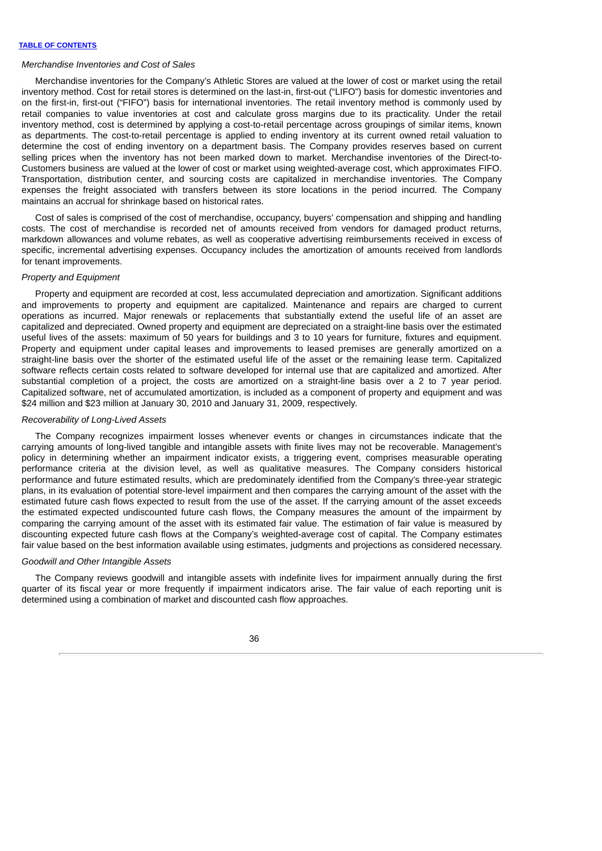# *Merchandise Inventories and Cost of Sales*

Merchandise inventories for the Company's Athletic Stores are valued at the lower of cost or market using the retail inventory method. Cost for retail stores is determined on the last-in, first-out ("LIFO") basis for domestic inventories and on the first-in, first-out ("FIFO") basis for international inventories. The retail inventory method is commonly used by retail companies to value inventories at cost and calculate gross margins due to its practicality. Under the retail inventory method, cost is determined by applying a cost-to-retail percentage across groupings of similar items, known as departments. The cost-to-retail percentage is applied to ending inventory at its current owned retail valuation to determine the cost of ending inventory on a department basis. The Company provides reserves based on current selling prices when the inventory has not been marked down to market. Merchandise inventories of the Direct-to-Customers business are valued at the lower of cost or market using weighted-average cost, which approximates FIFO. Transportation, distribution center, and sourcing costs are capitalized in merchandise inventories. The Company expenses the freight associated with transfers between its store locations in the period incurred. The Company maintains an accrual for shrinkage based on historical rates.

Cost of sales is comprised of the cost of merchandise, occupancy, buyers' compensation and shipping and handling costs. The cost of merchandise is recorded net of amounts received from vendors for damaged product returns, markdown allowances and volume rebates, as well as cooperative advertising reimbursements received in excess of specific, incremental advertising expenses. Occupancy includes the amortization of amounts received from landlords for tenant improvements.

# *Property and Equipment*

Property and equipment are recorded at cost, less accumulated depreciation and amortization. Significant additions and improvements to property and equipment are capitalized. Maintenance and repairs are charged to current operations as incurred. Major renewals or replacements that substantially extend the useful life of an asset are capitalized and depreciated. Owned property and equipment are depreciated on a straight-line basis over the estimated useful lives of the assets: maximum of 50 years for buildings and 3 to 10 years for furniture, fixtures and equipment. Property and equipment under capital leases and improvements to leased premises are generally amortized on a straight-line basis over the shorter of the estimated useful life of the asset or the remaining lease term. Capitalized software reflects certain costs related to software developed for internal use that are capitalized and amortized. After substantial completion of a project, the costs are amortized on a straight-line basis over a 2 to 7 year period. Capitalized software, net of accumulated amortization, is included as a component of property and equipment and was \$24 million and \$23 million at January 30, 2010 and January 31, 2009, respectively.

# *Recoverability of Long-Lived Assets*

The Company recognizes impairment losses whenever events or changes in circumstances indicate that the carrying amounts of long-lived tangible and intangible assets with finite lives may not be recoverable. Management's policy in determining whether an impairment indicator exists, a triggering event, comprises measurable operating performance criteria at the division level, as well as qualitative measures. The Company considers historical performance and future estimated results, which are predominately identified from the Company's three-year strategic plans, in its evaluation of potential store-level impairment and then compares the carrying amount of the asset with the estimated future cash flows expected to result from the use of the asset. If the carrying amount of the asset exceeds the estimated expected undiscounted future cash flows, the Company measures the amount of the impairment by comparing the carrying amount of the asset with its estimated fair value. The estimation of fair value is measured by discounting expected future cash flows at the Company's weighted-average cost of capital. The Company estimates fair value based on the best information available using estimates, judgments and projections as considered necessary.

# *Goodwill and Other Intangible Assets*

The Company reviews goodwill and intangible assets with indefinite lives for impairment annually during the first quarter of its fiscal year or more frequently if impairment indicators arise. The fair value of each reporting unit is determined using a combination of market and discounted cash flow approaches.

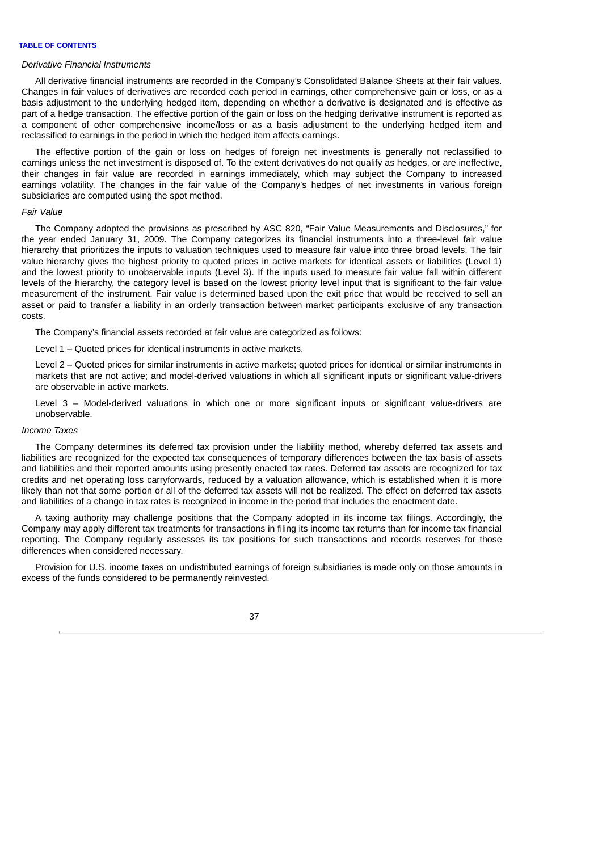### *Derivative Financial Instruments*

All derivative financial instruments are recorded in the Company's Consolidated Balance Sheets at their fair values. Changes in fair values of derivatives are recorded each period in earnings, other comprehensive gain or loss, or as a basis adjustment to the underlying hedged item, depending on whether a derivative is designated and is effective as part of a hedge transaction. The effective portion of the gain or loss on the hedging derivative instrument is reported as a component of other comprehensive income/loss or as a basis adjustment to the underlying hedged item and reclassified to earnings in the period in which the hedged item affects earnings.

The effective portion of the gain or loss on hedges of foreign net investments is generally not reclassified to earnings unless the net investment is disposed of. To the extent derivatives do not qualify as hedges, or are ineffective, their changes in fair value are recorded in earnings immediately, which may subject the Company to increased earnings volatility. The changes in the fair value of the Company's hedges of net investments in various foreign subsidiaries are computed using the spot method.

### *Fair Value*

The Company adopted the provisions as prescribed by ASC 820, "Fair Value Measurements and Disclosures," for the year ended January 31, 2009. The Company categorizes its financial instruments into a three-level fair value hierarchy that prioritizes the inputs to valuation techniques used to measure fair value into three broad levels. The fair value hierarchy gives the highest priority to quoted prices in active markets for identical assets or liabilities (Level 1) and the lowest priority to unobservable inputs (Level 3). If the inputs used to measure fair value fall within different levels of the hierarchy, the category level is based on the lowest priority level input that is significant to the fair value measurement of the instrument. Fair value is determined based upon the exit price that would be received to sell an asset or paid to transfer a liability in an orderly transaction between market participants exclusive of any transaction costs.

The Company's financial assets recorded at fair value are categorized as follows:

Level 1 – Quoted prices for identical instruments in active markets.

Level 2 – Quoted prices for similar instruments in active markets; quoted prices for identical or similar instruments in markets that are not active; and model-derived valuations in which all significant inputs or significant value-drivers are observable in active markets.

Level 3 – Model-derived valuations in which one or more significant inputs or significant value-drivers are unobservable.

#### *Income Taxes*

The Company determines its deferred tax provision under the liability method, whereby deferred tax assets and liabilities are recognized for the expected tax consequences of temporary differences between the tax basis of assets and liabilities and their reported amounts using presently enacted tax rates. Deferred tax assets are recognized for tax credits and net operating loss carryforwards, reduced by a valuation allowance, which is established when it is more likely than not that some portion or all of the deferred tax assets will not be realized. The effect on deferred tax assets and liabilities of a change in tax rates is recognized in income in the period that includes the enactment date.

A taxing authority may challenge positions that the Company adopted in its income tax filings. Accordingly, the Company may apply different tax treatments for transactions in filing its income tax returns than for income tax financial reporting. The Company regularly assesses its tax positions for such transactions and records reserves for those differences when considered necessary.

Provision for U.S. income taxes on undistributed earnings of foreign subsidiaries is made only on those amounts in excess of the funds considered to be permanently reinvested.

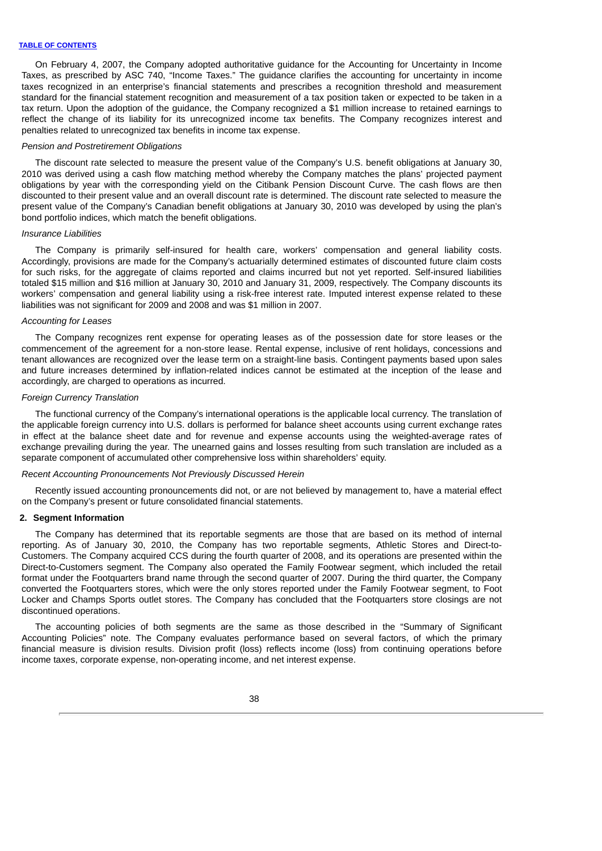On February 4, 2007, the Company adopted authoritative guidance for the Accounting for Uncertainty in Income Taxes, as prescribed by ASC 740, "Income Taxes." The guidance clarifies the accounting for uncertainty in income taxes recognized in an enterprise's financial statements and prescribes a recognition threshold and measurement standard for the financial statement recognition and measurement of a tax position taken or expected to be taken in a tax return. Upon the adoption of the guidance, the Company recognized a \$1 million increase to retained earnings to reflect the change of its liability for its unrecognized income tax benefits. The Company recognizes interest and penalties related to unrecognized tax benefits in income tax expense.

#### *Pension and Postretirement Obligations*

The discount rate selected to measure the present value of the Company's U.S. benefit obligations at January 30, 2010 was derived using a cash flow matching method whereby the Company matches the plans' projected payment obligations by year with the corresponding yield on the Citibank Pension Discount Curve. The cash flows are then discounted to their present value and an overall discount rate is determined. The discount rate selected to measure the present value of the Company's Canadian benefit obligations at January 30, 2010 was developed by using the plan's bond portfolio indices, which match the benefit obligations.

#### *Insurance Liabilities*

The Company is primarily self-insured for health care, workers' compensation and general liability costs. Accordingly, provisions are made for the Company's actuarially determined estimates of discounted future claim costs for such risks, for the aggregate of claims reported and claims incurred but not yet reported. Self-insured liabilities totaled \$15 million and \$16 million at January 30, 2010 and January 31, 2009, respectively. The Company discounts its workers' compensation and general liability using a risk-free interest rate. Imputed interest expense related to these liabilities was not significant for 2009 and 2008 and was \$1 million in 2007.

# *Accounting for Leases*

The Company recognizes rent expense for operating leases as of the possession date for store leases or the commencement of the agreement for a non-store lease. Rental expense, inclusive of rent holidays, concessions and tenant allowances are recognized over the lease term on a straight-line basis. Contingent payments based upon sales and future increases determined by inflation-related indices cannot be estimated at the inception of the lease and accordingly, are charged to operations as incurred.

### *Foreign Currency Translation*

The functional currency of the Company's international operations is the applicable local currency. The translation of the applicable foreign currency into U.S. dollars is performed for balance sheet accounts using current exchange rates in effect at the balance sheet date and for revenue and expense accounts using the weighted-average rates of exchange prevailing during the year. The unearned gains and losses resulting from such translation are included as a separate component of accumulated other comprehensive loss within shareholders' equity.

# *Recent Accounting Pronouncements Not Previously Discussed Herein*

Recently issued accounting pronouncements did not, or are not believed by management to, have a material effect on the Company's present or future consolidated financial statements.

#### **2. Segment Information**

The Company has determined that its reportable segments are those that are based on its method of internal reporting. As of January 30, 2010, the Company has two reportable segments, Athletic Stores and Direct-to-Customers. The Company acquired CCS during the fourth quarter of 2008, and its operations are presented within the Direct-to-Customers segment. The Company also operated the Family Footwear segment, which included the retail format under the Footquarters brand name through the second quarter of 2007. During the third quarter, the Company converted the Footquarters stores, which were the only stores reported under the Family Footwear segment, to Foot Locker and Champs Sports outlet stores. The Company has concluded that the Footquarters store closings are not discontinued operations.

The accounting policies of both segments are the same as those described in the "Summary of Significant Accounting Policies" note. The Company evaluates performance based on several factors, of which the primary financial measure is division results. Division profit (loss) reflects income (loss) from continuing operations before income taxes, corporate expense, non-operating income, and net interest expense.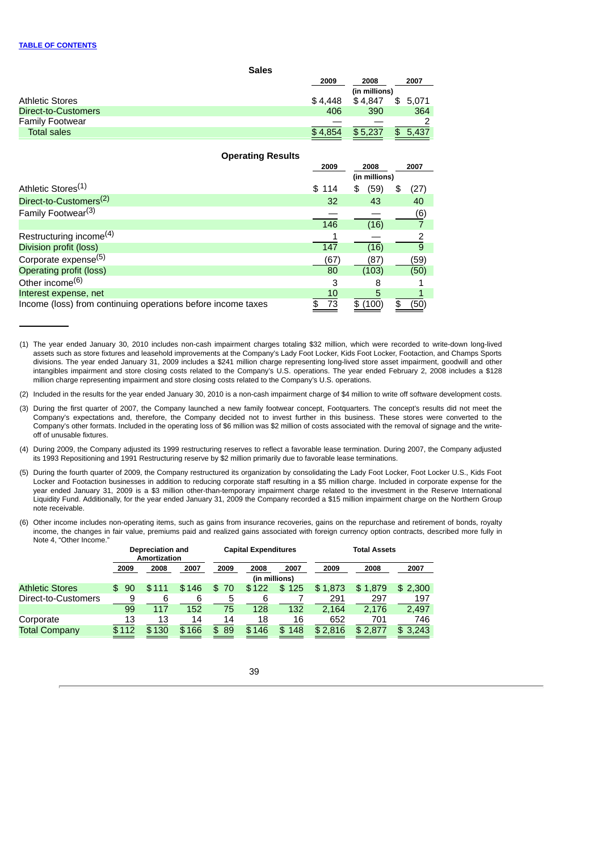|                                    | <b>Sales</b>             |         |               |               |       |
|------------------------------------|--------------------------|---------|---------------|---------------|-------|
|                                    |                          | 2009    | 2008          |               | 2007  |
|                                    |                          |         | (in millions) |               |       |
| <b>Athletic Stores</b>             |                          | \$4,448 | \$4,847       | \$            | 5,071 |
| Direct-to-Customers                |                          | 406     | 390           |               | 364   |
| <b>Family Footwear</b>             |                          |         |               |               | 2     |
| <b>Total sales</b>                 |                          | \$4,854 | \$5,237       | $\frac{1}{2}$ | 5,437 |
|                                    |                          |         |               |               |       |
|                                    | <b>Operating Results</b> |         |               |               |       |
|                                    |                          | 2009    | 2008          |               | 2007  |
|                                    |                          |         | (in millions) |               |       |
| Athletic Stores <sup>(1)</sup>     |                          | \$114   | (59)<br>\$    | \$            | (27)  |
| Direct-to-Customers <sup>(2)</sup> |                          | 32      | 43            |               | 40    |

| Family Footwear <sup>(3)</sup>                               |     |       | (6)  |
|--------------------------------------------------------------|-----|-------|------|
|                                                              | 146 | (16)  |      |
| Restructuring income <sup>(4)</sup>                          |     |       |      |
| Division profit (loss)                                       | 147 | (16)  |      |
| Corporate expense <sup>(5)</sup>                             | (67 | (87   | (59) |
| <b>Operating profit (loss)</b>                               | 80  | (103) | (50) |
| Other income <sup>(6)</sup>                                  |     |       |      |
| Interest expense, net                                        | 10  |       |      |
| Income (loss) from continuing operations before income taxes | 73  | (100  | (50) |

<sup>(1)</sup> The year ended January 30, 2010 includes non-cash impairment charges totaling \$32 million, which were recorded to write-down long-lived assets such as store fixtures and leasehold improvements at the Company's Lady Foot Locker, Kids Foot Locker, Footaction, and Champs Sports divisions. The year ended January 31, 2009 includes a \$241 million charge representing long-lived store asset impairment, goodwill and other intangibles impairment and store closing costs related to the Company's U.S. operations. The year ended February 2, 2008 includes a \$128 million charge representing impairment and store closing costs related to the Company's U.S. operations.

- (3) During the first quarter of 2007, the Company launched a new family footwear concept, Footquarters. The concept's results did not meet the Company's expectations and, therefore, the Company decided not to invest further in this business. These stores were converted to the Company's other formats. Included in the operating loss of \$6 million was \$2 million of costs associated with the removal of signage and the writeoff of unusable fixtures.
- (4) During 2009, the Company adjusted its 1999 restructuring reserves to reflect a favorable lease termination. During 2007, the Company adjusted its 1993 Repositioning and 1991 Restructuring reserve by \$2 million primarily due to favorable lease terminations.
- (5) During the fourth quarter of 2009, the Company restructured its organization by consolidating the Lady Foot Locker, Foot Locker U.S., Kids Foot Locker and Footaction businesses in addition to reducing corporate staff resulting in a \$5 million charge. Included in corporate expense for the year ended January 31, 2009 is a \$3 million other-than-temporary impairment charge related to the investment in the Reserve International Liquidity Fund. Additionally, for the year ended January 31, 2009 the Company recorded a \$15 million impairment charge on the Northern Group note receivable.
- (6) Other income includes non-operating items, such as gains from insurance recoveries, gains on the repurchase and retirement of bonds, royalty income, the changes in fair value, premiums paid and realized gains associated with foreign currency option contracts, described more fully in Note 4, "Other Income."

|                        | <b>Depreciation and</b><br>Amortization |       |       |          | <b>Capital Expenditures</b> |               |         | <b>Total Assets</b> |         |  |
|------------------------|-----------------------------------------|-------|-------|----------|-----------------------------|---------------|---------|---------------------|---------|--|
|                        | 2009                                    | 2008  | 2007  | 2009     | 2008                        | 2007          | 2009    | 2008                | 2007    |  |
|                        |                                         |       |       |          |                             | (in millions) |         |                     |         |  |
| <b>Athletic Stores</b> | 90<br>\$.                               | \$111 | \$146 | 70<br>\$ | \$122                       | \$125         | \$1.873 | \$1.879             | \$2,300 |  |
| Direct-to-Customers    | 9                                       | 6     | 6     | 5        | 6                           |               | 291     | 297                 | 197     |  |
|                        | 99                                      | 117   | 152   | 75       | 128                         | 132           | 2.164   | 2.176               | 2.497   |  |
| Corporate              | 13                                      | 13    | 14    | 14       | 18                          | 16            | 652     | 701                 | 746     |  |
| <b>Total Company</b>   | \$112                                   | \$130 | \$166 | 89<br>\$ | \$146                       | \$148         | \$2.816 | \$2.877             | \$3.243 |  |

<sup>(2)</sup> Included in the results for the year ended January 30, 2010 is a non-cash impairment charge of \$4 million to write off software development costs.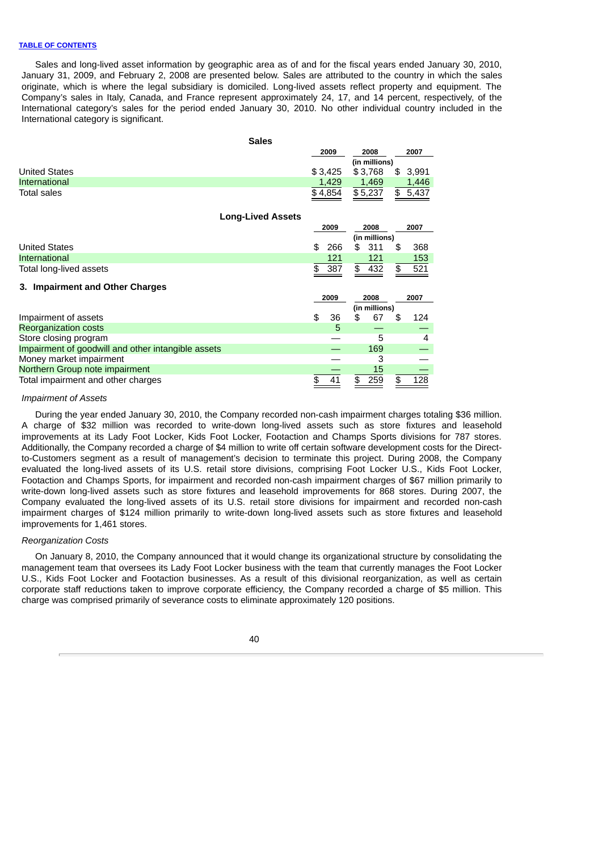Sales and long-lived asset information by geographic area as of and for the fiscal years ended January 30, 2010, January 31, 2009, and February 2, 2008 are presented below. Sales are attributed to the country in which the sales originate, which is where the legal subsidiary is domiciled. Long-lived assets reflect property and equipment. The Company's sales in Italy, Canada, and France represent approximately 24, 17, and 14 percent, respectively, of the International category's sales for the period ended January 30, 2010. No other individual country included in the International category is significant.

| <b>Sales</b>                                       |           |               |             |
|----------------------------------------------------|-----------|---------------|-------------|
|                                                    | 2009      | 2008          | 2007        |
|                                                    |           | (in millions) |             |
| <b>United States</b>                               | \$3,425   | \$3,768       | \$<br>3,991 |
| International                                      | 1,429     | 1,469         | 1,446       |
| Total sales                                        | \$4,854   | \$5,237       | \$<br>5,437 |
|                                                    |           |               |             |
| <b>Long-Lived Assets</b>                           |           |               |             |
|                                                    | 2009      | 2008          | 2007        |
|                                                    |           | (in millions) |             |
| <b>United States</b>                               | \$<br>266 | \$<br>311     | \$<br>368   |
| <b>International</b>                               | 121       | 121           | 153         |
| Total long-lived assets                            | \$<br>387 | \$<br>432     | \$<br>521   |
|                                                    |           |               |             |
| 3. Impairment and Other Charges                    |           |               |             |
|                                                    | 2009      | 2008          | 2007        |
|                                                    |           | (in millions) |             |
| Impairment of assets                               | \$<br>36  | \$<br>67      | \$<br>124   |
| <b>Reorganization costs</b>                        | 5         |               |             |
| Store closing program                              |           | 5             | 4           |
| Impairment of goodwill and other intangible assets |           | 169           |             |
| Money market impairment                            |           | 3             |             |
| Northern Group note impairment                     |           | 15            |             |
| Total impairment and other charges                 | \$<br>41  | \$<br>259     | \$<br>128   |

#### *Impairment of Assets*

During the year ended January 30, 2010, the Company recorded non-cash impairment charges totaling \$36 million. A charge of \$32 million was recorded to write-down long-lived assets such as store fixtures and leasehold improvements at its Lady Foot Locker, Kids Foot Locker, Footaction and Champs Sports divisions for 787 stores. Additionally, the Company recorded a charge of \$4 million to write off certain software development costs for the Directto-Customers segment as a result of management's decision to terminate this project. During 2008, the Company evaluated the long-lived assets of its U.S. retail store divisions, comprising Foot Locker U.S., Kids Foot Locker, Footaction and Champs Sports, for impairment and recorded non-cash impairment charges of \$67 million primarily to write-down long-lived assets such as store fixtures and leasehold improvements for 868 stores. During 2007, the Company evaluated the long-lived assets of its U.S. retail store divisions for impairment and recorded non-cash impairment charges of \$124 million primarily to write-down long-lived assets such as store fixtures and leasehold improvements for 1,461 stores.

### *Reorganization Costs*

On January 8, 2010, the Company announced that it would change its organizational structure by consolidating the management team that oversees its Lady Foot Locker business with the team that currently manages the Foot Locker U.S., Kids Foot Locker and Footaction businesses. As a result of this divisional reorganization, as well as certain corporate staff reductions taken to improve corporate efficiency, the Company recorded a charge of \$5 million. This charge was comprised primarily of severance costs to eliminate approximately 120 positions.

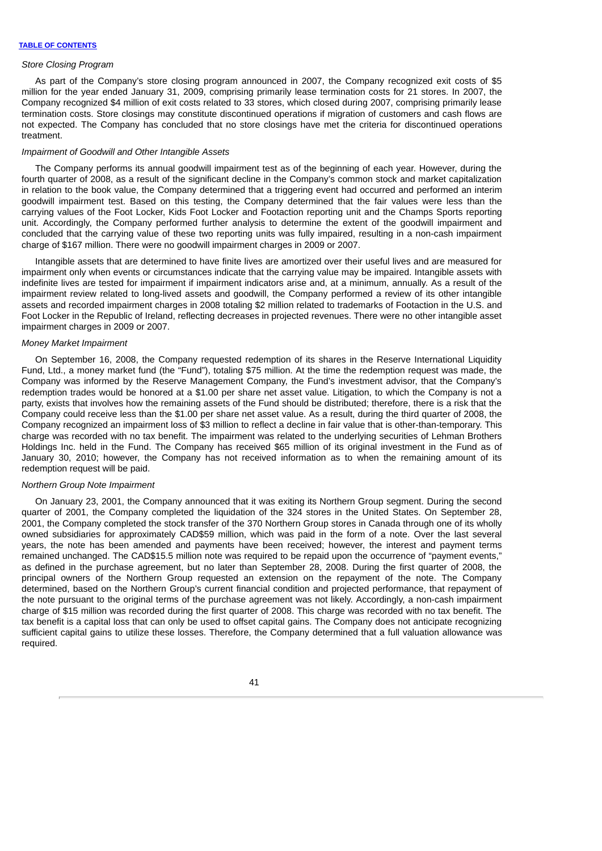### *Store Closing Program*

As part of the Company's store closing program announced in 2007, the Company recognized exit costs of \$5 million for the year ended January 31, 2009, comprising primarily lease termination costs for 21 stores. In 2007, the Company recognized \$4 million of exit costs related to 33 stores, which closed during 2007, comprising primarily lease termination costs. Store closings may constitute discontinued operations if migration of customers and cash flows are not expected. The Company has concluded that no store closings have met the criteria for discontinued operations treatment.

## *Impairment of Goodwill and Other Intangible Assets*

The Company performs its annual goodwill impairment test as of the beginning of each year. However, during the fourth quarter of 2008, as a result of the significant decline in the Company's common stock and market capitalization in relation to the book value, the Company determined that a triggering event had occurred and performed an interim goodwill impairment test. Based on this testing, the Company determined that the fair values were less than the carrying values of the Foot Locker, Kids Foot Locker and Footaction reporting unit and the Champs Sports reporting unit. Accordingly, the Company performed further analysis to determine the extent of the goodwill impairment and concluded that the carrying value of these two reporting units was fully impaired, resulting in a non-cash impairment charge of \$167 million. There were no goodwill impairment charges in 2009 or 2007.

Intangible assets that are determined to have finite lives are amortized over their useful lives and are measured for impairment only when events or circumstances indicate that the carrying value may be impaired. Intangible assets with indefinite lives are tested for impairment if impairment indicators arise and, at a minimum, annually. As a result of the impairment review related to long-lived assets and goodwill, the Company performed a review of its other intangible assets and recorded impairment charges in 2008 totaling \$2 million related to trademarks of Footaction in the U.S. and Foot Locker in the Republic of Ireland, reflecting decreases in projected revenues. There were no other intangible asset impairment charges in 2009 or 2007.

### *Money Market Impairment*

On September 16, 2008, the Company requested redemption of its shares in the Reserve International Liquidity Fund, Ltd., a money market fund (the "Fund"), totaling \$75 million. At the time the redemption request was made, the Company was informed by the Reserve Management Company, the Fund's investment advisor, that the Company's redemption trades would be honored at a \$1.00 per share net asset value. Litigation, to which the Company is not a party, exists that involves how the remaining assets of the Fund should be distributed; therefore, there is a risk that the Company could receive less than the \$1.00 per share net asset value. As a result, during the third quarter of 2008, the Company recognized an impairment loss of \$3 million to reflect a decline in fair value that is other-than-temporary. This charge was recorded with no tax benefit. The impairment was related to the underlying securities of Lehman Brothers Holdings Inc. held in the Fund. The Company has received \$65 million of its original investment in the Fund as of January 30, 2010; however, the Company has not received information as to when the remaining amount of its redemption request will be paid.

#### *Northern Group Note Impairment*

On January 23, 2001, the Company announced that it was exiting its Northern Group segment. During the second quarter of 2001, the Company completed the liquidation of the 324 stores in the United States. On September 28, 2001, the Company completed the stock transfer of the 370 Northern Group stores in Canada through one of its wholly owned subsidiaries for approximately CAD\$59 million, which was paid in the form of a note. Over the last several years, the note has been amended and payments have been received; however, the interest and payment terms remained unchanged. The CAD\$15.5 million note was required to be repaid upon the occurrence of "payment events," as defined in the purchase agreement, but no later than September 28, 2008. During the first quarter of 2008, the principal owners of the Northern Group requested an extension on the repayment of the note. The Company determined, based on the Northern Group's current financial condition and projected performance, that repayment of the note pursuant to the original terms of the purchase agreement was not likely. Accordingly, a non-cash impairment charge of \$15 million was recorded during the first quarter of 2008. This charge was recorded with no tax benefit. The tax benefit is a capital loss that can only be used to offset capital gains. The Company does not anticipate recognizing sufficient capital gains to utilize these losses. Therefore, the Company determined that a full valuation allowance was required.

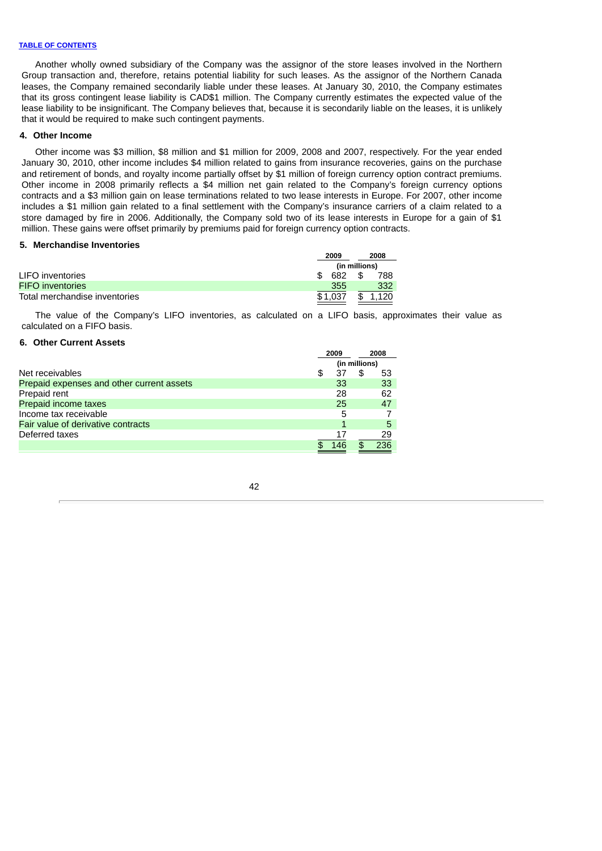Another wholly owned subsidiary of the Company was the assignor of the store leases involved in the Northern Group transaction and, therefore, retains potential liability for such leases. As the assignor of the Northern Canada leases, the Company remained secondarily liable under these leases. At January 30, 2010, the Company estimates that its gross contingent lease liability is CAD\$1 million. The Company currently estimates the expected value of the lease liability to be insignificant. The Company believes that, because it is secondarily liable on the leases, it is unlikely that it would be required to make such contingent payments.

#### **4. Other Income**

Other income was \$3 million, \$8 million and \$1 million for 2009, 2008 and 2007, respectively. For the year ended January 30, 2010, other income includes \$4 million related to gains from insurance recoveries, gains on the purchase and retirement of bonds, and royalty income partially offset by \$1 million of foreign currency option contract premiums. Other income in 2008 primarily reflects a \$4 million net gain related to the Company's foreign currency options contracts and a \$3 million gain on lease terminations related to two lease interests in Europe. For 2007, other income includes a \$1 million gain related to a final settlement with the Company's insurance carriers of a claim related to a store damaged by fire in 2006. Additionally, the Company sold two of its lease interests in Europe for a gain of \$1 million. These gains were offset primarily by premiums paid for foreign currency option contracts.

#### **5. Merchandise Inventories**

|                               | 2009 |               |  | 2008 |
|-------------------------------|------|---------------|--|------|
|                               |      | (in millions) |  |      |
| LIFO inventories              | \$   | 682           |  | 788  |
| <b>FIFO</b> inventories       |      | 355           |  | 332  |
| Total merchandise inventories |      | \$1.037       |  |      |

The value of the Company's LIFO inventories, as calculated on a LIFO basis, approximates their value as calculated on a FIFO basis.

### **6. Other Current Assets**

|                                           |    | 2009 |               | 2008 |  |
|-------------------------------------------|----|------|---------------|------|--|
|                                           |    |      | (in millions) |      |  |
| Net receivables                           | £. |      | \$            | 53   |  |
| Prepaid expenses and other current assets |    | 33   |               | 33   |  |
| Prepaid rent                              |    | 28   |               | 62   |  |
| Prepaid income taxes                      |    | 25   |               | 47   |  |
| Income tax receivable                     |    | 5    |               |      |  |
| Fair value of derivative contracts        |    |      |               | 5    |  |
| Deferred taxes                            |    | 17   |               | 29   |  |
|                                           |    |      |               | ววค  |  |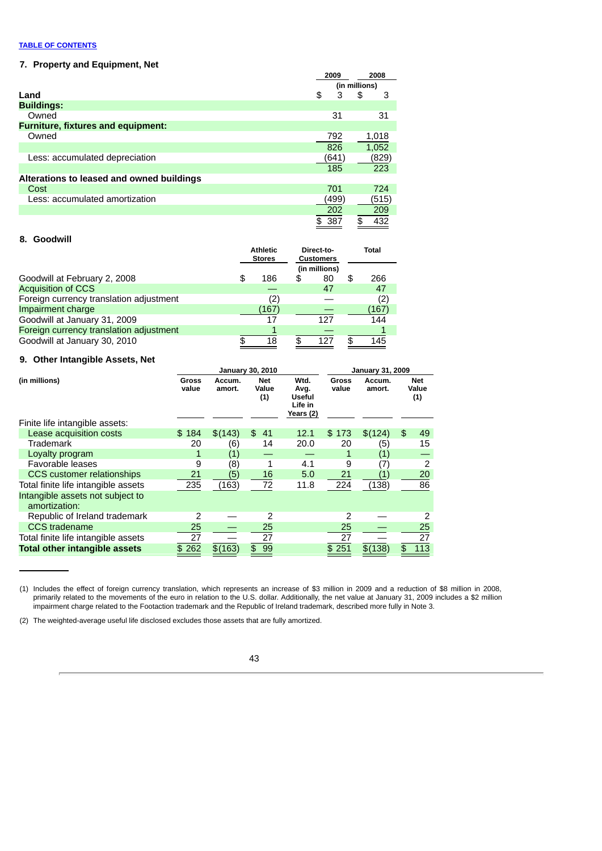# **7. Property and Equipment, Net**

|                                           | 2009      | 2008          |
|-------------------------------------------|-----------|---------------|
|                                           |           | (in millions) |
| Land                                      | \$<br>3   | \$<br>3       |
| <b>Buildings:</b>                         |           |               |
| Owned                                     | 31        | 31            |
| <b>Furniture, fixtures and equipment:</b> |           |               |
| Owned                                     | 792       | 1,018         |
|                                           | 826       | 1,052         |
| Less: accumulated depreciation            | (641)     | (829)         |
|                                           | 185       | 223           |
| Alterations to leased and owned buildings |           |               |
| Cost                                      | 701       | 724           |
| Less: accumulated amortization            | (499)     | (515)         |
|                                           | 202       | 209           |
|                                           | 387<br>\$ | 432<br>\$     |
|                                           |           |               |

# **8. Goodwill**

|                                         | <b>Athletic</b><br><b>Stores</b> |       | Direct-to-<br><b>Customers</b> |    | <b>Total</b> |
|-----------------------------------------|----------------------------------|-------|--------------------------------|----|--------------|
|                                         |                                  |       | (in millions)                  |    |              |
| Goodwill at February 2, 2008            | \$                               | 186   | \$<br>80                       | \$ | 266          |
| <b>Acquisition of CCS</b>               |                                  |       | 47                             |    | 47           |
| Foreign currency translation adjustment |                                  | (2)   |                                |    | (2)          |
| Impairment charge                       |                                  | (167) |                                |    | (167)        |
| Goodwill at January 31, 2009            |                                  | 17    | 127                            |    | 144          |
| Foreign currency translation adjustment |                                  |       |                                |    |              |
| Goodwill at January 30, 2010            |                                  | 18    | 127                            | £. | 145          |

# **9. Other Intangible Assets, Net**

|                                                   |                       |                  | <b>January 30, 2010</b>    |                                                       | <b>January 31, 2009</b> |                   |    |                     |  |  |
|---------------------------------------------------|-----------------------|------------------|----------------------------|-------------------------------------------------------|-------------------------|-------------------|----|---------------------|--|--|
| (in millions)                                     | <b>Gross</b><br>value | Accum.<br>amort. | <b>Net</b><br>Value<br>(1) | Wtd.<br>Avg.<br><b>Useful</b><br>Life in<br>Years (2) | <b>Gross</b><br>value   | Accum.<br>amort.  |    | Net<br>Value<br>(1) |  |  |
| Finite life intangible assets:                    |                       |                  |                            |                                                       |                         |                   |    |                     |  |  |
| Lease acquisition costs                           | \$184                 | \$(143)          | \$<br>41                   | 12.1                                                  | \$173                   | \$(124)           | \$ | 49                  |  |  |
| Trademark                                         | 20                    | (6)              | 14                         | 20.0                                                  | 20                      | (5)               |    | 15                  |  |  |
| Loyalty program                                   | 1                     | (1)              |                            |                                                       |                         | (1)               |    |                     |  |  |
| Favorable leases                                  | 9                     | (8)              |                            | 4.1                                                   | 9                       | (7)               |    | 2                   |  |  |
| <b>CCS</b> customer relationships                 | 21                    | (5)              | 16                         | 5.0                                                   | 21                      | $\left( 1\right)$ |    | 20                  |  |  |
| Total finite life intangible assets               | 235                   | (163)            | 72                         | 11.8                                                  | 224                     | (138)             |    | 86                  |  |  |
| Intangible assets not subject to<br>amortization: |                       |                  |                            |                                                       |                         |                   |    |                     |  |  |
| Republic of Ireland trademark                     | 2                     |                  | 2                          |                                                       | 2                       |                   |    | 2                   |  |  |
| <b>CCS</b> tradename                              | 25                    |                  | 25                         |                                                       | 25                      |                   |    | 25                  |  |  |
| Total finite life intangible assets               | 27                    |                  | 27                         |                                                       | 27                      |                   |    | 27                  |  |  |
| <b>Total other intangible assets</b>              | \$262                 | \$(163)          | \$99                       |                                                       | \$251                   | \$(138)           |    | 113                 |  |  |

<sup>(1)</sup> Includes the effect of foreign currency translation, which represents an increase of \$3 million in 2009 and a reduction of \$8 million in 2008, primarily related to the movements of the euro in relation to the U.S. dollar. Additionally, the net value at January 31, 2009 includes a \$2 million impairment charge related to the Footaction trademark and the Republic of Ireland trademark, described more fully in Note 3.

(2) The weighted-average useful life disclosed excludes those assets that are fully amortized.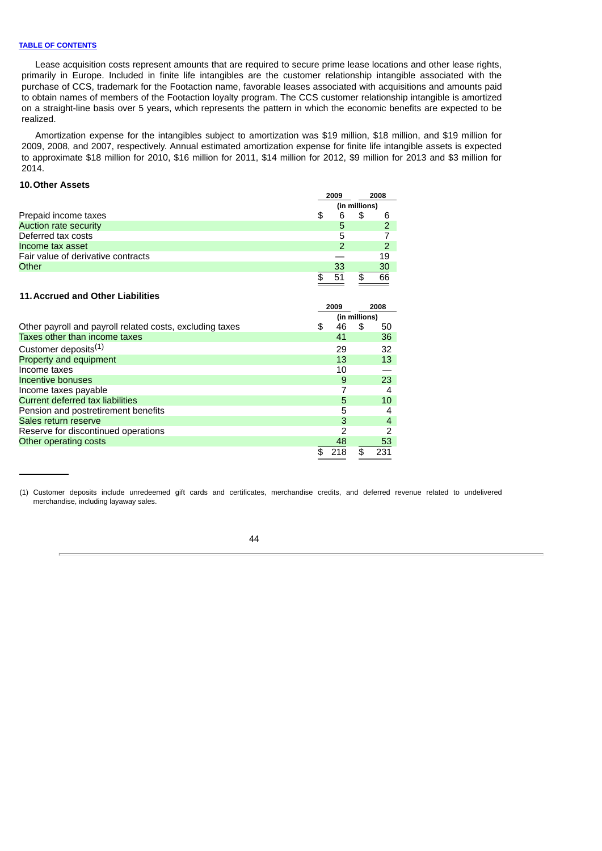Lease acquisition costs represent amounts that are required to secure prime lease locations and other lease rights, primarily in Europe. Included in finite life intangibles are the customer relationship intangible associated with the purchase of CCS, trademark for the Footaction name, favorable leases associated with acquisitions and amounts paid to obtain names of members of the Footaction loyalty program. The CCS customer relationship intangible is amortized on a straight-line basis over 5 years, which represents the pattern in which the economic benefits are expected to be realized.

Amortization expense for the intangibles subject to amortization was \$19 million, \$18 million, and \$19 million for 2009, 2008, and 2007, respectively. Annual estimated amortization expense for finite life intangible assets is expected to approximate \$18 million for 2010, \$16 million for 2011, \$14 million for 2012, \$9 million for 2013 and \$3 million for 2014.

# **10.Other Assets**

|                                                          | 2009 |                 | 2008          |                |
|----------------------------------------------------------|------|-----------------|---------------|----------------|
|                                                          |      |                 | (in millions) |                |
| Prepaid income taxes                                     | \$   | 6               | \$            | 6              |
| Auction rate security                                    |      | 5               |               | $\overline{2}$ |
| Deferred tax costs                                       |      | 5               |               |                |
| Income tax asset                                         |      | $\overline{2}$  |               | $\overline{2}$ |
| Fair value of derivative contracts                       |      |                 |               | 19             |
| Other                                                    |      | 33              |               | 30             |
|                                                          | \$   | $\overline{51}$ | \$            | 66             |
| 11. Accrued and Other Liabilities                        |      |                 |               |                |
|                                                          |      | 2009            |               | 2008           |
|                                                          |      |                 | (in millions) |                |
| Other payroll and payroll related costs, excluding taxes | \$   | 46              | \$            | 50             |
| Taxes other than income taxes                            |      | 41              |               | 36             |
| Customer deposits <sup>(1)</sup>                         |      | 29              |               | 32             |
| Property and equipment                                   |      | 13              |               | 13             |
| Income taxes                                             |      | 10              |               |                |
| Incentive bonuses                                        |      | 9               |               | 23             |
| Income taxes payable                                     |      |                 |               | $\overline{4}$ |
| Current deferred tax liabilities                         |      | 5               |               | 10             |
| Pension and postretirement benefits                      |      | 5               |               | 4              |
| Sales return reserve                                     |      | 3               |               | $\overline{4}$ |
| Reserve for discontinued operations                      |      | 2               |               | $\overline{c}$ |
| Other operating costs                                    |      | 48              |               | 53             |

<sup>(1)</sup> Customer deposits include unredeemed gift cards and certificates, merchandise credits, and deferred revenue related to undelivered merchandise, including layaway sales.

 $\overline{\$}$  218  $\overline{\$}$  231

<sup>44</sup>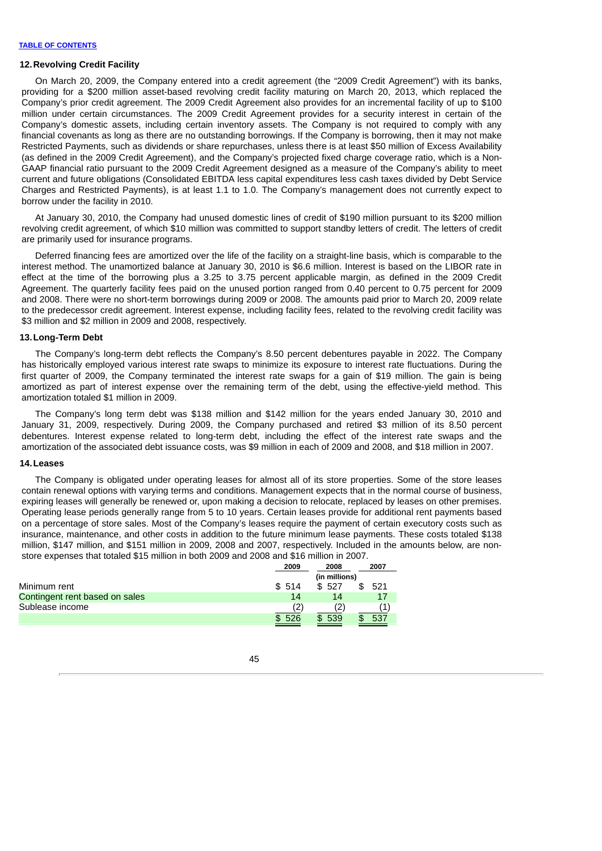# **12.Revolving Credit Facility**

On March 20, 2009, the Company entered into a credit agreement (the "2009 Credit Agreement") with its banks, providing for a \$200 million asset-based revolving credit facility maturing on March 20, 2013, which replaced the Company's prior credit agreement. The 2009 Credit Agreement also provides for an incremental facility of up to \$100 million under certain circumstances. The 2009 Credit Agreement provides for a security interest in certain of the Company's domestic assets, including certain inventory assets. The Company is not required to comply with any financial covenants as long as there are no outstanding borrowings. If the Company is borrowing, then it may not make Restricted Payments, such as dividends or share repurchases, unless there is at least \$50 million of Excess Availability (as defined in the 2009 Credit Agreement), and the Company's projected fixed charge coverage ratio, which is a Non-GAAP financial ratio pursuant to the 2009 Credit Agreement designed as a measure of the Company's ability to meet current and future obligations (Consolidated EBITDA less capital expenditures less cash taxes divided by Debt Service Charges and Restricted Payments), is at least 1.1 to 1.0. The Company's management does not currently expect to borrow under the facility in 2010.

At January 30, 2010, the Company had unused domestic lines of credit of \$190 million pursuant to its \$200 million revolving credit agreement, of which \$10 million was committed to support standby letters of credit. The letters of credit are primarily used for insurance programs.

Deferred financing fees are amortized over the life of the facility on a straight-line basis, which is comparable to the interest method. The unamortized balance at January 30, 2010 is \$6.6 million. Interest is based on the LIBOR rate in effect at the time of the borrowing plus a 3.25 to 3.75 percent applicable margin, as defined in the 2009 Credit Agreement. The quarterly facility fees paid on the unused portion ranged from 0.40 percent to 0.75 percent for 2009 and 2008. There were no short-term borrowings during 2009 or 2008. The amounts paid prior to March 20, 2009 relate to the predecessor credit agreement. Interest expense, including facility fees, related to the revolving credit facility was \$3 million and \$2 million in 2009 and 2008, respectively.

### **13.Long-Term Debt**

The Company's long-term debt reflects the Company's 8.50 percent debentures payable in 2022. The Company has historically employed various interest rate swaps to minimize its exposure to interest rate fluctuations. During the first quarter of 2009, the Company terminated the interest rate swaps for a gain of \$19 million. The gain is being amortized as part of interest expense over the remaining term of the debt, using the effective-yield method. This amortization totaled \$1 million in 2009.

The Company's long term debt was \$138 million and \$142 million for the years ended January 30, 2010 and January 31, 2009, respectively. During 2009, the Company purchased and retired \$3 million of its 8.50 percent debentures. Interest expense related to long-term debt, including the effect of the interest rate swaps and the amortization of the associated debt issuance costs, was \$9 million in each of 2009 and 2008, and \$18 million in 2007.

### **14.Leases**

The Company is obligated under operating leases for almost all of its store properties. Some of the store leases contain renewal options with varying terms and conditions. Management expects that in the normal course of business, expiring leases will generally be renewed or, upon making a decision to relocate, replaced by leases on other premises. Operating lease periods generally range from 5 to 10 years. Certain leases provide for additional rent payments based on a percentage of store sales. Most of the Company's leases require the payment of certain executory costs such as insurance, maintenance, and other costs in addition to the future minimum lease payments. These costs totaled \$138 million, \$147 million, and \$151 million in 2009, 2008 and 2007, respectively. Included in the amounts below, are nonstore expenses that totaled \$15 million in both 2009 and 2008 and \$16 million in 2007.

|                                | 2009  | 2008          | 2007 |  |
|--------------------------------|-------|---------------|------|--|
|                                |       | (in millions) |      |  |
| Minimum rent                   | \$514 | \$527         | 521  |  |
| Contingent rent based on sales | 14    | 14            | 17   |  |
| Sublease income                |       |               |      |  |
|                                | \$526 | 539           |      |  |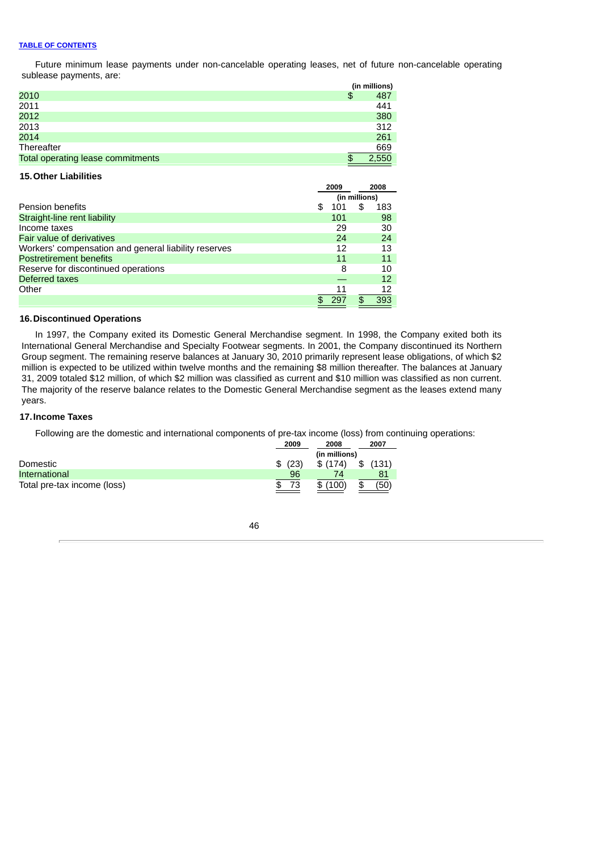Future minimum lease payments under non-cancelable operating leases, net of future non-cancelable operating sublease payments, are:

|                                   | (in millions) |
|-----------------------------------|---------------|
| 2010                              | \$<br>487     |
| 2011                              | 441           |
| 2012                              | 380           |
| 2013                              | 312           |
| 2014                              | 261           |
| Thereafter                        | 669           |
| Total operating lease commitments | 2,550         |

# **15.Other Liabilities**

|                                                      | 2009          |     | 2008 |     |
|------------------------------------------------------|---------------|-----|------|-----|
|                                                      | (in millions) |     |      |     |
| <b>Pension benefits</b>                              | \$            | 101 | \$   | 183 |
| Straight-line rent liability                         |               | 101 |      | 98  |
| Income taxes                                         |               | 29  |      | 30  |
| <b>Fair value of derivatives</b>                     |               | 24  |      | 24  |
| Workers' compensation and general liability reserves |               | 12  |      | 13  |
| <b>Postretirement benefits</b>                       |               | 11  |      | 11  |
| Reserve for discontinued operations                  |               | 8   |      | 10  |
| Deferred taxes                                       |               |     |      | 12  |
| Other                                                |               | 11  |      | 12  |
|                                                      |               | 29  |      | 393 |

# **16.Discontinued Operations**

In 1997, the Company exited its Domestic General Merchandise segment. In 1998, the Company exited both its International General Merchandise and Specialty Footwear segments. In 2001, the Company discontinued its Northern Group segment. The remaining reserve balances at January 30, 2010 primarily represent lease obligations, of which \$2 million is expected to be utilized within twelve months and the remaining \$8 million thereafter. The balances at January 31, 2009 totaled \$12 million, of which \$2 million was classified as current and \$10 million was classified as non current. The majority of the reserve balance relates to the Domestic General Merchandise segment as the leases extend many years.

### **17.Income Taxes**

Following are the domestic and international components of pre-tax income (loss) from continuing operations:

|                             | 2009    | 2008          | 2007     |
|-----------------------------|---------|---------------|----------|
|                             |         | (in millions) |          |
| Domestic                    | \$ (23) | \$(174)       | \$ (131) |
| International               | 96      | 74            | 81       |
| Total pre-tax income (loss) |         | (100)<br>\$   | (50`     |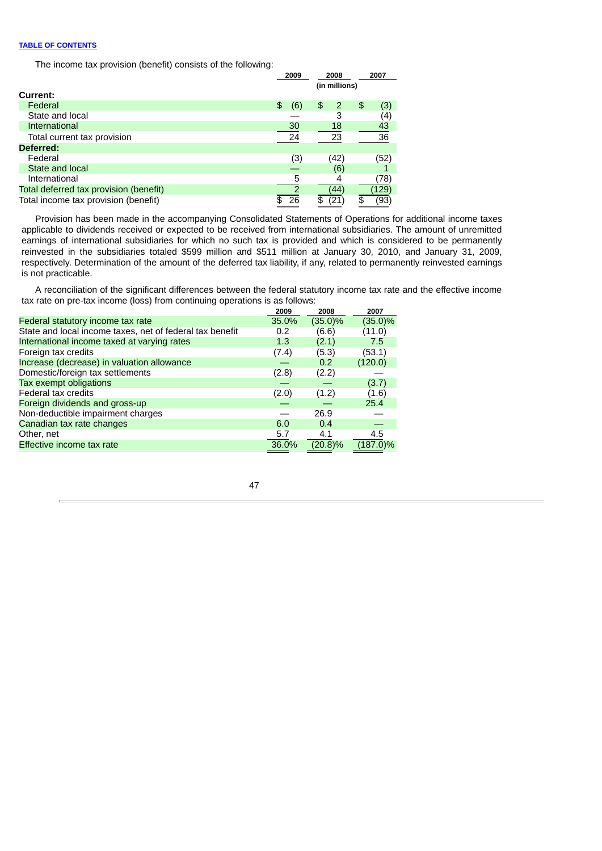The income tax provision (benefit) consists of the following:

|                                        |     | 2009<br>2008 |     |               | 2007       |  |
|----------------------------------------|-----|--------------|-----|---------------|------------|--|
|                                        |     |              |     | (in millions) |            |  |
| <b>Current:</b>                        |     |              |     |               |            |  |
| Federal                                | \$  | (6)          | \$  | 2             | \$<br>(3)  |  |
| State and local                        |     |              |     |               | (4)        |  |
| International                          |     | 30           |     | 18            | 43         |  |
| Total current tax provision            |     | 24           |     | 23            | 36         |  |
| Deferred:                              |     |              |     |               |            |  |
| Federal                                |     | (3)          |     | (42)          | (52)       |  |
| State and local                        |     |              |     | (6)           |            |  |
| International                          |     | 5            |     |               | (78)       |  |
| Total deferred tax provision (benefit) |     |              |     | 44            | (129)      |  |
| Total income tax provision (benefit)   | \$. | -26          | \$. |               | \$<br>(93) |  |

Provision has been made in the accompanying Consolidated Statements of Operations for additional income taxes applicable to dividends received or expected to be received from international subsidiaries. The amount of unremitted earnings of international subsidiaries for which no such tax is provided and which is considered to be permanently reinvested in the subsidiaries totaled \$599 million and \$511 million at January 30, 2010, and January 31, 2009, respectively. Determination of the amount of the deferred tax liability, if any, related to permanently reinvested earnings is not practicable.

A reconciliation of the significant differences between the federal statutory income tax rate and the effective income tax rate on pre-tax income (loss) from continuing operations is as follows:

|                                                          | 2009  | 2008       | 2007        |
|----------------------------------------------------------|-------|------------|-------------|
| Federal statutory income tax rate                        | 35.0% | $(35.0)\%$ | $(35.0)\%$  |
| State and local income taxes, net of federal tax benefit | 0.2   | (6.6)      | (11.0)      |
| International income taxed at varying rates              | 1.3   | (2.1)      | 7.5         |
| Foreign tax credits                                      | (7.4) | (5.3)      | (53.1)      |
| Increase (decrease) in valuation allowance               |       | 0.2        | (120.0)     |
| Domestic/foreign tax settlements                         | (2.8) | (2.2)      |             |
| Tax exempt obligations                                   |       |            | (3.7)       |
| Federal tax credits                                      | (2.0) | (1.2)      | (1.6)       |
| Foreign dividends and gross-up                           |       |            | 25.4        |
| Non-deductible impairment charges                        |       | 26.9       |             |
| Canadian tax rate changes                                | 6.0   | 0.4        |             |
| Other, net                                               | 5.7   | 4.1        | 4.5         |
| Effective income tax rate                                | 36.0% | $(20.8)\%$ | $(187.0)\%$ |
|                                                          |       |            |             |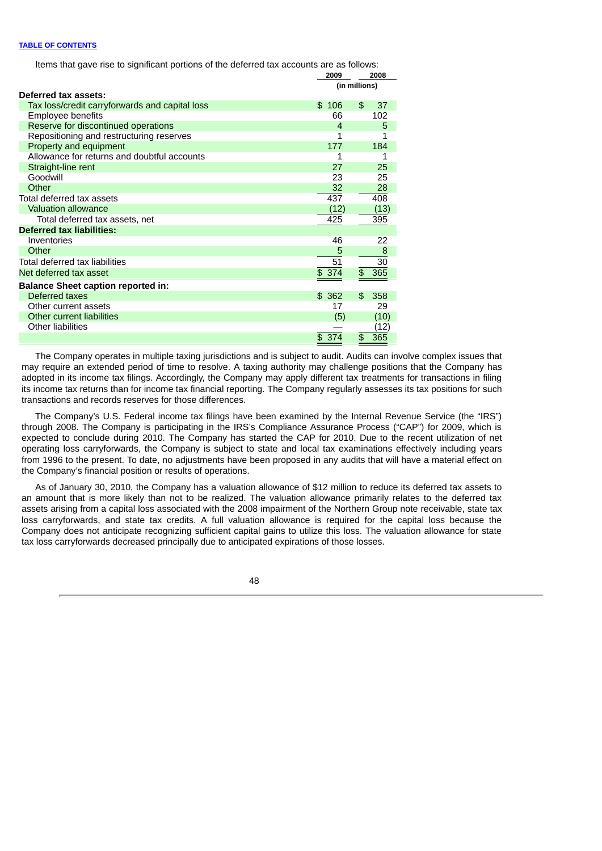Items that gave rise to significant portions of the deferred tax accounts are as follows:

|                                                | 2009       | 2008          |
|------------------------------------------------|------------|---------------|
|                                                |            | (in millions) |
| Deferred tax assets:                           |            |               |
| Tax loss/credit carryforwards and capital loss | 106<br>\$. | \$<br>37      |
| Employee benefits                              | 66         | 102           |
| Reserve for discontinued operations            | 4          | 5             |
| Repositioning and restructuring reserves       | 1          | 1             |
| Property and equipment                         | 177        | 184           |
| Allowance for returns and doubtful accounts    |            | 1             |
| Straight-line rent                             | 27         | 25            |
| Goodwill                                       | 23         | 25            |
| Other                                          | 32         | 28            |
| Total deferred tax assets                      | 437        | 408           |
| <b>Valuation allowance</b>                     | (12)       | (13)          |
| Total deferred tax assets, net                 | 425        | 395           |
| <b>Deferred tax liabilities:</b>               |            |               |
| Inventories                                    | 46         | 22            |
| Other                                          | 5          | 8             |
| Total deferred tax liabilities                 | 51         | 30            |
| Net deferred tax asset                         | \$ 374     | 365<br>\$     |
| <b>Balance Sheet caption reported in:</b>      |            |               |
| Deferred taxes                                 | \$362      | \$<br>358     |
| Other current assets                           | 17         | 29            |
| <b>Other current liabilities</b>               | (5)        | (10)          |
| <b>Other liabilities</b>                       |            | (12)          |
|                                                | \$374      | \$<br>365     |

The Company operates in multiple taxing jurisdictions and is subject to audit. Audits can involve complex issues that may require an extended period of time to resolve. A taxing authority may challenge positions that the Company has adopted in its income tax filings. Accordingly, the Company may apply different tax treatments for transactions in filing its income tax returns than for income tax financial reporting. The Company regularly assesses its tax positions for such transactions and records reserves for those differences.

The Company's U.S. Federal income tax filings have been examined by the Internal Revenue Service (the "IRS") through 2008. The Company is participating in the IRS's Compliance Assurance Process ("CAP") for 2009, which is expected to conclude during 2010. The Company has started the CAP for 2010. Due to the recent utilization of net operating loss carryforwards, the Company is subject to state and local tax examinations effectively including years from 1996 to the present. To date, no adjustments have been proposed in any audits that will have a material effect on the Company's financial position or results of operations.

As of January 30, 2010, the Company has a valuation allowance of \$12 million to reduce its deferred tax assets to an amount that is more likely than not to be realized. The valuation allowance primarily relates to the deferred tax assets arising from a capital loss associated with the 2008 impairment of the Northern Group note receivable, state tax loss carryforwards, and state tax credits. A full valuation allowance is required for the capital loss because the Company does not anticipate recognizing sufficient capital gains to utilize this loss. The valuation allowance for state tax loss carryforwards decreased principally due to anticipated expirations of those losses.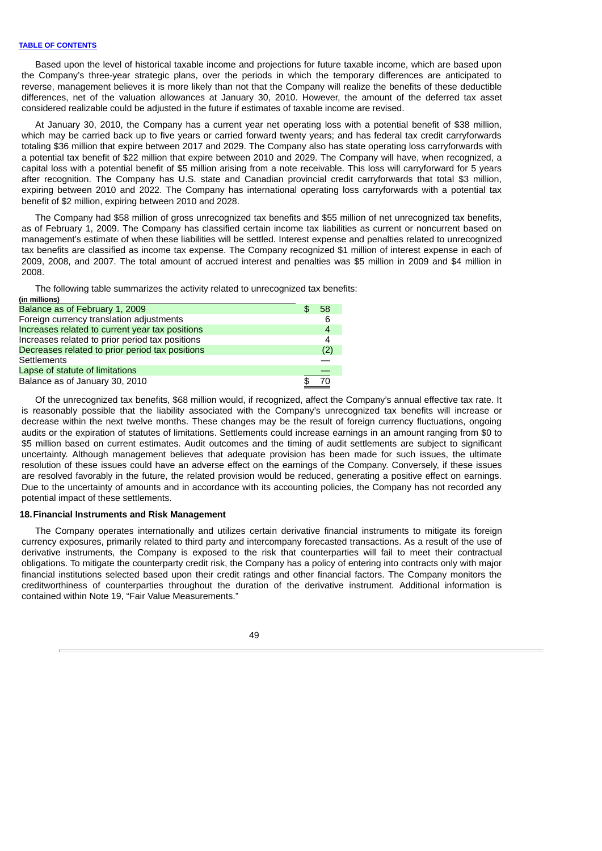Based upon the level of historical taxable income and projections for future taxable income, which are based upon the Company's three-year strategic plans, over the periods in which the temporary differences are anticipated to reverse, management believes it is more likely than not that the Company will realize the benefits of these deductible differences, net of the valuation allowances at January 30, 2010. However, the amount of the deferred tax asset considered realizable could be adjusted in the future if estimates of taxable income are revised.

At January 30, 2010, the Company has a current year net operating loss with a potential benefit of \$38 million, which may be carried back up to five years or carried forward twenty years; and has federal tax credit carryforwards totaling \$36 million that expire between 2017 and 2029. The Company also has state operating loss carryforwards with a potential tax benefit of \$22 million that expire between 2010 and 2029. The Company will have, when recognized, a capital loss with a potential benefit of \$5 million arising from a note receivable. This loss will carryforward for 5 years after recognition. The Company has U.S. state and Canadian provincial credit carryforwards that total \$3 million, expiring between 2010 and 2022. The Company has international operating loss carryforwards with a potential tax benefit of \$2 million, expiring between 2010 and 2028.

The Company had \$58 million of gross unrecognized tax benefits and \$55 million of net unrecognized tax benefits, as of February 1, 2009. The Company has classified certain income tax liabilities as current or noncurrent based on management's estimate of when these liabilities will be settled. Interest expense and penalties related to unrecognized tax benefits are classified as income tax expense. The Company recognized \$1 million of interest expense in each of 2009, 2008, and 2007. The total amount of accrued interest and penalties was \$5 million in 2009 and \$4 million in 2008.

The following table summarizes the activity related to unrecognized tax benefits:

| (in millions)                                   |     |
|-------------------------------------------------|-----|
| Balance as of February 1, 2009                  | 58  |
| Foreign currency translation adjustments        |     |
| Increases related to current year tax positions |     |
| Increases related to prior period tax positions |     |
| Decreases related to prior period tax positions | (2) |
| <b>Settlements</b>                              |     |
| Lapse of statute of limitations                 |     |
| Balance as of January 30, 2010                  |     |

Of the unrecognized tax benefits, \$68 million would, if recognized, affect the Company's annual effective tax rate. It is reasonably possible that the liability associated with the Company's unrecognized tax benefits will increase or decrease within the next twelve months. These changes may be the result of foreign currency fluctuations, ongoing audits or the expiration of statutes of limitations. Settlements could increase earnings in an amount ranging from \$0 to \$5 million based on current estimates. Audit outcomes and the timing of audit settlements are subject to significant uncertainty. Although management believes that adequate provision has been made for such issues, the ultimate resolution of these issues could have an adverse effect on the earnings of the Company. Conversely, if these issues are resolved favorably in the future, the related provision would be reduced, generating a positive effect on earnings. Due to the uncertainty of amounts and in accordance with its accounting policies, the Company has not recorded any potential impact of these settlements.

# **18.Financial Instruments and Risk Management**

The Company operates internationally and utilizes certain derivative financial instruments to mitigate its foreign currency exposures, primarily related to third party and intercompany forecasted transactions. As a result of the use of derivative instruments, the Company is exposed to the risk that counterparties will fail to meet their contractual obligations. To mitigate the counterparty credit risk, the Company has a policy of entering into contracts only with major financial institutions selected based upon their credit ratings and other financial factors. The Company monitors the creditworthiness of counterparties throughout the duration of the derivative instrument. Additional information is contained within Note 19, "Fair Value Measurements."

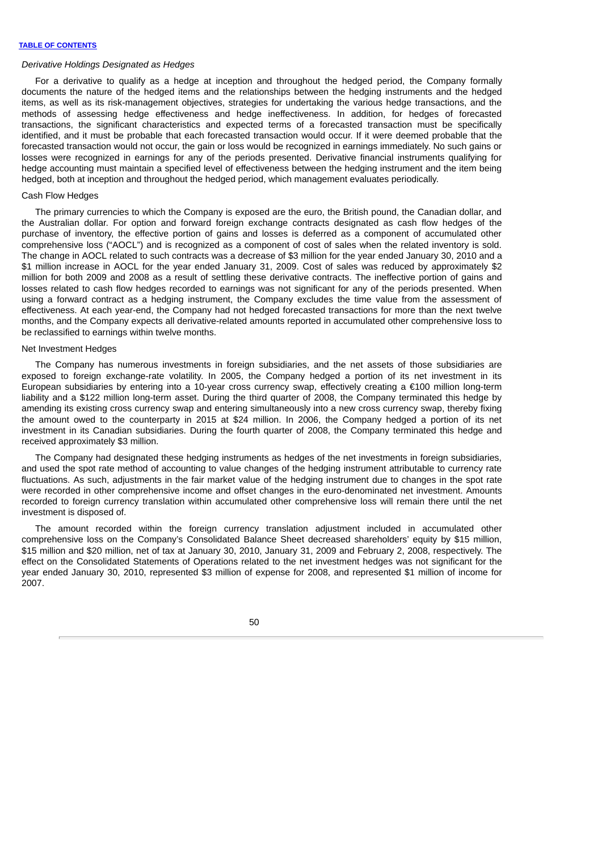# *Derivative Holdings Designated as Hedges*

For a derivative to qualify as a hedge at inception and throughout the hedged period, the Company formally documents the nature of the hedged items and the relationships between the hedging instruments and the hedged items, as well as its risk-management objectives, strategies for undertaking the various hedge transactions, and the methods of assessing hedge effectiveness and hedge ineffectiveness. In addition, for hedges of forecasted transactions, the significant characteristics and expected terms of a forecasted transaction must be specifically identified, and it must be probable that each forecasted transaction would occur. If it were deemed probable that the forecasted transaction would not occur, the gain or loss would be recognized in earnings immediately. No such gains or losses were recognized in earnings for any of the periods presented. Derivative financial instruments qualifying for hedge accounting must maintain a specified level of effectiveness between the hedging instrument and the item being hedged, both at inception and throughout the hedged period, which management evaluates periodically.

# Cash Flow Hedges

The primary currencies to which the Company is exposed are the euro, the British pound, the Canadian dollar, and the Australian dollar. For option and forward foreign exchange contracts designated as cash flow hedges of the purchase of inventory, the effective portion of gains and losses is deferred as a component of accumulated other comprehensive loss ("AOCL") and is recognized as a component of cost of sales when the related inventory is sold. The change in AOCL related to such contracts was a decrease of \$3 million for the year ended January 30, 2010 and a \$1 million increase in AOCL for the year ended January 31, 2009. Cost of sales was reduced by approximately \$2 million for both 2009 and 2008 as a result of settling these derivative contracts. The ineffective portion of gains and losses related to cash flow hedges recorded to earnings was not significant for any of the periods presented. When using a forward contract as a hedging instrument, the Company excludes the time value from the assessment of effectiveness. At each year-end, the Company had not hedged forecasted transactions for more than the next twelve months, and the Company expects all derivative-related amounts reported in accumulated other comprehensive loss to be reclassified to earnings within twelve months.

# Net Investment Hedges

The Company has numerous investments in foreign subsidiaries, and the net assets of those subsidiaries are exposed to foreign exchange-rate volatility. In 2005, the Company hedged a portion of its net investment in its European subsidiaries by entering into a 10-year cross currency swap, effectively creating a €100 million long-term liability and a \$122 million long-term asset. During the third quarter of 2008, the Company terminated this hedge by amending its existing cross currency swap and entering simultaneously into a new cross currency swap, thereby fixing the amount owed to the counterparty in 2015 at \$24 million. In 2006, the Company hedged a portion of its net investment in its Canadian subsidiaries. During the fourth quarter of 2008, the Company terminated this hedge and received approximately \$3 million.

The Company had designated these hedging instruments as hedges of the net investments in foreign subsidiaries, and used the spot rate method of accounting to value changes of the hedging instrument attributable to currency rate fluctuations. As such, adjustments in the fair market value of the hedging instrument due to changes in the spot rate were recorded in other comprehensive income and offset changes in the euro-denominated net investment. Amounts recorded to foreign currency translation within accumulated other comprehensive loss will remain there until the net investment is disposed of.

The amount recorded within the foreign currency translation adjustment included in accumulated other comprehensive loss on the Company's Consolidated Balance Sheet decreased shareholders' equity by \$15 million, \$15 million and \$20 million, net of tax at January 30, 2010, January 31, 2009 and February 2, 2008, respectively. The effect on the Consolidated Statements of Operations related to the net investment hedges was not significant for the year ended January 30, 2010, represented \$3 million of expense for 2008, and represented \$1 million of income for 2007.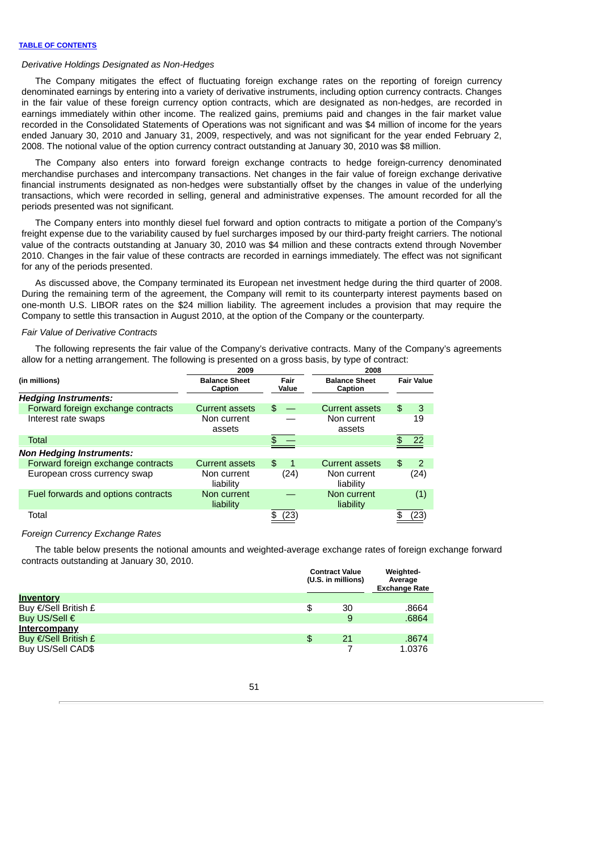# *Derivative Holdings Designated as Non-Hedges*

The Company mitigates the effect of fluctuating foreign exchange rates on the reporting of foreign currency denominated earnings by entering into a variety of derivative instruments, including option currency contracts. Changes in the fair value of these foreign currency option contracts, which are designated as non-hedges, are recorded in earnings immediately within other income. The realized gains, premiums paid and changes in the fair market value recorded in the Consolidated Statements of Operations was not significant and was \$4 million of income for the years ended January 30, 2010 and January 31, 2009, respectively, and was not significant for the year ended February 2, 2008. The notional value of the option currency contract outstanding at January 30, 2010 was \$8 million.

The Company also enters into forward foreign exchange contracts to hedge foreign-currency denominated merchandise purchases and intercompany transactions. Net changes in the fair value of foreign exchange derivative financial instruments designated as non-hedges were substantially offset by the changes in value of the underlying transactions, which were recorded in selling, general and administrative expenses. The amount recorded for all the periods presented was not significant.

The Company enters into monthly diesel fuel forward and option contracts to mitigate a portion of the Company's freight expense due to the variability caused by fuel surcharges imposed by our third-party freight carriers. The notional value of the contracts outstanding at January 30, 2010 was \$4 million and these contracts extend through November 2010. Changes in the fair value of these contracts are recorded in earnings immediately. The effect was not significant for any of the periods presented.

As discussed above, the Company terminated its European net investment hedge during the third quarter of 2008. During the remaining term of the agreement, the Company will remit to its counterparty interest payments based on one-month U.S. LIBOR rates on the \$24 million liability. The agreement includes a provision that may require the Company to settle this transaction in August 2010, at the option of the Company or the counterparty.

#### *Fair Value of Derivative Contracts*

The following represents the fair value of the Company's derivative contracts. Many of the Company's agreements allow for a netting arrangement. The following is presented on a gross basis, by type of contract:

|                                     | 2009                            |               | 2008                            |                   |  |
|-------------------------------------|---------------------------------|---------------|---------------------------------|-------------------|--|
| (in millions)                       | <b>Balance Sheet</b><br>Caption | Fair<br>Value | <b>Balance Sheet</b><br>Caption | <b>Fair Value</b> |  |
| <b>Hedging Instruments:</b>         |                                 |               |                                 |                   |  |
| Forward foreign exchange contracts  | <b>Current assets</b>           | \$            | <b>Current assets</b>           | \$<br>3           |  |
| Interest rate swaps                 | Non current<br>assets           |               | Non current<br>assets           | 19                |  |
| <b>Total</b>                        |                                 |               |                                 | 22                |  |
| <b>Non Hedging Instruments:</b>     |                                 |               |                                 |                   |  |
| Forward foreign exchange contracts  | <b>Current assets</b>           | \$            | <b>Current assets</b>           | \$<br>2           |  |
| European cross currency swap        | Non current<br>liability        | (24)          | Non current<br>liability        | (24)              |  |
| Fuel forwards and options contracts | Non current<br>liability        |               | Non current<br>liability        | (1)               |  |
| Total                               |                                 | 23            |                                 | 23                |  |

#### *Foreign Currency Exchange Rates*

The table below presents the notional amounts and weighted-average exchange rates of foreign exchange forward contracts outstanding at January 30, 2010.

|                      | <b>Contract Value</b><br>(U.S. in millions) | Weighted-<br>Average<br><b>Exchange Rate</b> |
|----------------------|---------------------------------------------|----------------------------------------------|
| <b>Inventory</b>     |                                             |                                              |
| Buy €/Sell British £ | \$<br>30                                    | .8664                                        |
| Buy US/Sell €        | 9                                           | .6864                                        |
| Intercompany         |                                             |                                              |
| Buy €/Sell British £ | \$<br>21                                    | .8674                                        |
| Buy US/Sell CAD\$    |                                             | 1.0376                                       |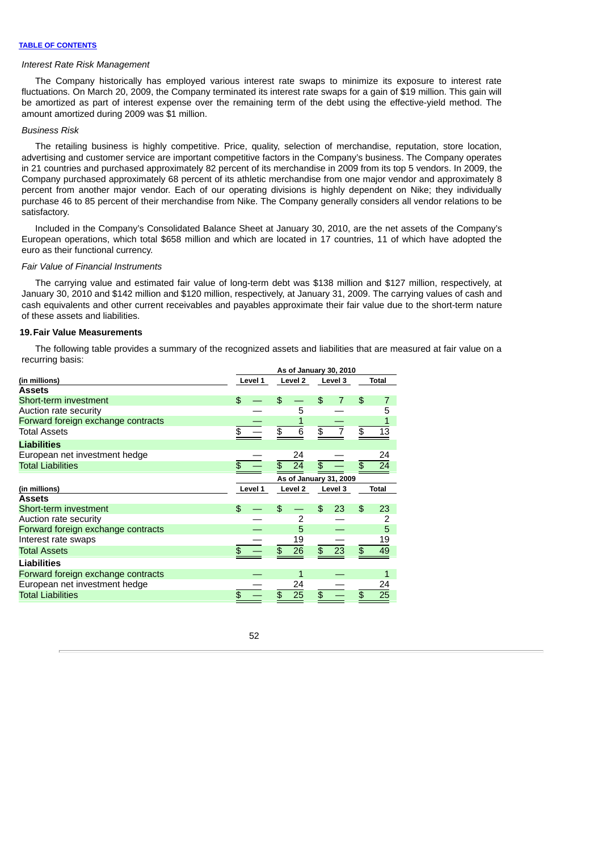### *Interest Rate Risk Management*

The Company historically has employed various interest rate swaps to minimize its exposure to interest rate fluctuations. On March 20, 2009, the Company terminated its interest rate swaps for a gain of \$19 million. This gain will be amortized as part of interest expense over the remaining term of the debt using the effective-yield method. The amount amortized during 2009 was \$1 million.

### *Business Risk*

The retailing business is highly competitive. Price, quality, selection of merchandise, reputation, store location, advertising and customer service are important competitive factors in the Company's business. The Company operates in 21 countries and purchased approximately 82 percent of its merchandise in 2009 from its top 5 vendors. In 2009, the Company purchased approximately 68 percent of its athletic merchandise from one major vendor and approximately 8 percent from another major vendor. Each of our operating divisions is highly dependent on Nike; they individually purchase 46 to 85 percent of their merchandise from Nike. The Company generally considers all vendor relations to be satisfactory.

Included in the Company's Consolidated Balance Sheet at January 30, 2010, are the net assets of the Company's European operations, which total \$658 million and which are located in 17 countries, 11 of which have adopted the euro as their functional currency.

#### *Fair Value of Financial Instruments*

The carrying value and estimated fair value of long-term debt was \$138 million and \$127 million, respectively, at January 30, 2010 and \$142 million and \$120 million, respectively, at January 31, 2009. The carrying values of cash and cash equivalents and other current receivables and payables approximate their fair value due to the short-term nature of these assets and liabilities.

#### **19.Fair Value Measurements**

The following table provides a summary of the recognized assets and liabilities that are measured at fair value on a recurring basis:

|                                    | As of January 30, 2010 |                      |                        |                       |
|------------------------------------|------------------------|----------------------|------------------------|-----------------------|
| (in millions)                      | Level 1                | Level 2              | Level 3                | <b>Total</b>          |
| <b>Assets</b>                      |                        |                      |                        |                       |
| Short-term investment              | \$                     | \$                   | \$<br>7                | $\mathbf{r}$          |
| Auction rate security              |                        | 5                    |                        | 5                     |
| Forward foreign exchange contracts |                        | 1                    |                        |                       |
| <b>Total Assets</b>                | \$                     | $\overline{6}$<br>\$ | \$<br>$\overline{7}$   | $\overline{13}$<br>\$ |
| <b>Liabilities</b>                 |                        |                      |                        |                       |
| European net investment hedge      |                        | 24                   |                        | 24                    |
| <b>Total Liabilities</b>           |                        | 24<br>$\mathbf{E}$   | \$                     | $\overline{24}$<br>\$ |
|                                    |                        |                      | As of January 31, 2009 |                       |
| (in millions)                      | Level 1                | Level 2              | Level 3                | Total                 |
| <b>Assets</b>                      |                        |                      |                        |                       |
| Short-term investment              | \$                     | \$                   | $\mathbf{r}$<br>23     | \$<br>23              |
| Auction rate security              |                        | 2                    |                        |                       |
| Forward foreign exchange contracts |                        | 5                    |                        | 5                     |
| Interest rate swaps                |                        | 19                   |                        | 19                    |
| <b>Total Assets</b>                |                        | 26<br>\$             | \$<br>23               | \$<br>49              |
| <b>Liabilities</b>                 |                        |                      |                        |                       |
| Forward foreign exchange contracts |                        | 1                    |                        |                       |
| European net investment hedge      |                        | 24                   |                        | 24                    |
| <b>Total Liabilities</b>           |                        | 25                   | \$                     | 25<br>\$              |
|                                    |                        |                      |                        |                       |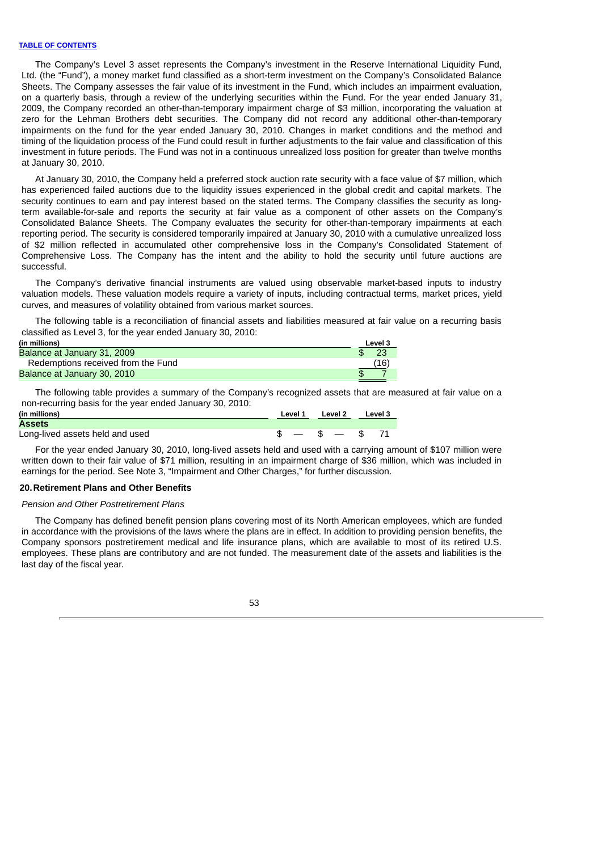The Company's Level 3 asset represents the Company's investment in the Reserve International Liquidity Fund, Ltd. (the "Fund"), a money market fund classified as a short-term investment on the Company's Consolidated Balance Sheets. The Company assesses the fair value of its investment in the Fund, which includes an impairment evaluation, on a quarterly basis, through a review of the underlying securities within the Fund. For the year ended January 31, 2009, the Company recorded an other-than-temporary impairment charge of \$3 million, incorporating the valuation at zero for the Lehman Brothers debt securities. The Company did not record any additional other-than-temporary impairments on the fund for the year ended January 30, 2010. Changes in market conditions and the method and timing of the liquidation process of the Fund could result in further adjustments to the fair value and classification of this investment in future periods. The Fund was not in a continuous unrealized loss position for greater than twelve months at January 30, 2010.

At January 30, 2010, the Company held a preferred stock auction rate security with a face value of \$7 million, which has experienced failed auctions due to the liquidity issues experienced in the global credit and capital markets. The security continues to earn and pay interest based on the stated terms. The Company classifies the security as longterm available-for-sale and reports the security at fair value as a component of other assets on the Company's Consolidated Balance Sheets. The Company evaluates the security for other-than-temporary impairments at each reporting period. The security is considered temporarily impaired at January 30, 2010 with a cumulative unrealized loss of \$2 million reflected in accumulated other comprehensive loss in the Company's Consolidated Statement of Comprehensive Loss. The Company has the intent and the ability to hold the security until future auctions are successful.

The Company's derivative financial instruments are valued using observable market-based inputs to industry valuation models. These valuation models require a variety of inputs, including contractual terms, market prices, yield curves, and measures of volatility obtained from various market sources.

The following table is a reconciliation of financial assets and liabilities measured at fair value on a recurring basis classified as Level 3, for the year ended January 30, 2010:

| (in millions)                      | Level 3 |
|------------------------------------|---------|
| Balance at January 31, 2009        |         |
| Redemptions received from the Fund | (16)    |
| Balance at January 30, 2010        |         |

The following table provides a summary of the Company's recognized assets that are measured at fair value on a non-recurring basis for the year ended January 30, 2010:

| (in millions)                   | Level 1 | Level 2                                   | <b>Level 3</b> |
|---------------------------------|---------|-------------------------------------------|----------------|
| <b>Assets</b>                   |         |                                           |                |
| Long-lived assets held and used |         | $\texttt{S} - \texttt{S} - \texttt{S}$ 71 |                |

For the year ended January 30, 2010, long-lived assets held and used with a carrying amount of \$107 million were written down to their fair value of \$71 million, resulting in an impairment charge of \$36 million, which was included in earnings for the period. See Note 3, "Impairment and Other Charges," for further discussion.

### **20.Retirement Plans and Other Benefits**

*Pension and Other Postretirement Plans*

The Company has defined benefit pension plans covering most of its North American employees, which are funded in accordance with the provisions of the laws where the plans are in effect. In addition to providing pension benefits, the Company sponsors postretirement medical and life insurance plans, which are available to most of its retired U.S. employees. These plans are contributory and are not funded. The measurement date of the assets and liabilities is the last day of the fiscal year.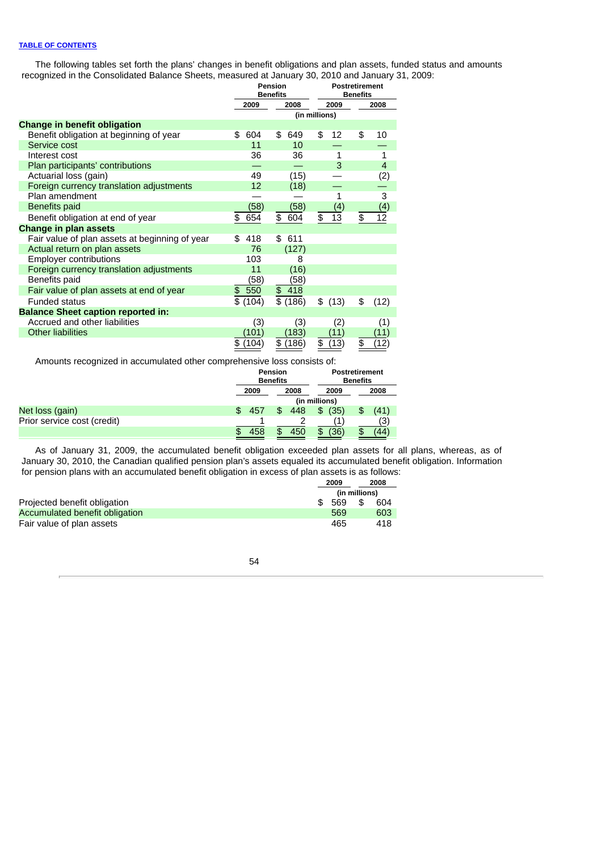The following tables set forth the plans' changes in benefit obligations and plan assets, funded status and amounts recognized in the Consolidated Balance Sheets, measured at January 30, 2010 and January 31, 2009:

|                                                | <b>Pension</b><br><b>Benefits</b> |             |               | <b>Postretirement</b><br><b>Benefits</b> |  |
|------------------------------------------------|-----------------------------------|-------------|---------------|------------------------------------------|--|
|                                                | 2009                              | 2008        | 2009          | 2008                                     |  |
|                                                |                                   |             | (in millions) |                                          |  |
| Change in benefit obligation                   |                                   |             |               |                                          |  |
| Benefit obligation at beginning of year        | \$<br>604                         | 649<br>\$   | \$<br>12      | \$<br>10                                 |  |
| Service cost                                   | 11                                | 10          |               |                                          |  |
| Interest cost                                  | 36                                | 36          | 1             | $\mathbf{1}$                             |  |
| Plan participants' contributions               |                                   |             | 3             | $\overline{4}$                           |  |
| Actuarial loss (gain)                          | 49                                | (15)        |               | (2)                                      |  |
| Foreign currency translation adjustments       | 12                                | (18)        |               |                                          |  |
| Plan amendment                                 |                                   |             | 1             | $\overline{3}$                           |  |
| Benefits paid                                  | (58)                              | (58)        | (4)           | (4)                                      |  |
| Benefit obligation at end of year              | \$<br>654                         | \$<br>604   | \$<br>13      | \$<br>12                                 |  |
| <b>Change in plan assets</b>                   |                                   |             |               |                                          |  |
| Fair value of plan assets at beginning of year | 418<br>\$                         | 611<br>\$   |               |                                          |  |
| Actual return on plan assets                   | 76                                | (127)       |               |                                          |  |
| <b>Employer contributions</b>                  | 103                               | 8           |               |                                          |  |
| Foreign currency translation adjustments       | 11                                | (16)        |               |                                          |  |
| Benefits paid                                  | (58)                              | (58)        |               |                                          |  |
| Fair value of plan assets at end of year       | \$550                             | \$418       |               |                                          |  |
| <b>Funded status</b>                           | \$ (104)                          | \$ (186)    | \$<br>(13)    | \$<br>(12)                               |  |
| <b>Balance Sheet caption reported in:</b>      |                                   |             |               |                                          |  |
| Accrued and other liabilities                  | (3)                               | (3)         | (2)           | (1)                                      |  |
| <b>Other liabilities</b>                       | (101)                             | (183)       | (11)          | (11)                                     |  |
|                                                | (104)<br>\$                       | (186)<br>\$ | \$<br>(13)    | \$<br>(12)                               |  |

Amounts recognized in accumulated other comprehensive loss consists of:

|                             | Pension<br><b>Benefits</b> |  | <b>Postretirement</b><br><b>Benefits</b> |            |  |      |
|-----------------------------|----------------------------|--|------------------------------------------|------------|--|------|
|                             | 2009                       |  | 2008                                     | 2009       |  | 2008 |
|                             | (in millions)              |  |                                          |            |  |      |
| Net loss (gain)             | 457                        |  | 448                                      | (35)<br>\$ |  | (41) |
| Prior service cost (credit) |                            |  |                                          |            |  | (3)  |
|                             | 458                        |  | 450                                      | (36)       |  | 44   |

As of January 31, 2009, the accumulated benefit obligation exceeded plan assets for all plans, whereas, as of January 30, 2010, the Canadian qualified pension plan's assets equaled its accumulated benefit obligation. Information for pension plans with an accumulated benefit obligation in excess of plan assets is as follows:

|                                | 2009 |     |               | 2008 |
|--------------------------------|------|-----|---------------|------|
|                                |      |     | (in millions) |      |
| Projected benefit obligation   | \$.  | 569 | \$            | 604  |
| Accumulated benefit obligation |      | 569 |               | 603  |
| Fair value of plan assets      |      | 465 |               | 418  |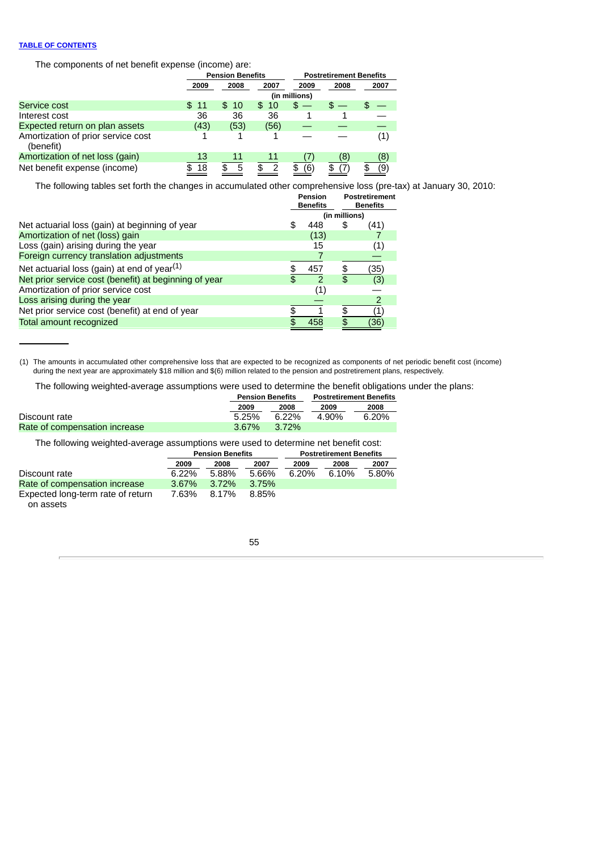The components of net benefit expense (income) are:

|                                                 | <b>Pension Benefits</b> |        |          |               | <b>Postretirement Benefits</b> |           |
|-------------------------------------------------|-------------------------|--------|----------|---------------|--------------------------------|-----------|
|                                                 | 2009                    | 2008   | 2007     | 2009          | 2008                           | 2007      |
|                                                 |                         |        |          | (in millions) |                                |           |
| Service cost                                    | \$ 11                   | \$10   | \$10     |               |                                |           |
| Interest cost                                   | 36                      | 36     | 36       |               |                                |           |
| Expected return on plan assets                  | (43)                    | (53)   | (56)     |               |                                |           |
| Amortization of prior service cost<br>(benefit) |                         |        |          |               |                                | (1)       |
| Amortization of net loss (gain)                 | 13                      | 11     | 11       |               | '8)                            | (8)       |
| Net benefit expense (income)                    | \$18                    | 5<br>ዱ | -2<br>£. | (6)<br>\$.    | Æ.                             | (9)<br>.ፍ |

The following tables set forth the changes in accumulated other comprehensive loss (pre-tax) at January 30, 2010:

|                                                         | <b>Pension</b><br><b>Benefits</b> |               | <b>Postretirement</b><br><b>Benefits</b> |  |
|---------------------------------------------------------|-----------------------------------|---------------|------------------------------------------|--|
|                                                         |                                   | (in millions) |                                          |  |
| Net actuarial loss (gain) at beginning of year          | \$<br>448                         | \$            | (41)                                     |  |
| Amortization of net (loss) gain                         | (13)                              |               |                                          |  |
| Loss (gain) arising during the year                     | 15                                |               | $\left( 1\right)$                        |  |
| Foreign currency translation adjustments                |                                   |               |                                          |  |
| Net actuarial loss (gain) at end of year <sup>(1)</sup> | 457                               | \$            | (35)                                     |  |
| Net prior service cost (benefit) at beginning of year   | \$<br>2                           | \$            | (3)                                      |  |
| Amortization of prior service cost                      | (1)                               |               |                                          |  |
| Loss arising during the year                            |                                   |               | 2                                        |  |
| Net prior service cost (benefit) at end of year         |                                   | .ዌ            | Ί.                                       |  |
| Total amount recognized                                 | 458                               |               | (36)                                     |  |
|                                                         |                                   |               |                                          |  |

(1) The amounts in accumulated other comprehensive loss that are expected to be recognized as components of net periodic benefit cost (income) during the next year are approximately \$18 million and \$(6) million related to the pension and postretirement plans, respectively.

The following weighted-average assumptions were used to determine the benefit obligations under the plans:

|                               |       | <b>Pension Benefits</b> |       | <b>Postretirement Benefits</b> |
|-------------------------------|-------|-------------------------|-------|--------------------------------|
|                               | 2009  | 2008                    | 2009  | 2008                           |
| Discount rate                 | 5.25% | 6.22%                   | 4.90% | 6.20%                          |
| Rate of compensation increase | 3.67% | $3.72\%$                |       |                                |
|                               |       |                         |       |                                |

The following weighted-average assumptions were used to determine net benefit cost:

|                                   |          | <b>Pension Benefits</b> |          |       | <b>Postretirement Benefits</b> |       |
|-----------------------------------|----------|-------------------------|----------|-------|--------------------------------|-------|
|                                   | 2009     | 2008                    | 2007     | 2009  | 2008                           | 2007  |
| Discount rate                     | $6.22\%$ | 5.88%                   | 5.66%    | 6.20% | $6.10\%$                       | 5.80% |
| Rate of compensation increase     | $3.67\%$ | $3.72\%$                | $3.75\%$ |       |                                |       |
| Expected long-term rate of return | 7.63%    | 8.17%                   | 8.85%    |       |                                |       |
| on assets                         |          |                         |          |       |                                |       |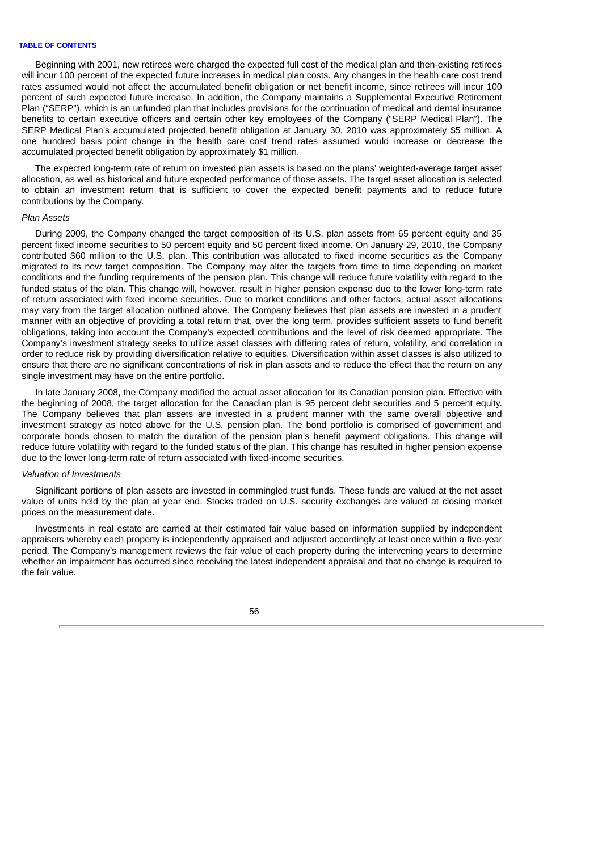Beginning with 2001, new retirees were charged the expected full cost of the medical plan and then-existing retirees will incur 100 percent of the expected future increases in medical plan costs. Any changes in the health care cost trend rates assumed would not affect the accumulated benefit obligation or net benefit income, since retirees will incur 100 percent of such expected future increase. In addition, the Company maintains a Supplemental Executive Retirement Plan ("SERP"), which is an unfunded plan that includes provisions for the continuation of medical and dental insurance benefits to certain executive officers and certain other key employees of the Company ("SERP Medical Plan"). The SERP Medical Plan's accumulated projected benefit obligation at January 30, 2010 was approximately \$5 million. A one hundred basis point change in the health care cost trend rates assumed would increase or decrease the accumulated projected benefit obligation by approximately \$1 million.

The expected long-term rate of return on invested plan assets is based on the plans' weighted-average target asset allocation, as well as historical and future expected performance of those assets. The target asset allocation is selected to obtain an investment return that is sufficient to cover the expected benefit payments and to reduce future contributions by the Company.

#### *Plan Assets*

During 2009, the Company changed the target composition of its U.S. plan assets from 65 percent equity and 35 percent fixed income securities to 50 percent equity and 50 percent fixed income. On January 29, 2010, the Company contributed \$60 million to the U.S. plan. This contribution was allocated to fixed income securities as the Company migrated to its new target composition. The Company may alter the targets from time to time depending on market conditions and the funding requirements of the pension plan. This change will reduce future volatility with regard to the funded status of the plan. This change will, however, result in higher pension expense due to the lower long-term rate of return associated with fixed income securities. Due to market conditions and other factors, actual asset allocations may vary from the target allocation outlined above. The Company believes that plan assets are invested in a prudent manner with an objective of providing a total return that, over the long term, provides sufficient assets to fund benefit obligations, taking into account the Company's expected contributions and the level of risk deemed appropriate. The Company's investment strategy seeks to utilize asset classes with differing rates of return, volatility, and correlation in order to reduce risk by providing diversification relative to equities. Diversification within asset classes is also utilized to ensure that there are no significant concentrations of risk in plan assets and to reduce the effect that the return on any single investment may have on the entire portfolio.

In late January 2008, the Company modified the actual asset allocation for its Canadian pension plan. Effective with the beginning of 2008, the target allocation for the Canadian plan is 95 percent debt securities and 5 percent equity. The Company believes that plan assets are invested in a prudent manner with the same overall objective and investment strategy as noted above for the U.S. pension plan. The bond portfolio is comprised of government and corporate bonds chosen to match the duration of the pension plan's benefit payment obligations. This change will reduce future volatility with regard to the funded status of the plan. This change has resulted in higher pension expense due to the lower long-term rate of return associated with fixed-income securities.

# *Valuation of Investments*

Significant portions of plan assets are invested in commingled trust funds. These funds are valued at the net asset value of units held by the plan at year end. Stocks traded on U.S. security exchanges are valued at closing market prices on the measurement date.

Investments in real estate are carried at their estimated fair value based on information supplied by independent appraisers whereby each property is independently appraised and adjusted accordingly at least once within a five-year period. The Company's management reviews the fair value of each property during the intervening years to determine whether an impairment has occurred since receiving the latest independent appraisal and that no change is required to the fair value.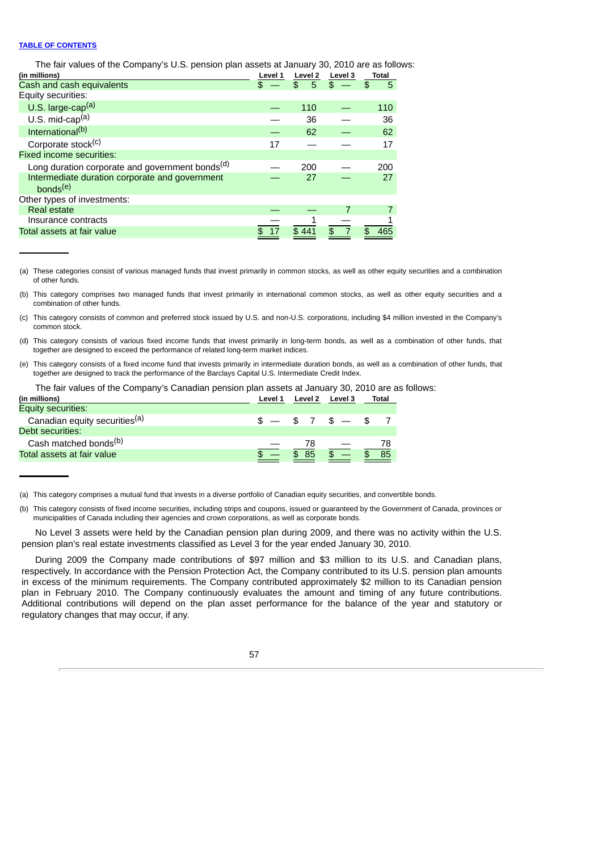The fair values of the Company's U.S. pension plan assets at January 30, 2010 are as follows:

| (in millions)                                                          | Level 1 | Level 2                        | Level 3     | Total                   |
|------------------------------------------------------------------------|---------|--------------------------------|-------------|-------------------------|
| Cash and cash equivalents                                              | $s =$   | $\mathbf{E}$<br>5 <sup>o</sup> | $$^{\circ}$ | $\mathbf{\hat{z}}$<br>5 |
| Equity securities:                                                     |         |                                |             |                         |
| U.S. large-cap $(a)$                                                   |         | 110                            |             | 110                     |
| U.S. mid-cap $(a)$                                                     |         | 36                             |             | 36                      |
| International <sup>(b)</sup>                                           |         | 62                             |             | 62                      |
| Corporate stock <sup>(c)</sup>                                         | 17      |                                |             | 17                      |
| <b>Fixed income securities:</b>                                        |         |                                |             |                         |
| Long duration corporate and government bonds <sup>(d)</sup>            |         | 200                            |             | 200                     |
| Intermediate duration corporate and government<br>bonds <sup>(e)</sup> |         | 27                             |             | 27                      |
| Other types of investments:                                            |         |                                |             |                         |
| <b>Real estate</b>                                                     |         |                                |             |                         |
| Insurance contracts                                                    |         |                                |             |                         |
| Total assets at fair value                                             | 17      | \$441                          | \$          | \$<br>465               |
|                                                                        |         |                                |             |                         |

<sup>(</sup>a) These categories consist of various managed funds that invest primarily in common stocks, as well as other equity securities and a combination of other funds.

- (d) This category consists of various fixed income funds that invest primarily in long-term bonds, as well as a combination of other funds, that together are designed to exceed the performance of related long-term market indices.
- (e) This category consists of a fixed income fund that invests primarily in intermediate duration bonds, as well as a combination of other funds, that together are designed to track the performance of the Barclays Capital U.S. Intermediate Credit Index.

The fair values of the Company's Canadian pension plan assets at January 30, 2010 are as follows: **(in millions) Level 1 Level 2 Level 3 Total**

| Equity securities:                        |                        |                                 |  |  |
|-------------------------------------------|------------------------|---------------------------------|--|--|
| Canadian equity securities <sup>(a)</sup> | $\mathcal{S}$ $\equiv$ | $\texttt{S}$ 7 $\texttt{S}$ $-$ |  |  |
| Debt securities:                          |                        |                                 |  |  |
| Cash matched bonds <sup>(b)</sup>         |                        |                                 |  |  |
| Total assets at fair value                |                        | 85                              |  |  |
|                                           |                        |                                 |  |  |

<sup>(</sup>a) This category comprises a mutual fund that invests in a diverse portfolio of Canadian equity securities, and convertible bonds.

During 2009 the Company made contributions of \$97 million and \$3 million to its U.S. and Canadian plans, respectively. In accordance with the Pension Protection Act, the Company contributed to its U.S. pension plan amounts in excess of the minimum requirements. The Company contributed approximately \$2 million to its Canadian pension plan in February 2010. The Company continuously evaluates the amount and timing of any future contributions. Additional contributions will depend on the plan asset performance for the balance of the year and statutory or regulatory changes that may occur, if any.

<sup>(</sup>b) This category comprises two managed funds that invest primarily in international common stocks, as well as other equity securities and a combination of other funds.

<sup>(</sup>c) This category consists of common and preferred stock issued by U.S. and non-U.S. corporations, including \$4 million invested in the Company's common stock.

<sup>(</sup>b) This category consists of fixed income securities, including strips and coupons, issued or guaranteed by the Government of Canada, provinces or municipalities of Canada including their agencies and crown corporations, as well as corporate bonds.

No Level 3 assets were held by the Canadian pension plan during 2009, and there was no activity within the U.S. pension plan's real estate investments classified as Level 3 for the year ended January 30, 2010.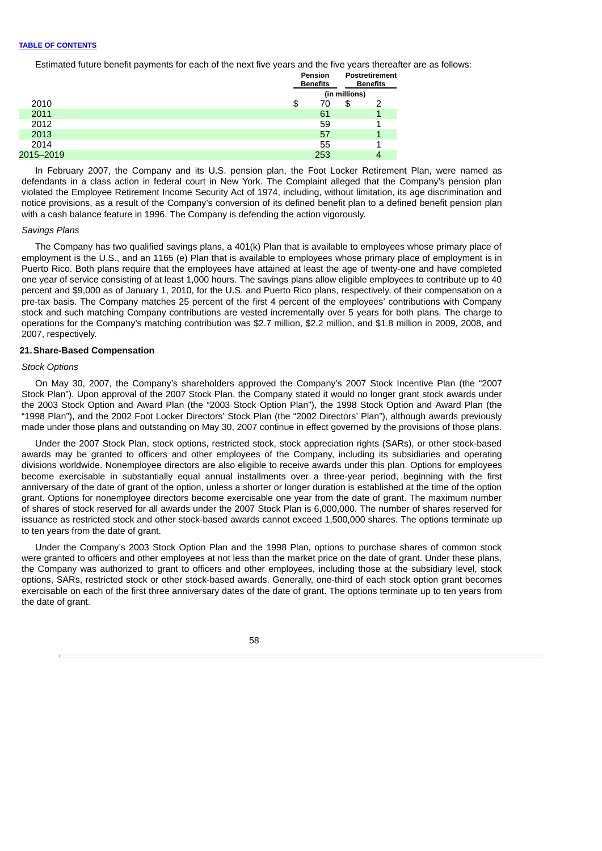Estimated future benefit payments for each of the next five years and the five years thereafter are as follows:

|           | <b>Pension</b><br><b>Benefits</b> |    | Postretirement<br><b>Benefits</b> |  |
|-----------|-----------------------------------|----|-----------------------------------|--|
|           | (in millions)                     |    |                                   |  |
| 2010      | \$<br>70                          | \$ | ◠                                 |  |
| 2011      | 61                                |    |                                   |  |
| 2012      | 59                                |    |                                   |  |
| 2013      | 57                                |    |                                   |  |
| 2014      | 55                                |    |                                   |  |
| 2015–2019 | 253                               |    |                                   |  |
|           |                                   |    |                                   |  |

In February 2007, the Company and its U.S. pension plan, the Foot Locker Retirement Plan, were named as defendants in a class action in federal court in New York. The Complaint alleged that the Company's pension plan violated the Employee Retirement Income Security Act of 1974, including, without limitation, its age discrimination and notice provisions, as a result of the Company's conversion of its defined benefit plan to a defined benefit pension plan with a cash balance feature in 1996. The Company is defending the action vigorously.

#### *Savings Plans*

The Company has two qualified savings plans, a 401(k) Plan that is available to employees whose primary place of employment is the U.S., and an 1165 (e) Plan that is available to employees whose primary place of employment is in Puerto Rico. Both plans require that the employees have attained at least the age of twenty-one and have completed one year of service consisting of at least 1,000 hours. The savings plans allow eligible employees to contribute up to 40 percent and \$9,000 as of January 1, 2010, for the U.S. and Puerto Rico plans, respectively, of their compensation on a pre-tax basis. The Company matches 25 percent of the first 4 percent of the employees' contributions with Company stock and such matching Company contributions are vested incrementally over 5 years for both plans. The charge to operations for the Company's matching contribution was \$2.7 million, \$2.2 million, and \$1.8 million in 2009, 2008, and 2007, respectively.

### **21.Share-Based Compensation**

#### *Stock Options*

On May 30, 2007, the Company's shareholders approved the Company's 2007 Stock Incentive Plan (the "2007 Stock Plan"). Upon approval of the 2007 Stock Plan, the Company stated it would no longer grant stock awards under the 2003 Stock Option and Award Plan (the "2003 Stock Option Plan"), the 1998 Stock Option and Award Plan (the "1998 Plan"), and the 2002 Foot Locker Directors' Stock Plan (the "2002 Directors' Plan"), although awards previously made under those plans and outstanding on May 30, 2007 continue in effect governed by the provisions of those plans.

Under the 2007 Stock Plan, stock options, restricted stock, stock appreciation rights (SARs), or other stock-based awards may be granted to officers and other employees of the Company, including its subsidiaries and operating divisions worldwide. Nonemployee directors are also eligible to receive awards under this plan. Options for employees become exercisable in substantially equal annual installments over a three-year period, beginning with the first anniversary of the date of grant of the option, unless a shorter or longer duration is established at the time of the option grant. Options for nonemployee directors become exercisable one year from the date of grant. The maximum number of shares of stock reserved for all awards under the 2007 Stock Plan is 6,000,000. The number of shares reserved for issuance as restricted stock and other stock-based awards cannot exceed 1,500,000 shares. The options terminate up to ten years from the date of grant.

Under the Company's 2003 Stock Option Plan and the 1998 Plan, options to purchase shares of common stock were granted to officers and other employees at not less than the market price on the date of grant. Under these plans, the Company was authorized to grant to officers and other employees, including those at the subsidiary level, stock options, SARs, restricted stock or other stock-based awards. Generally, one-third of each stock option grant becomes exercisable on each of the first three anniversary dates of the date of grant. The options terminate up to ten years from the date of grant.

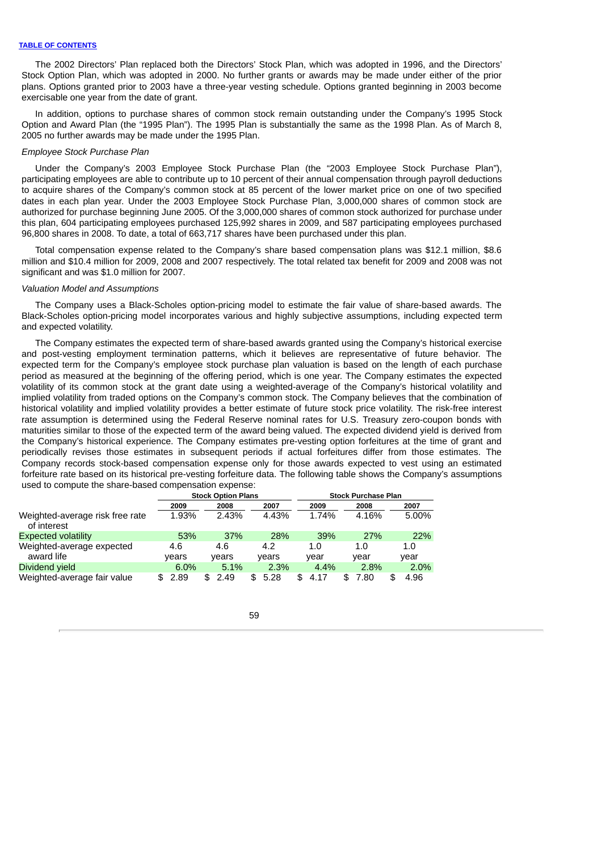The 2002 Directors' Plan replaced both the Directors' Stock Plan, which was adopted in 1996, and the Directors' Stock Option Plan, which was adopted in 2000. No further grants or awards may be made under either of the prior plans. Options granted prior to 2003 have a three-year vesting schedule. Options granted beginning in 2003 become exercisable one year from the date of grant.

In addition, options to purchase shares of common stock remain outstanding under the Company's 1995 Stock Option and Award Plan (the "1995 Plan"). The 1995 Plan is substantially the same as the 1998 Plan. As of March 8, 2005 no further awards may be made under the 1995 Plan.

### *Employee Stock Purchase Plan*

Under the Company's 2003 Employee Stock Purchase Plan (the "2003 Employee Stock Purchase Plan"), participating employees are able to contribute up to 10 percent of their annual compensation through payroll deductions to acquire shares of the Company's common stock at 85 percent of the lower market price on one of two specified dates in each plan year. Under the 2003 Employee Stock Purchase Plan, 3,000,000 shares of common stock are authorized for purchase beginning June 2005. Of the 3,000,000 shares of common stock authorized for purchase under this plan, 604 participating employees purchased 125,992 shares in 2009, and 587 participating employees purchased 96,800 shares in 2008. To date, a total of 663,717 shares have been purchased under this plan.

Total compensation expense related to the Company's share based compensation plans was \$12.1 million, \$8.6 million and \$10.4 million for 2009, 2008 and 2007 respectively. The total related tax benefit for 2009 and 2008 was not significant and was \$1.0 million for 2007.

#### *Valuation Model and Assumptions*

The Company uses a Black-Scholes option-pricing model to estimate the fair value of share-based awards. The Black-Scholes option-pricing model incorporates various and highly subjective assumptions, including expected term and expected volatility.

The Company estimates the expected term of share-based awards granted using the Company's historical exercise and post-vesting employment termination patterns, which it believes are representative of future behavior. The expected term for the Company's employee stock purchase plan valuation is based on the length of each purchase period as measured at the beginning of the offering period, which is one year. The Company estimates the expected volatility of its common stock at the grant date using a weighted-average of the Company's historical volatility and implied volatility from traded options on the Company's common stock. The Company believes that the combination of historical volatility and implied volatility provides a better estimate of future stock price volatility. The risk-free interest rate assumption is determined using the Federal Reserve nominal rates for U.S. Treasury zero-coupon bonds with maturities similar to those of the expected term of the award being valued. The expected dividend yield is derived from the Company's historical experience. The Company estimates pre-vesting option forfeitures at the time of grant and periodically revises those estimates in subsequent periods if actual forfeitures differ from those estimates. The Company records stock-based compensation expense only for those awards expected to vest using an estimated forfeiture rate based on its historical pre-vesting forfeiture data. The following table shows the Company's assumptions used to compute the share-based compensation expense:

|                                                |              | <b>Stock Option Plans</b> |              | <b>Stock Purchase Plan</b> |             |             |  |
|------------------------------------------------|--------------|---------------------------|--------------|----------------------------|-------------|-------------|--|
|                                                | 2009         | 2008                      | 2007         | 2009                       | 2008        | 2007        |  |
| Weighted-average risk free rate<br>of interest | 1.93%        | 2.43%                     | 4.43%        | 1.74%                      | 4.16%       | 5.00%       |  |
| <b>Expected volatility</b>                     | 53%          | 37%                       | 28%          | 39%                        | 27%         | 22%         |  |
| Weighted-average expected<br>award life        | 4.6<br>years | 4.6<br>years              | 4.2<br>vears | 1.0<br>year                | 1.0<br>vear | 1.0<br>year |  |
| Dividend yield                                 | 6.0%         | 5.1%                      | 2.3%         | $4.4\%$                    | 2.8%        | 2.0%        |  |
| Weighted-average fair value                    | 2.89<br>\$.  | 2.49<br>\$                | 5.28<br>\$.  | 4.17<br>\$                 | 7.80<br>\$  | 4.96        |  |

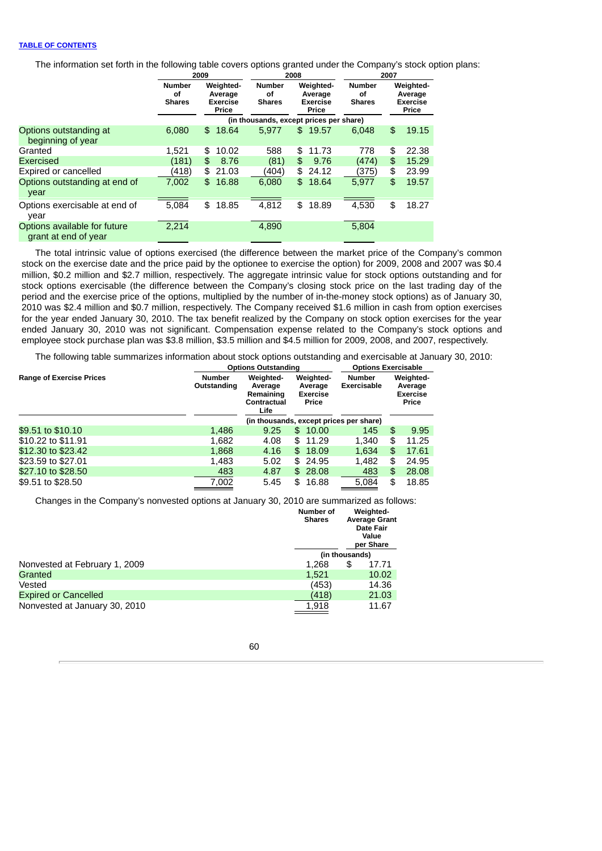The information set forth in the following table covers options granted under the Company's stock option plans:

|                                                      |                                      | 2009                                      |                                      | 2008                                      | 2007                                 |    |                                           |
|------------------------------------------------------|--------------------------------------|-------------------------------------------|--------------------------------------|-------------------------------------------|--------------------------------------|----|-------------------------------------------|
|                                                      | <b>Number</b><br>οf<br><b>Shares</b> | Weighted-<br>Average<br>Exercise<br>Price | <b>Number</b><br>οf<br><b>Shares</b> | Weighted-<br>Average<br>Exercise<br>Price | <b>Number</b><br>οf<br><b>Shares</b> |    | Weighted-<br>Average<br>Exercise<br>Price |
|                                                      |                                      |                                           |                                      | (in thousands, except prices per share)   |                                      |    |                                           |
| Options outstanding at<br>beginning of year          | 6.080                                | 18.64<br>\$.                              | 5.977                                | \$19.57                                   | 6.048                                | \$ | 19.15                                     |
| Granted                                              | 1,521                                | 10.02<br>\$                               | 588                                  | 11.73<br>\$                               | 778                                  | \$ | 22.38                                     |
| Exercised                                            | (181)                                | 8.76<br>\$                                | (81)                                 | 9.76<br>\$                                | (474)                                | \$ | 15.29                                     |
| Expired or cancelled                                 | (418)                                | 21.03<br>\$                               | (404)                                | 24.12<br>\$                               | (375)                                | \$ | 23.99                                     |
| Options outstanding at end of<br>year                | 7.002                                | 16.88<br>\$                               | 6.080                                | 18.64<br>\$                               | 5.977                                | \$ | 19.57                                     |
| Options exercisable at end of<br>year                | 5.084                                | 18.85<br>\$                               | 4.812                                | \$<br>18.89                               | 4.530                                | \$ | 18.27                                     |
| Options available for future<br>grant at end of year | 2,214                                |                                           | 4,890                                |                                           | 5,804                                |    |                                           |

The total intrinsic value of options exercised (the difference between the market price of the Company's common stock on the exercise date and the price paid by the optionee to exercise the option) for 2009, 2008 and 2007 was \$0.4 million, \$0.2 million and \$2.7 million, respectively. The aggregate intrinsic value for stock options outstanding and for stock options exercisable (the difference between the Company's closing stock price on the last trading day of the period and the exercise price of the options, multiplied by the number of in-the-money stock options) as of January 30, 2010 was \$2.4 million and \$0.7 million, respectively. The Company received \$1.6 million in cash from option exercises for the year ended January 30, 2010. The tax benefit realized by the Company on stock option exercises for the year ended January 30, 2010 was not significant. Compensation expense related to the Company's stock options and employee stock purchase plan was \$3.8 million, \$3.5 million and \$4.5 million for 2009, 2008, and 2007, respectively.

The following table summarizes information about stock options outstanding and exercisable at January 30, 2010:

|                                 |                       | <b>Options Outstanding</b>                               | <b>Options Exercisable</b>                       |                              |    |                                                  |
|---------------------------------|-----------------------|----------------------------------------------------------|--------------------------------------------------|------------------------------|----|--------------------------------------------------|
| <b>Range of Exercise Prices</b> | Number<br>Outstanding | Weighted-<br>Average<br>Remaining<br>Contractual<br>Life | Weighted-<br>Average<br><b>Exercise</b><br>Price | <b>Number</b><br>Exercisable |    | Weighted-<br>Average<br><b>Exercise</b><br>Price |
|                                 |                       |                                                          | (in thousands, except prices per share)          |                              |    |                                                  |
| \$9.51 to \$10.10               | 1,486                 | 9.25                                                     | \$10.00                                          | 145                          | \$ | 9.95                                             |
| \$10.22 to \$11.91              | 1,682                 | 4.08                                                     | \$11.29                                          | 1,340                        | \$ | 11.25                                            |
| \$12.30 to \$23.42              | 1,868                 | 4.16                                                     | \$18.09                                          | 1.634                        | \$ | 17.61                                            |
| \$23.59 to \$27.01              | 1,483                 | 5.02                                                     | \$24.95                                          | 1,482                        | \$ | 24.95                                            |
| \$27.10 to \$28.50              | 483                   | 4.87                                                     | \$28.08                                          | 483                          | \$ | 28.08                                            |
| \$9.51 to \$28.50               | 7,002                 | 5.45                                                     | \$16.88                                          | 5,084                        | \$ | 18.85                                            |

Changes in the Company's nonvested options at January 30, 2010 are summarized as follows:

|                               | <b>Number of</b><br><b>Shares</b> | Weighted-<br><b>Average Grant</b><br>Date Fair<br>Value<br>per Share |       |  |
|-------------------------------|-----------------------------------|----------------------------------------------------------------------|-------|--|
|                               | (in thousands)                    |                                                                      |       |  |
| Nonvested at February 1, 2009 | 1,268                             | \$                                                                   | 17.71 |  |
| Granted                       | 1,521                             |                                                                      | 10.02 |  |
| Vested                        | (453)                             |                                                                      | 14.36 |  |
| <b>Expired or Cancelled</b>   | (418)                             |                                                                      | 21.03 |  |
| Nonvested at January 30, 2010 | 1,918                             |                                                                      | 11.67 |  |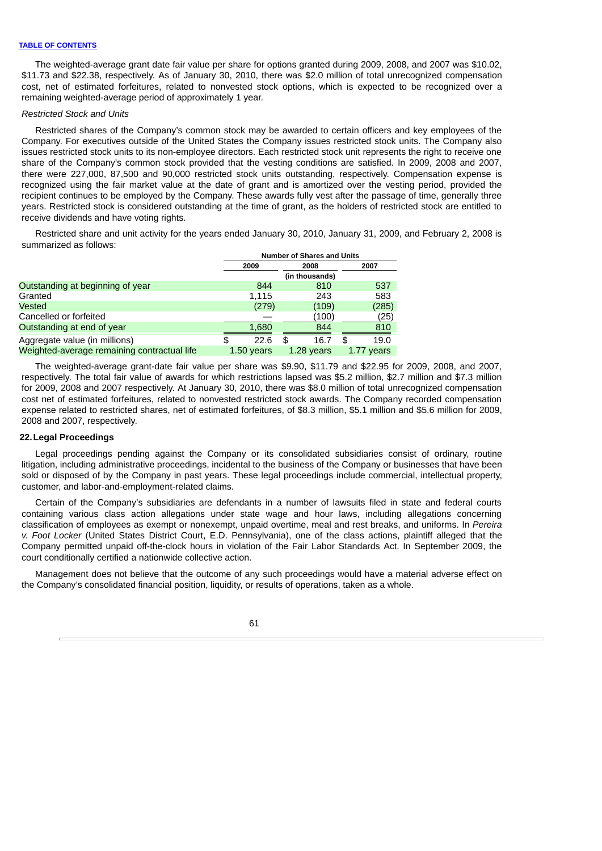The weighted-average grant date fair value per share for options granted during 2009, 2008, and 2007 was \$10.02, \$11.73 and \$22.38, respectively. As of January 30, 2010, there was \$2.0 million of total unrecognized compensation cost, net of estimated forfeitures, related to nonvested stock options, which is expected to be recognized over a remaining weighted-average period of approximately 1 year.

### *Restricted Stock and Units*

Restricted shares of the Company's common stock may be awarded to certain officers and key employees of the Company. For executives outside of the United States the Company issues restricted stock units. The Company also issues restricted stock units to its non-employee directors. Each restricted stock unit represents the right to receive one share of the Company's common stock provided that the vesting conditions are satisfied. In 2009, 2008 and 2007, there were 227,000, 87,500 and 90,000 restricted stock units outstanding, respectively. Compensation expense is recognized using the fair market value at the date of grant and is amortized over the vesting period, provided the recipient continues to be employed by the Company. These awards fully vest after the passage of time, generally three years. Restricted stock is considered outstanding at the time of grant, as the holders of restricted stock are entitled to receive dividends and have voting rights.

Restricted share and unit activity for the years ended January 30, 2010, January 31, 2009, and February 2, 2008 is summarized as follows:

|                                             | <b>Number of Shares and Units</b> |                |            |  |  |  |
|---------------------------------------------|-----------------------------------|----------------|------------|--|--|--|
|                                             | 2009                              | 2007           |            |  |  |  |
|                                             |                                   | (in thousands) |            |  |  |  |
| Outstanding at beginning of year            | 844                               | 810            | 537        |  |  |  |
| Granted                                     | 1.115                             | 243            | 583        |  |  |  |
| Vested                                      | (279)                             | (109)          | (285)      |  |  |  |
| Cancelled or forfeited                      |                                   | (100)          | (25)       |  |  |  |
| Outstanding at end of year                  | 1,680                             | 844            | 810        |  |  |  |
| Aggregate value (in millions)               | 22.6                              | 16.7           | 19.0       |  |  |  |
| Weighted-average remaining contractual life | 1.50 years                        | 1.28 years     | 1.77 years |  |  |  |

The weighted-average grant-date fair value per share was \$9.90, \$11.79 and \$22.95 for 2009, 2008, and 2007, respectively. The total fair value of awards for which restrictions lapsed was \$5.2 million, \$2.7 million and \$7.3 million for 2009, 2008 and 2007 respectively. At January 30, 2010, there was \$8.0 million of total unrecognized compensation cost net of estimated forfeitures, related to nonvested restricted stock awards. The Company recorded compensation expense related to restricted shares, net of estimated forfeitures, of \$8.3 million, \$5.1 million and \$5.6 million for 2009, 2008 and 2007, respectively.

# **22.Legal Proceedings**

Legal proceedings pending against the Company or its consolidated subsidiaries consist of ordinary, routine litigation, including administrative proceedings, incidental to the business of the Company or businesses that have been sold or disposed of by the Company in past years. These legal proceedings include commercial, intellectual property, customer, and labor-and-employment-related claims.

Certain of the Company's subsidiaries are defendants in a number of lawsuits filed in state and federal courts containing various class action allegations under state wage and hour laws, including allegations concerning classification of employees as exempt or nonexempt, unpaid overtime, meal and rest breaks, and uniforms. In *Pereira v. Foot Locker* (United States District Court, E.D. Pennsylvania), one of the class actions, plaintiff alleged that the Company permitted unpaid off-the-clock hours in violation of the Fair Labor Standards Act. In September 2009, the court conditionally certified a nationwide collective action.

Management does not believe that the outcome of any such proceedings would have a material adverse effect on the Company's consolidated financial position, liquidity, or results of operations, taken as a whole.

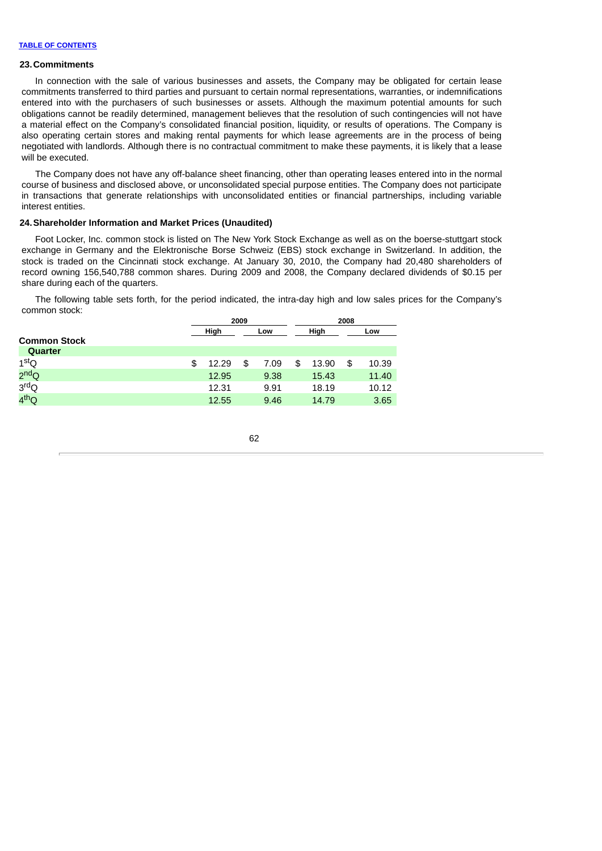#### **23.Commitments**

In connection with the sale of various businesses and assets, the Company may be obligated for certain lease commitments transferred to third parties and pursuant to certain normal representations, warranties, or indemnifications entered into with the purchasers of such businesses or assets. Although the maximum potential amounts for such obligations cannot be readily determined, management believes that the resolution of such contingencies will not have a material effect on the Company's consolidated financial position, liquidity, or results of operations. The Company is also operating certain stores and making rental payments for which lease agreements are in the process of being negotiated with landlords. Although there is no contractual commitment to make these payments, it is likely that a lease will be executed.

The Company does not have any off-balance sheet financing, other than operating leases entered into in the normal course of business and disclosed above, or unconsolidated special purpose entities. The Company does not participate in transactions that generate relationships with unconsolidated entities or financial partnerships, including variable interest entities.

### **24.Shareholder Information and Market Prices (Unaudited)**

Foot Locker, Inc. common stock is listed on The New York Stock Exchange as well as on the boerse-stuttgart stock exchange in Germany and the Elektronische Borse Schweiz (EBS) stock exchange in Switzerland. In addition, the stock is traded on the Cincinnati stock exchange. At January 30, 2010, the Company had 20,480 shareholders of record owning 156,540,788 common shares. During 2009 and 2008, the Company declared dividends of \$0.15 per share during each of the quarters.

The following table sets forth, for the period indicated, the intra-day high and low sales prices for the Company's common stock:

|                     | 2009        |    |      | 2008 |       |    |       |
|---------------------|-------------|----|------|------|-------|----|-------|
|                     | High        |    | Low  |      | High  |    | Low   |
| <b>Common Stock</b> |             |    |      |      |       |    |       |
| <b>Quarter</b>      |             |    |      |      |       |    |       |
| 1 <sup>st</sup> Q   | \$<br>12.29 | \$ | 7.09 | S    | 13.90 | \$ | 10.39 |
| 2 <sup>nd</sup> Q   | 12.95       |    | 9.38 |      | 15.43 |    | 11.40 |
| 3 <sup>rd</sup> Q   | 12.31       |    | 9.91 |      | 18.19 |    | 10.12 |
| 4 <sup>th</sup> O   | 12.55       |    | 9.46 |      | 14.79 |    | 3.65  |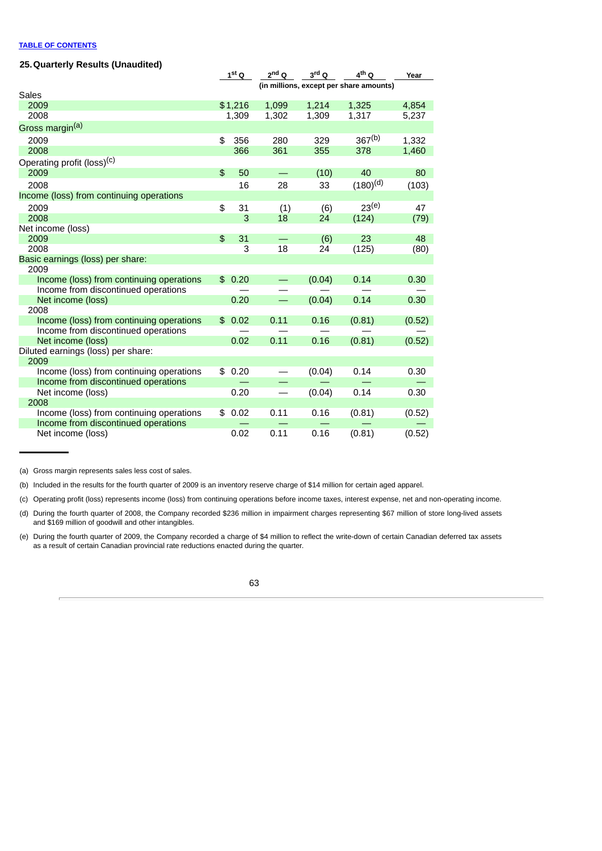| 25. Quarterly Results (Unaudited)                                               |                |                                         |                          |         |               |        |  |
|---------------------------------------------------------------------------------|----------------|-----------------------------------------|--------------------------|---------|---------------|--------|--|
|                                                                                 |                | $1st$ O                                 | $2nd$ $\Omega$           | $3rd$ O | $4th$ O       | Year   |  |
|                                                                                 |                | (in millions, except per share amounts) |                          |         |               |        |  |
| Sales                                                                           |                |                                         |                          |         |               |        |  |
| 2009                                                                            |                | \$1,216                                 | 1,099                    | 1,214   | 1,325         | 4,854  |  |
| 2008                                                                            |                | 1,309                                   | 1,302                    | 1,309   | 1,317         | 5,237  |  |
| Gross margin <sup>(a)</sup>                                                     |                |                                         |                          |         |               |        |  |
| 2009                                                                            | \$             | 356                                     | 280                      | 329     | $367^{(b)}$   | 1,332  |  |
| 2008                                                                            |                | 366                                     | 361                      | 355     | 378           | 1,460  |  |
| Operating profit (loss) <sup>(c)</sup>                                          |                |                                         |                          |         |               |        |  |
| 2009                                                                            | $\mathfrak{P}$ | 50                                      | $\equiv$                 | (10)    | 40            | 80     |  |
| 2008                                                                            |                | 16                                      | 28                       | 33      | $(180)^{(d)}$ | (103)  |  |
| Income (loss) from continuing operations                                        |                |                                         |                          |         |               |        |  |
| 2009                                                                            | \$             | 31                                      | (1)                      | (6)     | $23^{(e)}$    | 47     |  |
| 2008                                                                            |                | 3                                       | 18                       | 24      | (124)         | (79)   |  |
| Net income (loss)                                                               |                |                                         |                          |         |               |        |  |
| 2009                                                                            | \$             | 31                                      |                          | (6)     | 23            | 48     |  |
| 2008                                                                            |                | 3                                       | 18                       | 24      | (125)         | (80)   |  |
| Basic earnings (loss) per share:                                                |                |                                         |                          |         |               |        |  |
| 2009                                                                            |                |                                         |                          |         |               |        |  |
| Income (loss) from continuing operations                                        |                | \$0.20                                  |                          | (0.04)  | 0.14          | 0.30   |  |
| Income from discontinued operations                                             |                |                                         |                          |         |               |        |  |
| Net income (loss)                                                               |                | 0.20                                    | $\equiv$                 | (0.04)  | 0.14          | 0.30   |  |
| 2008                                                                            |                |                                         |                          |         |               |        |  |
| Income (loss) from continuing operations                                        |                | \$0.02                                  | 0.11                     | 0.16    | (0.81)        | (0.52) |  |
| Income from discontinued operations                                             |                |                                         |                          |         |               |        |  |
| Net income (loss)                                                               |                | 0.02                                    | 0.11                     | 0.16    | (0.81)        | (0.52) |  |
| Diluted earnings (loss) per share:<br>2009                                      |                |                                         |                          |         |               |        |  |
|                                                                                 |                | \$0.20                                  |                          |         | 0.14          | 0.30   |  |
| Income (loss) from continuing operations<br>Income from discontinued operations |                |                                         |                          | (0.04)  |               |        |  |
| Net income (loss)                                                               |                | 0.20                                    | $\overline{\phantom{0}}$ | (0.04)  | 0.14          | 0.30   |  |
| 2008                                                                            |                |                                         |                          |         |               |        |  |
| Income (loss) from continuing operations                                        |                | \$0.02                                  | 0.11                     | 0.16    | (0.81)        | (0.52) |  |
| Income from discontinued operations                                             |                |                                         |                          |         |               |        |  |
| Net income (loss)                                                               |                | 0.02                                    | 0.11                     | 0.16    | (0.81)        | (0.52) |  |

(a) Gross margin represents sales less cost of sales.

(b) Included in the results for the fourth quarter of 2009 is an inventory reserve charge of \$14 million for certain aged apparel.

(c) Operating profit (loss) represents income (loss) from continuing operations before income taxes, interest expense, net and non-operating income.

(d) During the fourth quarter of 2008, the Company recorded \$236 million in impairment charges representing \$67 million of store long-lived assets and \$169 million of goodwill and other intangibles.

(e) During the fourth quarter of 2009, the Company recorded a charge of \$4 million to reflect the write-down of certain Canadian deferred tax assets as a result of certain Canadian provincial rate reductions enacted during the quarter.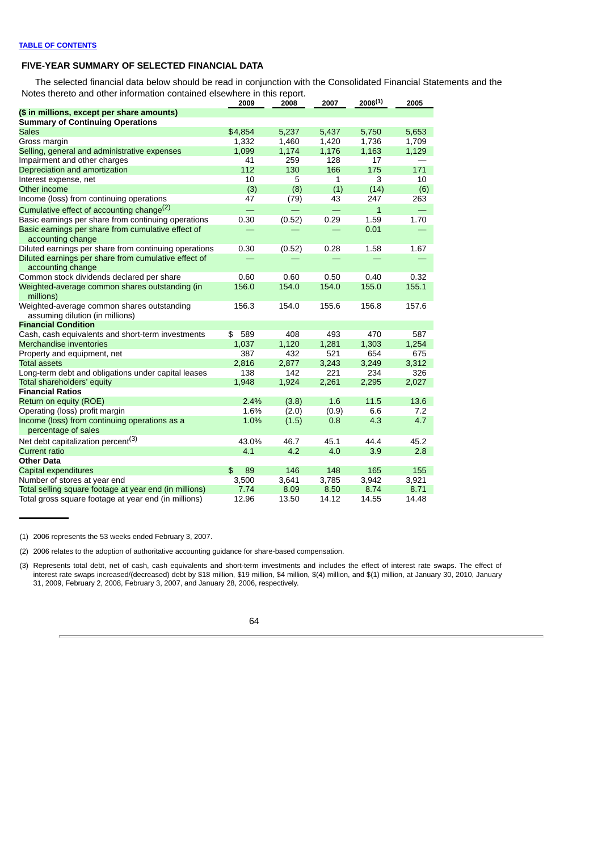# **FIVE-YEAR SUMMARY OF SELECTED FINANCIAL DATA**

The selected financial data below should be read in conjunction with the Consolidated Financial Statements and the Notes thereto and other information contained elsewhere in this report.

|                                                                               | 2009                 | 2008   | 2007         | $2006^{(1)}$ | 2005  |
|-------------------------------------------------------------------------------|----------------------|--------|--------------|--------------|-------|
| (\$ in millions, except per share amounts)                                    |                      |        |              |              |       |
| <b>Summary of Continuing Operations</b>                                       |                      |        |              |              |       |
| <b>Sales</b>                                                                  | \$4,854              | 5,237  | 5.437        | 5,750        | 5.653 |
| Gross margin                                                                  | 1,332                | 1,460  | 1,420        | 1,736        | 1,709 |
| Selling, general and administrative expenses                                  | 1,099                | 1,174  | 1,176        | 1,163        | 1,129 |
| Impairment and other charges                                                  | 41                   | 259    | 128          | 17           |       |
| Depreciation and amortization                                                 | 112                  | 130    | 166          | 175          | 171   |
| Interest expense, net                                                         | 10                   | 5      | $\mathbf{1}$ | 3            | 10    |
| Other income                                                                  | (3)                  | (8)    | (1)          | (14)         | (6)   |
| Income (loss) from continuing operations                                      | 47                   | (79)   | 43           | 247          | 263   |
| Cumulative effect of accounting change <sup>(2)</sup>                         |                      |        | $\equiv$     | $\mathbf{1}$ |       |
| Basic earnings per share from continuing operations                           | 0.30                 | (0.52) | 0.29         | 1.59         | 1.70  |
| Basic earnings per share from cumulative effect of<br>accounting change       |                      |        |              | 0.01         |       |
| Diluted earnings per share from continuing operations                         | 0.30                 | (0.52) | 0.28         | 1.58         | 1.67  |
| Diluted earnings per share from cumulative effect of<br>accounting change     |                      |        |              |              |       |
| Common stock dividends declared per share                                     | 0.60                 | 0.60   | 0.50         | 0.40         | 0.32  |
| Weighted-average common shares outstanding (in<br>millions)                   | 156.0                | 154.0  | 154.0        | 155.0        | 155.1 |
| Weighted-average common shares outstanding<br>assuming dilution (in millions) | 156.3                | 154.0  | 155.6        | 156.8        | 157.6 |
| <b>Financial Condition</b>                                                    |                      |        |              |              |       |
| Cash, cash equivalents and short-term investments                             | 589<br>\$            | 408    | 493          | 470          | 587   |
| Merchandise inventories                                                       | 1,037                | 1,120  | 1,281        | 1,303        | 1,254 |
| Property and equipment, net                                                   | 387                  | 432    | 521          | 654          | 675   |
| <b>Total assets</b>                                                           | 2,816                | 2,877  | 3,243        | 3,249        | 3,312 |
| Long-term debt and obligations under capital leases                           | 138                  | 142    | 221          | 234          | 326   |
| Total shareholders' equity                                                    | 1,948                | 1,924  | 2,261        | 2,295        | 2,027 |
| <b>Financial Ratios</b>                                                       |                      |        |              |              |       |
| Return on equity (ROE)                                                        | 2.4%                 | (3.8)  | 1.6          | 11.5         | 13.6  |
| Operating (loss) profit margin                                                | 1.6%                 | (2.0)  | (0.9)        | 6.6          | 7.2   |
| Income (loss) from continuing operations as a                                 | 1.0%                 | (1.5)  | 0.8          | 4.3          | 4.7   |
| percentage of sales                                                           |                      |        |              |              |       |
| Net debt capitalization percent <sup>(3)</sup>                                | 43.0%                | 46.7   | 45.1         | 44.4         | 45.2  |
| <b>Current ratio</b>                                                          | 4.1                  | 4.2    | 4.0          | 3.9          | 2.8   |
| <b>Other Data</b>                                                             |                      |        |              |              |       |
| Capital expenditures                                                          | $\mathfrak{L}$<br>89 | 146    | 148          | 165          | 155   |
| Number of stores at year end                                                  | 3,500                | 3,641  | 3,785        | 3,942        | 3,921 |
| Total selling square footage at year end (in millions)                        | 7.74                 | 8.09   | 8.50         | 8.74         | 8.71  |
| Total gross square footage at year end (in millions)                          | 12.96                | 13.50  | 14.12        | 14.55        | 14.48 |

(1) 2006 represents the 53 weeks ended February 3, 2007.

(2) 2006 relates to the adoption of authoritative accounting guidance for share-based compensation.

(3) Represents total debt, net of cash, cash equivalents and short-term investments and includes the effect of interest rate swaps. The effect of interest rate swaps increased/(decreased) debt by \$18 million, \$19 million, \$4 million, \$(4) million, and \$(1) million, at January 30, 2010, January 31, 2009, February 2, 2008, February 3, 2007, and January 28, 2006, respectively.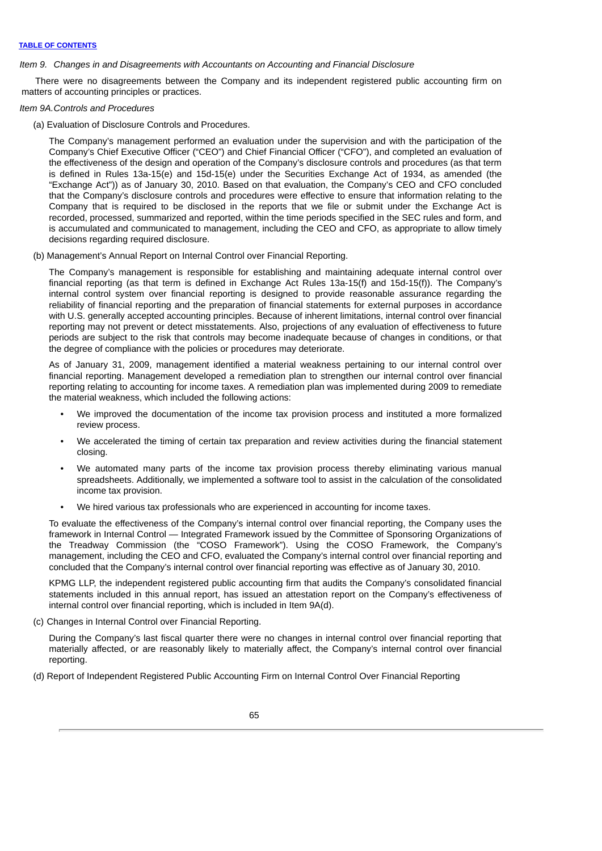# *Item 9. Changes in and Disagreements with Accountants on Accounting and Financial Disclosure*

There were no disagreements between the Company and its independent registered public accounting firm on matters of accounting principles or practices.

# *Item 9A.Controls and Procedures*

(a) Evaluation of Disclosure Controls and Procedures.

The Company's management performed an evaluation under the supervision and with the participation of the Company's Chief Executive Officer ("CEO") and Chief Financial Officer ("CFO"), and completed an evaluation of the effectiveness of the design and operation of the Company's disclosure controls and procedures (as that term is defined in Rules 13a-15(e) and 15d-15(e) under the Securities Exchange Act of 1934, as amended (the "Exchange Act")) as of January 30, 2010. Based on that evaluation, the Company's CEO and CFO concluded that the Company's disclosure controls and procedures were effective to ensure that information relating to the Company that is required to be disclosed in the reports that we file or submit under the Exchange Act is recorded, processed, summarized and reported, within the time periods specified in the SEC rules and form, and is accumulated and communicated to management, including the CEO and CFO, as appropriate to allow timely decisions regarding required disclosure.

### (b) Management's Annual Report on Internal Control over Financial Reporting.

The Company's management is responsible for establishing and maintaining adequate internal control over financial reporting (as that term is defined in Exchange Act Rules 13a-15(f) and 15d-15(f)). The Company's internal control system over financial reporting is designed to provide reasonable assurance regarding the reliability of financial reporting and the preparation of financial statements for external purposes in accordance with U.S. generally accepted accounting principles. Because of inherent limitations, internal control over financial reporting may not prevent or detect misstatements. Also, projections of any evaluation of effectiveness to future periods are subject to the risk that controls may become inadequate because of changes in conditions, or that the degree of compliance with the policies or procedures may deteriorate.

As of January 31, 2009, management identified a material weakness pertaining to our internal control over financial reporting. Management developed a remediation plan to strengthen our internal control over financial reporting relating to accounting for income taxes. A remediation plan was implemented during 2009 to remediate the material weakness, which included the following actions:

- We improved the documentation of the income tax provision process and instituted a more formalized review process.
- We accelerated the timing of certain tax preparation and review activities during the financial statement closing.
- We automated many parts of the income tax provision process thereby eliminating various manual spreadsheets. Additionally, we implemented a software tool to assist in the calculation of the consolidated income tax provision.
- We hired various tax professionals who are experienced in accounting for income taxes.

To evaluate the effectiveness of the Company's internal control over financial reporting, the Company uses the framework in Internal Control — Integrated Framework issued by the Committee of Sponsoring Organizations of the Treadway Commission (the "COSO Framework"). Using the COSO Framework, the Company's management, including the CEO and CFO, evaluated the Company's internal control over financial reporting and concluded that the Company's internal control over financial reporting was effective as of January 30, 2010.

KPMG LLP, the independent registered public accounting firm that audits the Company's consolidated financial statements included in this annual report, has issued an attestation report on the Company's effectiveness of internal control over financial reporting, which is included in Item 9A(d).

(c) Changes in Internal Control over Financial Reporting.

During the Company's last fiscal quarter there were no changes in internal control over financial reporting that materially affected, or are reasonably likely to materially affect, the Company's internal control over financial reporting.

(d) Report of Independent Registered Public Accounting Firm on Internal Control Over Financial Reporting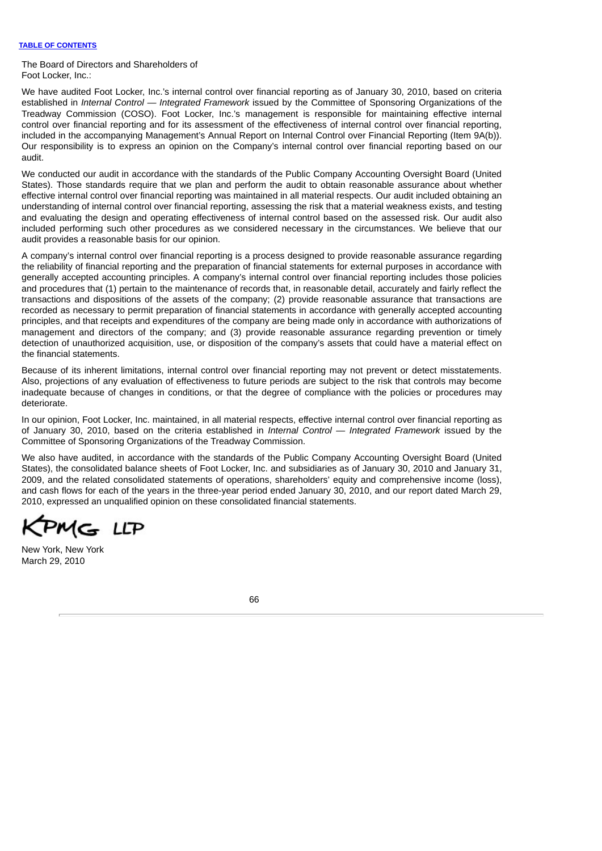The Board of Directors and Shareholders of Foot Locker, Inc.:

We have audited Foot Locker, Inc.'s internal control over financial reporting as of January 30, 2010, based on criteria established in *Internal Control — Integrated Framework* issued by the Committee of Sponsoring Organizations of the Treadway Commission (COSO). Foot Locker, Inc.'s management is responsible for maintaining effective internal control over financial reporting and for its assessment of the effectiveness of internal control over financial reporting, included in the accompanying Management's Annual Report on Internal Control over Financial Reporting (Item 9A(b)). Our responsibility is to express an opinion on the Company's internal control over financial reporting based on our audit.

We conducted our audit in accordance with the standards of the Public Company Accounting Oversight Board (United States). Those standards require that we plan and perform the audit to obtain reasonable assurance about whether effective internal control over financial reporting was maintained in all material respects. Our audit included obtaining an understanding of internal control over financial reporting, assessing the risk that a material weakness exists, and testing and evaluating the design and operating effectiveness of internal control based on the assessed risk. Our audit also included performing such other procedures as we considered necessary in the circumstances. We believe that our audit provides a reasonable basis for our opinion.

A company's internal control over financial reporting is a process designed to provide reasonable assurance regarding the reliability of financial reporting and the preparation of financial statements for external purposes in accordance with generally accepted accounting principles. A company's internal control over financial reporting includes those policies and procedures that (1) pertain to the maintenance of records that, in reasonable detail, accurately and fairly reflect the transactions and dispositions of the assets of the company; (2) provide reasonable assurance that transactions are recorded as necessary to permit preparation of financial statements in accordance with generally accepted accounting principles, and that receipts and expenditures of the company are being made only in accordance with authorizations of management and directors of the company; and (3) provide reasonable assurance regarding prevention or timely detection of unauthorized acquisition, use, or disposition of the company's assets that could have a material effect on the financial statements.

Because of its inherent limitations, internal control over financial reporting may not prevent or detect misstatements. Also, projections of any evaluation of effectiveness to future periods are subject to the risk that controls may become inadequate because of changes in conditions, or that the degree of compliance with the policies or procedures may deteriorate.

In our opinion, Foot Locker, Inc. maintained, in all material respects, effective internal control over financial reporting as of January 30, 2010, based on the criteria established in *Internal Control — Integrated Framework* issued by the Committee of Sponsoring Organizations of the Treadway Commission.

We also have audited, in accordance with the standards of the Public Company Accounting Oversight Board (United States), the consolidated balance sheets of Foot Locker, Inc. and subsidiaries as of January 30, 2010 and January 31, 2009, and the related consolidated statements of operations, shareholders' equity and comprehensive income (loss), and cash flows for each of the years in the three-year period ended January 30, 2010, and our report dated March 29, 2010, expressed an unqualified opinion on these consolidated financial statements.

MG LLP

New York, New York March 29, 2010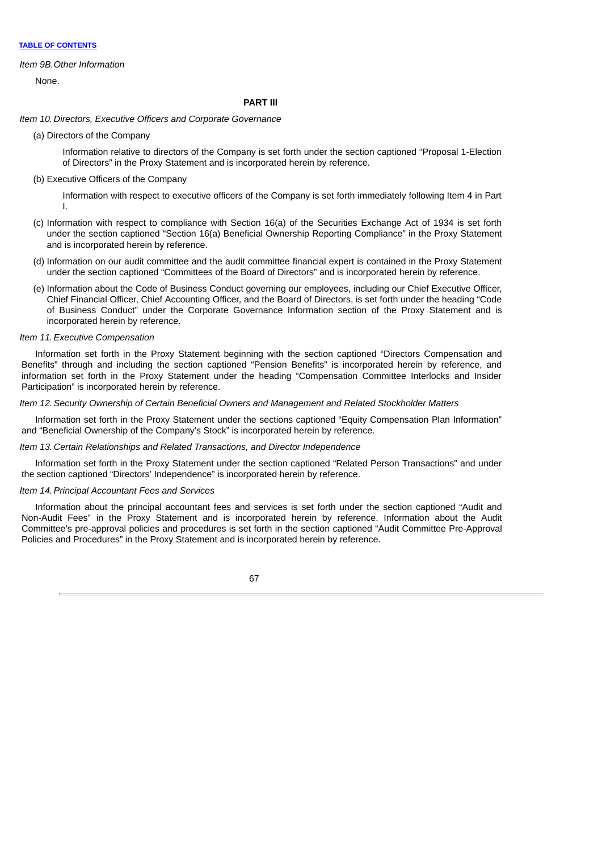*Item 9B.Other Information*

None.

# **PART III**

# *Item 10.Directors, Executive Officers and Corporate Governance*

(a) Directors of the Company

Information relative to directors of the Company is set forth under the section captioned "Proposal 1-Election of Directors" in the Proxy Statement and is incorporated herein by reference.

# (b) Executive Officers of the Company

Information with respect to executive officers of the Company is set forth immediately following Item 4 in Part I.

- (c) Information with respect to compliance with Section 16(a) of the Securities Exchange Act of 1934 is set forth under the section captioned "Section 16(a) Beneficial Ownership Reporting Compliance" in the Proxy Statement and is incorporated herein by reference.
- (d) Information on our audit committee and the audit committee financial expert is contained in the Proxy Statement under the section captioned "Committees of the Board of Directors" and is incorporated herein by reference.
- (e) Information about the Code of Business Conduct governing our employees, including our Chief Executive Officer, Chief Financial Officer, Chief Accounting Officer, and the Board of Directors, is set forth under the heading "Code of Business Conduct" under the Corporate Governance Information section of the Proxy Statement and is incorporated herein by reference.

## *Item 11.Executive Compensation*

Information set forth in the Proxy Statement beginning with the section captioned "Directors Compensation and Benefits" through and including the section captioned "Pension Benefits" is incorporated herein by reference, and information set forth in the Proxy Statement under the heading "Compensation Committee Interlocks and Insider Participation" is incorporated herein by reference.

# *Item 12.Security Ownership of Certain Beneficial Owners and Management and Related Stockholder Matters*

Information set forth in the Proxy Statement under the sections captioned "Equity Compensation Plan Information" and "Beneficial Ownership of the Company's Stock" is incorporated herein by reference.

# *Item 13.Certain Relationships and Related Transactions, and Director Independence*

Information set forth in the Proxy Statement under the section captioned "Related Person Transactions" and under the section captioned "Directors' Independence" is incorporated herein by reference.

# *Item 14.Principal Accountant Fees and Services*

Information about the principal accountant fees and services is set forth under the section captioned "Audit and Non-Audit Fees" in the Proxy Statement and is incorporated herein by reference. Information about the Audit Committee's pre-approval policies and procedures is set forth in the section captioned "Audit Committee Pre-Approval Policies and Procedures" in the Proxy Statement and is incorporated herein by reference.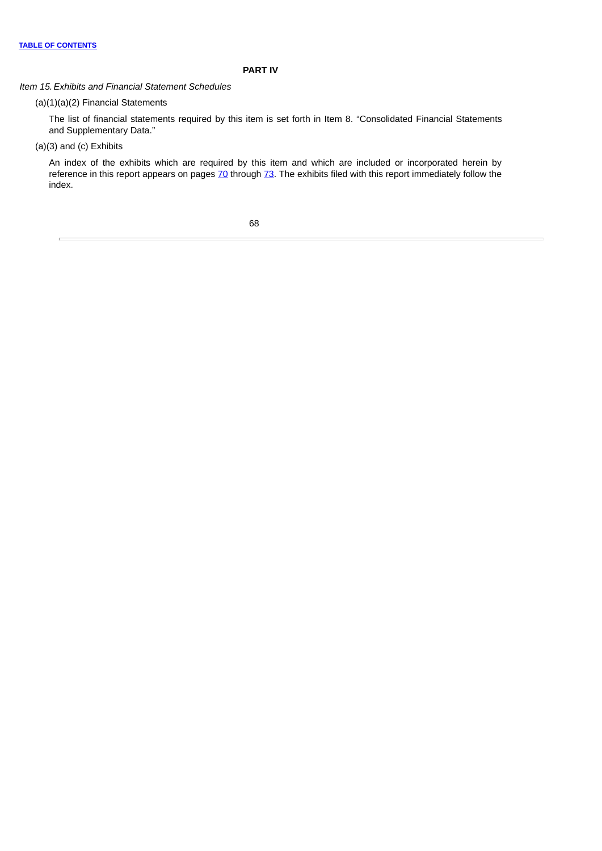### **PART IV**

*Item 15.Exhibits and Financial Statement Schedules*

# (a)(1)(a)(2) Financial Statements

The list of financial statements required by this item is set forth in Item 8. "Consolidated Financial Statements and Supplementary Data."

# (a)(3) and (c) Exhibits

An index of the exhibits which are required by this item and which are included or incorporated herein by reference in this report appears on pages 70 through 73. The exhibits filed with this report immediately follow the index.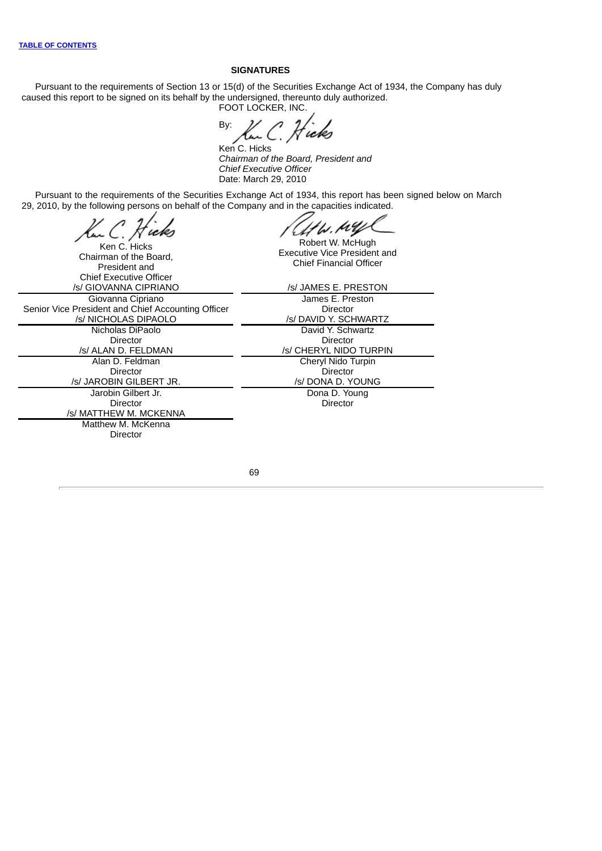### **SIGNATURES**

Pursuant to the requirements of Section 13 or 15(d) of the Securities Exchange Act of 1934, the Company has duly caused this report to be signed on its behalf by the undersigned, thereunto duly authorized. FOOT LOCKER, INC.

By: reks

Ken C. Hicks *Chairman of the Board, President and Chief Executive Officer* Date: March 29, 2010

Pursuant to the requirements of the Securities Exchange Act of 1934, this report has been signed below on March 29, 2010, by the following persons on behalf of the Company and in the capacities indicated.

 $\overline{\phantom{a}}$ Ken C. Hicks

Chairman of the Board, President and

YW. µY

Robert W. McHugh Executive Vice President and Chief Financial Officer

| <b>Chief Executive Officer</b>                     |                               |
|----------------------------------------------------|-------------------------------|
| /s/ GIOVANNA CIPRIANO                              | /s/ JAMES E. PRESTON          |
| Giovanna Cipriano                                  | James E. Preston              |
| Senior Vice President and Chief Accounting Officer | Director                      |
| /s/ NICHOLAS DIPAOLO                               | /s/ DAVID Y. SCHWARTZ         |
| Nicholas DiPaolo                                   | David Y. Schwartz             |
| <b>Director</b>                                    | Director                      |
| /s/ ALAN D. FELDMAN                                | <b>/s/ CHERYL NIDO TURPIN</b> |
| Alan D. Feldman                                    | Cheryl Nido Turpin            |
| <b>Director</b>                                    | Director                      |
| /s/ JAROBIN GILBERT JR.                            | /s/ DONA D. YOUNG             |
| Jarobin Gilbert Jr.                                | Dona D. Young                 |
| <b>Director</b>                                    | Director                      |
| /s/ MATTHEW M. MCKENNA                             |                               |
| Matthew M. McKenna                                 |                               |
|                                                    |                               |

Director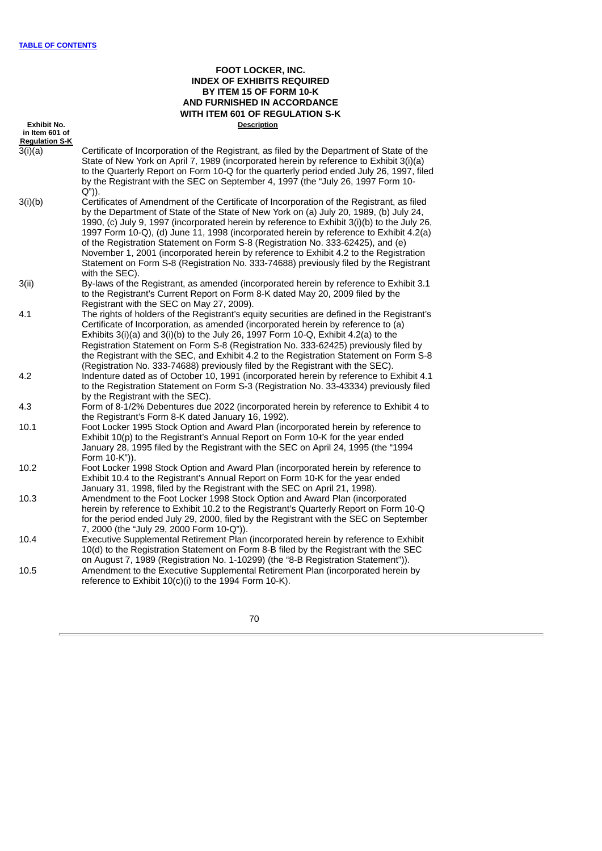## **FOOT LOCKER, INC. INDEX OF EXHIBITS REQUIRED BY ITEM 15 OF FORM 10-K AND FURNISHED IN ACCORDANCE WITH ITEM 601 OF REGULATION S-K**

| <b>Exhibit No.</b>               | <b>Description</b>                                                                                                                                                                                                                                                                                                                                                                                                                                                                                                                                                                                                                                                  |  |  |  |  |  |
|----------------------------------|---------------------------------------------------------------------------------------------------------------------------------------------------------------------------------------------------------------------------------------------------------------------------------------------------------------------------------------------------------------------------------------------------------------------------------------------------------------------------------------------------------------------------------------------------------------------------------------------------------------------------------------------------------------------|--|--|--|--|--|
| in Item 601 of                   |                                                                                                                                                                                                                                                                                                                                                                                                                                                                                                                                                                                                                                                                     |  |  |  |  |  |
| <b>Regulation S-K</b><br>3(i)(a) | Certificate of Incorporation of the Registrant, as filed by the Department of State of the<br>State of New York on April 7, 1989 (incorporated herein by reference to Exhibit 3(i)(a)<br>to the Quarterly Report on Form 10-Q for the quarterly period ended July 26, 1997, filed<br>by the Registrant with the SEC on September 4, 1997 (the "July 26, 1997 Form 10-<br>$(Q'')$ ).                                                                                                                                                                                                                                                                                 |  |  |  |  |  |
| 3(i)(b)                          | Certificates of Amendment of the Certificate of Incorporation of the Registrant, as filed<br>by the Department of State of the State of New York on (a) July 20, 1989, (b) July 24,<br>1990, (c) July 9, 1997 (incorporated herein by reference to Exhibit 3(i)(b) to the July 26,<br>1997 Form 10-Q), (d) June 11, 1998 (incorporated herein by reference to Exhibit 4.2(a)<br>of the Registration Statement on Form S-8 (Registration No. 333-62425), and (e)<br>November 1, 2001 (incorporated herein by reference to Exhibit 4.2 to the Registration<br>Statement on Form S-8 (Registration No. 333-74688) previously filed by the Registrant<br>with the SEC). |  |  |  |  |  |
| 3(ii)                            | By-laws of the Registrant, as amended (incorporated herein by reference to Exhibit 3.1<br>to the Registrant's Current Report on Form 8-K dated May 20, 2009 filed by the<br>Registrant with the SEC on May 27, 2009).                                                                                                                                                                                                                                                                                                                                                                                                                                               |  |  |  |  |  |
| 4.1                              | The rights of holders of the Registrant's equity securities are defined in the Registrant's<br>Certificate of Incorporation, as amended (incorporated herein by reference to (a)<br>Exhibits 3(i)(a) and 3(i)(b) to the July 26, 1997 Form 10-Q, Exhibit 4.2(a) to the<br>Registration Statement on Form S-8 (Registration No. 333-62425) previously filed by<br>the Registrant with the SEC, and Exhibit 4.2 to the Registration Statement on Form S-8<br>(Registration No. 333-74688) previously filed by the Registrant with the SEC).                                                                                                                           |  |  |  |  |  |
| 4.2                              | Indenture dated as of October 10, 1991 (incorporated herein by reference to Exhibit 4.1<br>to the Registration Statement on Form S-3 (Registration No. 33-43334) previously filed<br>by the Registrant with the SEC).                                                                                                                                                                                                                                                                                                                                                                                                                                               |  |  |  |  |  |
| 4.3                              | Form of 8-1/2% Debentures due 2022 (incorporated herein by reference to Exhibit 4 to<br>the Registrant's Form 8-K dated January 16, 1992).                                                                                                                                                                                                                                                                                                                                                                                                                                                                                                                          |  |  |  |  |  |
| 10.1                             | Foot Locker 1995 Stock Option and Award Plan (incorporated herein by reference to<br>Exhibit 10(p) to the Registrant's Annual Report on Form 10-K for the year ended<br>January 28, 1995 filed by the Registrant with the SEC on April 24, 1995 (the "1994<br>Form 10-K")).                                                                                                                                                                                                                                                                                                                                                                                         |  |  |  |  |  |
| 10.2                             | Foot Locker 1998 Stock Option and Award Plan (incorporated herein by reference to<br>Exhibit 10.4 to the Registrant's Annual Report on Form 10-K for the year ended<br>January 31, 1998, filed by the Registrant with the SEC on April 21, 1998).                                                                                                                                                                                                                                                                                                                                                                                                                   |  |  |  |  |  |
| 10.3                             | Amendment to the Foot Locker 1998 Stock Option and Award Plan (incorporated<br>herein by reference to Exhibit 10.2 to the Registrant's Quarterly Report on Form 10-Q<br>for the period ended July 29, 2000, filed by the Registrant with the SEC on September<br>7, 2000 (the "July 29, 2000 Form 10-Q")).                                                                                                                                                                                                                                                                                                                                                          |  |  |  |  |  |
| 10.4                             | Executive Supplemental Retirement Plan (incorporated herein by reference to Exhibit<br>10(d) to the Registration Statement on Form 8-B filed by the Registrant with the SEC<br>on August 7, 1989 (Registration No. 1-10299) (the "8-B Registration Statement")).                                                                                                                                                                                                                                                                                                                                                                                                    |  |  |  |  |  |
| 10.5                             | Amendment to the Executive Supplemental Retirement Plan (incorporated herein by<br>reference to Exhibit 10(c)(i) to the 1994 Form 10-K).                                                                                                                                                                                                                                                                                                                                                                                                                                                                                                                            |  |  |  |  |  |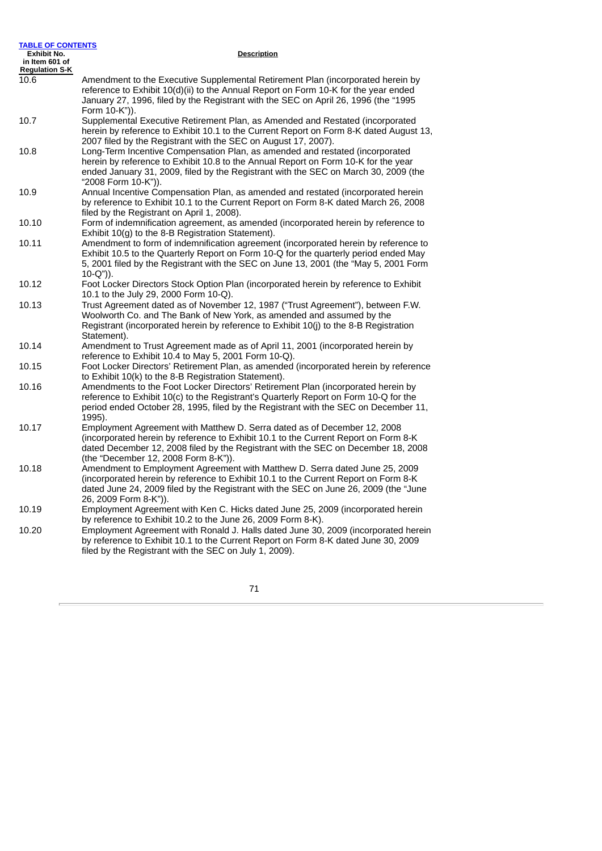| <b>TABLE OF CONTENTS</b> |                                                                                        |  |  |  |  |  |
|--------------------------|----------------------------------------------------------------------------------------|--|--|--|--|--|
| Exhibit No.              | <b>Description</b>                                                                     |  |  |  |  |  |
| in Item 601 of           |                                                                                        |  |  |  |  |  |
| <b>Regulation S-K</b>    |                                                                                        |  |  |  |  |  |
| 10.6                     | Amendment to the Executive Supplemental Retirement Plan (incorporated herein by        |  |  |  |  |  |
|                          | reference to Exhibit 10(d)(ii) to the Annual Report on Form 10-K for the year ended    |  |  |  |  |  |
|                          | January 27, 1996, filed by the Registrant with the SEC on April 26, 1996 (the "1995    |  |  |  |  |  |
|                          | Form 10-K")).                                                                          |  |  |  |  |  |
| 10.7                     | Supplemental Executive Retirement Plan, as Amended and Restated (incorporated          |  |  |  |  |  |
|                          | herein by reference to Exhibit 10.1 to the Current Report on Form 8-K dated August 13, |  |  |  |  |  |
|                          | 2007 filed by the Registrant with the SEC on August 17, 2007).                         |  |  |  |  |  |
| 10.8                     | Long-Term Incentive Compensation Plan, as amended and restated (incorporated           |  |  |  |  |  |
|                          | herein by reference to Exhibit 10.8 to the Annual Report on Form 10-K for the year     |  |  |  |  |  |
|                          | ended January 31, 2009, filed by the Registrant with the SEC on March 30, 2009 (the    |  |  |  |  |  |
|                          | "2008 Form 10-K")).                                                                    |  |  |  |  |  |
|                          |                                                                                        |  |  |  |  |  |
| 10.9                     | Annual Incentive Compensation Plan, as amended and restated (incorporated herein       |  |  |  |  |  |
|                          | by reference to Exhibit 10.1 to the Current Report on Form 8-K dated March 26, 2008    |  |  |  |  |  |
|                          | filed by the Registrant on April 1, 2008).                                             |  |  |  |  |  |
| 10.10                    | Form of indemnification agreement, as amended (incorporated herein by reference to     |  |  |  |  |  |
|                          | Exhibit 10(g) to the 8-B Registration Statement).                                      |  |  |  |  |  |
| 10.11                    | Amendment to form of indemnification agreement (incorporated herein by reference to    |  |  |  |  |  |
|                          | Exhibit 10.5 to the Quarterly Report on Form 10-Q for the quarterly period ended May   |  |  |  |  |  |
|                          | 5, 2001 filed by the Registrant with the SEC on June 13, 2001 (the "May 5, 2001 Form   |  |  |  |  |  |
|                          | 10-Q")).                                                                               |  |  |  |  |  |
| 10.12                    | Foot Locker Directors Stock Option Plan (incorporated herein by reference to Exhibit   |  |  |  |  |  |
|                          | 10.1 to the July 29, 2000 Form 10-Q).                                                  |  |  |  |  |  |
| 10.13                    | Trust Agreement dated as of November 12, 1987 ("Trust Agreement"), between F.W.        |  |  |  |  |  |
|                          | Woolworth Co. and The Bank of New York, as amended and assumed by the                  |  |  |  |  |  |
|                          | Registrant (incorporated herein by reference to Exhibit 10(j) to the 8-B Registration  |  |  |  |  |  |
|                          | Statement).                                                                            |  |  |  |  |  |
| 10.14                    | Amendment to Trust Agreement made as of April 11, 2001 (incorporated herein by         |  |  |  |  |  |
|                          | reference to Exhibit 10.4 to May 5, 2001 Form 10-Q).                                   |  |  |  |  |  |
| 10.15                    | Foot Locker Directors' Retirement Plan, as amended (incorporated herein by reference   |  |  |  |  |  |
|                          | to Exhibit 10(k) to the 8-B Registration Statement).                                   |  |  |  |  |  |
| 10.16                    | Amendments to the Foot Locker Directors' Retirement Plan (incorporated herein by       |  |  |  |  |  |
|                          | reference to Exhibit 10(c) to the Registrant's Quarterly Report on Form 10-Q for the   |  |  |  |  |  |
|                          | period ended October 28, 1995, filed by the Registrant with the SEC on December 11,    |  |  |  |  |  |
|                          | 1995).                                                                                 |  |  |  |  |  |
| 10.17                    | Employment Agreement with Matthew D. Serra dated as of December 12, 2008               |  |  |  |  |  |
|                          | (incorporated herein by reference to Exhibit 10.1 to the Current Report on Form 8-K    |  |  |  |  |  |
|                          | dated December 12, 2008 filed by the Registrant with the SEC on December 18, 2008      |  |  |  |  |  |
|                          | (the "December 12, 2008 Form 8-K")).                                                   |  |  |  |  |  |
| 10.18                    | Amendment to Employment Agreement with Matthew D. Serra dated June 25, 2009            |  |  |  |  |  |
|                          | (incorporated herein by reference to Exhibit 10.1 to the Current Report on Form 8-K    |  |  |  |  |  |
|                          | dated June 24, 2009 filed by the Registrant with the SEC on June 26, 2009 (the "June   |  |  |  |  |  |
|                          | 26, 2009 Form 8-K")).                                                                  |  |  |  |  |  |
|                          |                                                                                        |  |  |  |  |  |
| 10.19                    | Employment Agreement with Ken C. Hicks dated June 25, 2009 (incorporated herein        |  |  |  |  |  |
|                          | by reference to Exhibit 10.2 to the June 26, 2009 Form 8-K).                           |  |  |  |  |  |
| 10.20                    | Employment Agreement with Ronald J. Halls dated June 30, 2009 (incorporated herein     |  |  |  |  |  |
|                          | by reference to Exhibit 10.1 to the Current Report on Form 8-K dated June 30, 2009     |  |  |  |  |  |
|                          | filed by the Registrant with the SEC on July 1, 2009).                                 |  |  |  |  |  |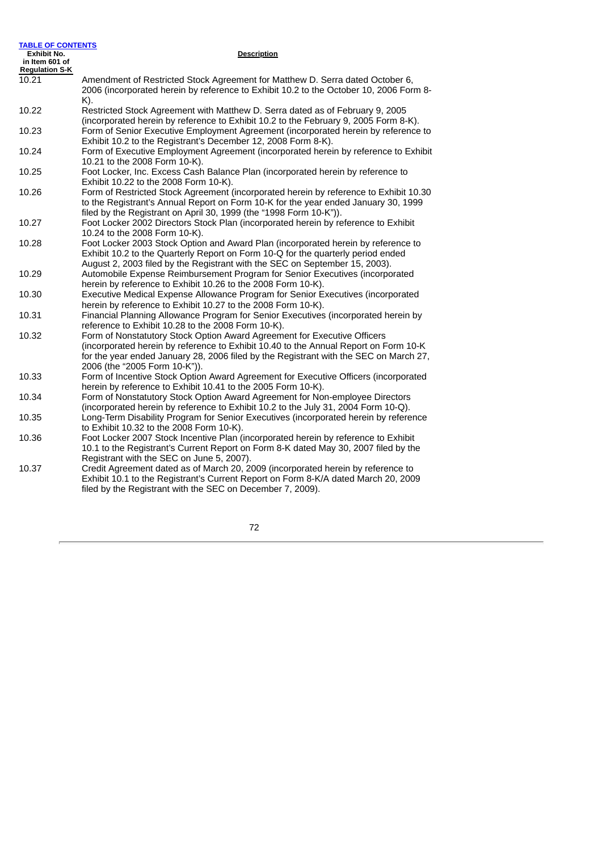| <b>TABLE OF CONTENTS</b><br><b>Exhibit No.</b><br>in Item 601 of<br><b>Regulation S-K</b> | <b>Description</b>                                                                                                                                                                                                                                                                         |  |  |  |  |  |
|-------------------------------------------------------------------------------------------|--------------------------------------------------------------------------------------------------------------------------------------------------------------------------------------------------------------------------------------------------------------------------------------------|--|--|--|--|--|
| 10.21                                                                                     | Amendment of Restricted Stock Agreement for Matthew D. Serra dated October 6,<br>2006 (incorporated herein by reference to Exhibit 10.2 to the October 10, 2006 Form 8-<br>K).                                                                                                             |  |  |  |  |  |
| 10.22                                                                                     | Restricted Stock Agreement with Matthew D. Serra dated as of February 9, 2005<br>(incorporated herein by reference to Exhibit 10.2 to the February 9, 2005 Form 8-K).                                                                                                                      |  |  |  |  |  |
| 10.23                                                                                     | Form of Senior Executive Employment Agreement (incorporated herein by reference to<br>Exhibit 10.2 to the Registrant's December 12, 2008 Form 8-K).                                                                                                                                        |  |  |  |  |  |
| 10.24                                                                                     | Form of Executive Employment Agreement (incorporated herein by reference to Exhibit<br>10.21 to the 2008 Form 10-K).                                                                                                                                                                       |  |  |  |  |  |
| 10.25                                                                                     | Foot Locker, Inc. Excess Cash Balance Plan (incorporated herein by reference to<br>Exhibit 10.22 to the 2008 Form 10-K).                                                                                                                                                                   |  |  |  |  |  |
| 10.26                                                                                     | Form of Restricted Stock Agreement (incorporated herein by reference to Exhibit 10.30<br>to the Registrant's Annual Report on Form 10-K for the year ended January 30, 1999<br>filed by the Registrant on April 30, 1999 (the "1998 Form 10-K")).                                          |  |  |  |  |  |
| 10.27                                                                                     | Foot Locker 2002 Directors Stock Plan (incorporated herein by reference to Exhibit<br>10.24 to the 2008 Form 10-K).                                                                                                                                                                        |  |  |  |  |  |
| 10.28                                                                                     | Foot Locker 2003 Stock Option and Award Plan (incorporated herein by reference to<br>Exhibit 10.2 to the Quarterly Report on Form 10-Q for the quarterly period ended<br>August 2, 2003 filed by the Registrant with the SEC on September 15, 2003).                                       |  |  |  |  |  |
| 10.29                                                                                     | Automobile Expense Reimbursement Program for Senior Executives (incorporated<br>herein by reference to Exhibit 10.26 to the 2008 Form 10-K).                                                                                                                                               |  |  |  |  |  |
| 10.30                                                                                     | Executive Medical Expense Allowance Program for Senior Executives (incorporated<br>herein by reference to Exhibit 10.27 to the 2008 Form 10-K).                                                                                                                                            |  |  |  |  |  |
| 10.31                                                                                     | Financial Planning Allowance Program for Senior Executives (incorporated herein by<br>reference to Exhibit 10.28 to the 2008 Form 10-K).                                                                                                                                                   |  |  |  |  |  |
| 10.32                                                                                     | Form of Nonstatutory Stock Option Award Agreement for Executive Officers<br>(incorporated herein by reference to Exhibit 10.40 to the Annual Report on Form 10-K<br>for the year ended January 28, 2006 filed by the Registrant with the SEC on March 27,<br>2006 (the "2005 Form 10-K")). |  |  |  |  |  |
| 10.33                                                                                     | Form of Incentive Stock Option Award Agreement for Executive Officers (incorporated<br>herein by reference to Exhibit 10.41 to the 2005 Form 10-K).                                                                                                                                        |  |  |  |  |  |
| 10.34                                                                                     | Form of Nonstatutory Stock Option Award Agreement for Non-employee Directors<br>(incorporated herein by reference to Exhibit 10.2 to the July 31, 2004 Form 10-Q).                                                                                                                         |  |  |  |  |  |
| 10.35                                                                                     | Long-Term Disability Program for Senior Executives (incorporated herein by reference<br>to Exhibit 10.32 to the 2008 Form 10-K).                                                                                                                                                           |  |  |  |  |  |
| 10.36                                                                                     | Foot Locker 2007 Stock Incentive Plan (incorporated herein by reference to Exhibit<br>10.1 to the Registrant's Current Report on Form 8-K dated May 30, 2007 filed by the<br>Registrant with the SEC on June 5, 2007).                                                                     |  |  |  |  |  |
| 10.37                                                                                     | Credit Agreement dated as of March 20, 2009 (incorporated herein by reference to<br>Exhibit 10.1 to the Registrant's Current Report on Form 8-K/A dated March 20, 2009<br>filed by the Registrant with the SEC on December 7, 2009).                                                       |  |  |  |  |  |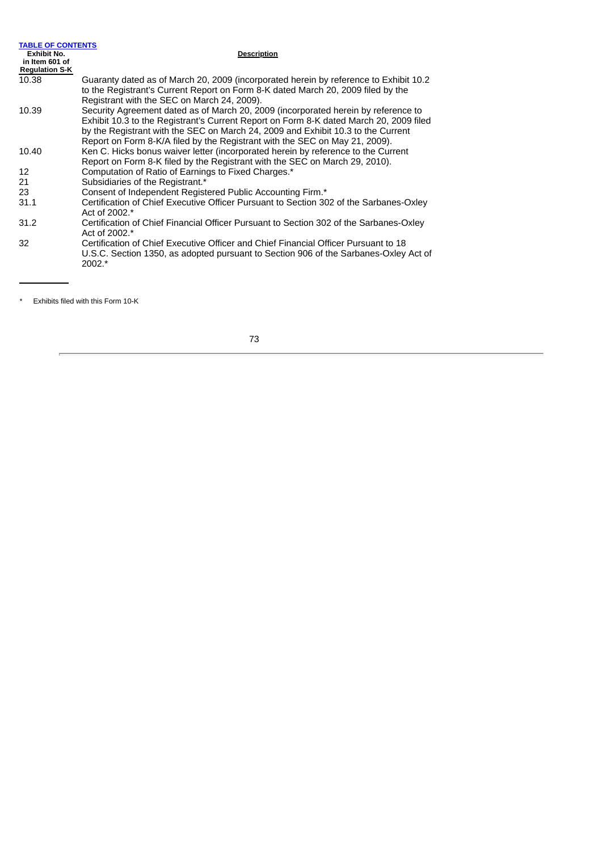| <b>TABLE OF CONTENTS</b> |                                                                                                                                                                                                                                                                                                                                                 |  |  |  |  |  |  |
|--------------------------|-------------------------------------------------------------------------------------------------------------------------------------------------------------------------------------------------------------------------------------------------------------------------------------------------------------------------------------------------|--|--|--|--|--|--|
| Exhibit No.              | <b>Description</b>                                                                                                                                                                                                                                                                                                                              |  |  |  |  |  |  |
| in Item 601 of           |                                                                                                                                                                                                                                                                                                                                                 |  |  |  |  |  |  |
| <b>Regulation S-K</b>    |                                                                                                                                                                                                                                                                                                                                                 |  |  |  |  |  |  |
| 10.38                    | Guaranty dated as of March 20, 2009 (incorporated herein by reference to Exhibit 10.2)<br>to the Registrant's Current Report on Form 8-K dated March 20, 2009 filed by the<br>Registrant with the SEC on March 24, 2009).                                                                                                                       |  |  |  |  |  |  |
| 10.39                    | Security Agreement dated as of March 20, 2009 (incorporated herein by reference to<br>Exhibit 10.3 to the Registrant's Current Report on Form 8-K dated March 20, 2009 filed<br>by the Registrant with the SEC on March 24, 2009 and Exhibit 10.3 to the Current<br>Report on Form 8-K/A filed by the Registrant with the SEC on May 21, 2009). |  |  |  |  |  |  |
| 10.40                    | Ken C. Hicks bonus waiver letter (incorporated herein by reference to the Current<br>Report on Form 8-K filed by the Registrant with the SEC on March 29, 2010).                                                                                                                                                                                |  |  |  |  |  |  |
| 12                       | Computation of Ratio of Earnings to Fixed Charges.*                                                                                                                                                                                                                                                                                             |  |  |  |  |  |  |
| 21                       | Subsidiaries of the Registrant.*                                                                                                                                                                                                                                                                                                                |  |  |  |  |  |  |
| 23                       | Consent of Independent Registered Public Accounting Firm.*                                                                                                                                                                                                                                                                                      |  |  |  |  |  |  |
| 31.1                     | Certification of Chief Executive Officer Pursuant to Section 302 of the Sarbanes-Oxley<br>Act of 2002.*                                                                                                                                                                                                                                         |  |  |  |  |  |  |
| 31.2                     | Certification of Chief Financial Officer Pursuant to Section 302 of the Sarbanes-Oxley<br>Act of 2002.*                                                                                                                                                                                                                                         |  |  |  |  |  |  |
| 32                       | Certification of Chief Executive Officer and Chief Financial Officer Pursuant to 18<br>U.S.C. Section 1350, as adopted pursuant to Section 906 of the Sarbanes-Oxley Act of<br>2002.*                                                                                                                                                           |  |  |  |  |  |  |

\* Exhibits filed with this Form 10-K

J.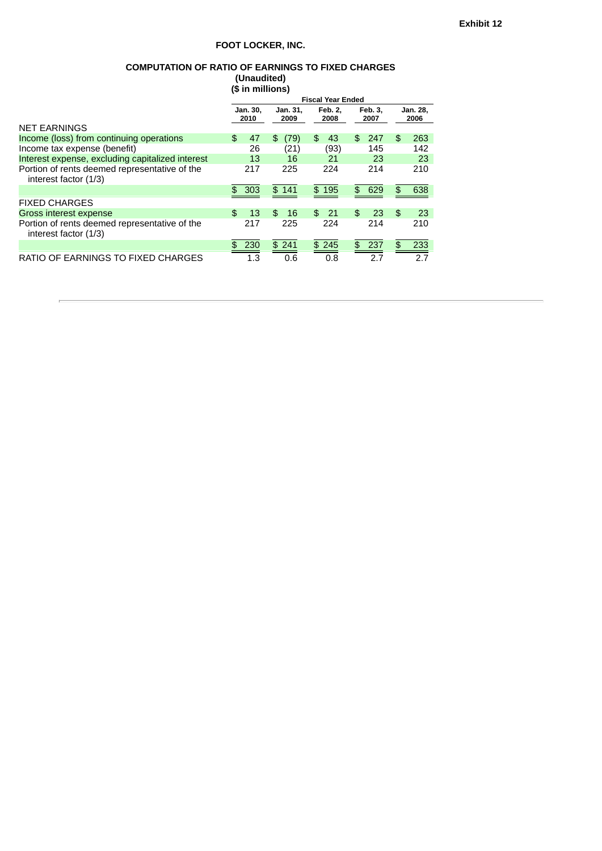# **FOOT LOCKER, INC.**

# **COMPUTATION OF RATIO OF EARNINGS TO FIXED CHARGES**

**(Unaudited) (\$ in millions)**

|                                                                        | <b>Fiscal Year Ended</b> |     |                  |       |                        |       |                        |       |                  |     |
|------------------------------------------------------------------------|--------------------------|-----|------------------|-------|------------------------|-------|------------------------|-------|------------------|-----|
|                                                                        | Jan. 30,<br>2010         |     | Jan. 31,<br>2009 |       | <b>Feb. 2.</b><br>2008 |       | <b>Feb. 3.</b><br>2007 |       | Jan. 28,<br>2006 |     |
| NFT FARNINGS                                                           |                          |     |                  |       |                        |       |                        |       |                  |     |
| Income (loss) from continuing operations                               | \$                       | 47  | \$               | (79)  | \$                     | 43    | \$.                    | 247   | \$               | 263 |
| Income tax expense (benefit)                                           |                          | 26  |                  | (21)  |                        | (93)  |                        | 145   |                  | 142 |
| Interest expense, excluding capitalized interest                       |                          | 13  |                  | 16    |                        | 21    |                        | 23    |                  | 23  |
| Portion of rents deemed representative of the<br>interest factor (1/3) |                          | 217 |                  | 225   |                        | 224   |                        | 214   |                  | 210 |
|                                                                        | \$303                    |     |                  | \$141 |                        | \$195 |                        | \$629 | \$               | 638 |
| <b>FIXED CHARGES</b>                                                   |                          |     |                  |       |                        |       |                        |       |                  |     |
| Gross interest expense                                                 | \$                       | 13  | \$               | 16    | \$.                    | - 21  | \$.                    | 23    | \$               | 23  |
| Portion of rents deemed representative of the<br>interest factor (1/3) |                          | 217 |                  | 225   |                        | 224   |                        | 214   |                  | 210 |
|                                                                        |                          | 230 |                  | \$241 | \$.                    | 245   | \$                     | 237   | \$               | 233 |
| RATIO OF EARNINGS TO FIXED CHARGES                                     |                          | 1.3 |                  | 0.6   |                        | 0.8   |                        | 2.7   |                  | 2.7 |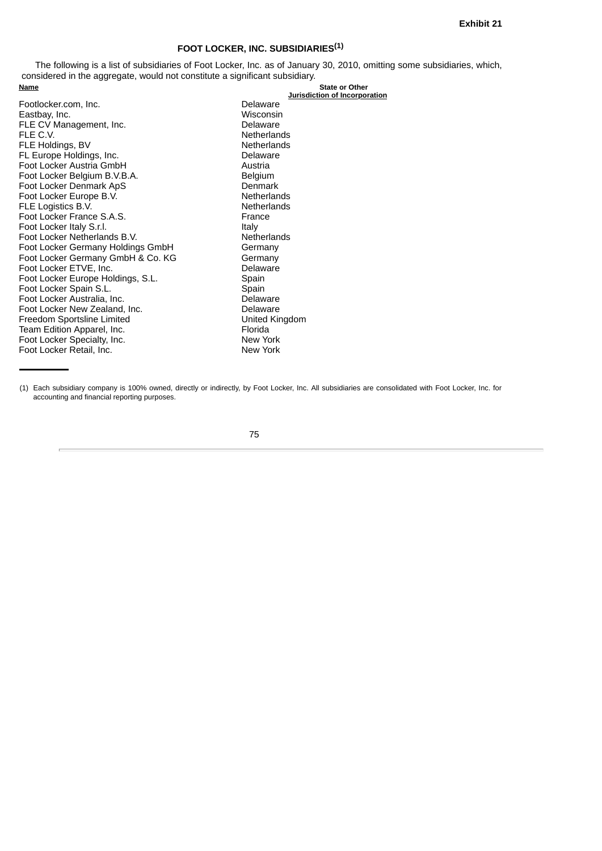## **FOOT LOCKER, INC. SUBSIDIARIES (1)**

The following is a list of subsidiaries of Foot Locker, Inc. as of January 30, 2010, omitting some subsidiaries, which, considered in the aggregate, would not constitute a significant subsidiary. **Name State** or Other

**Jurisdiction of Incorporation**

Footlocker.com, Inc. Communication of the Delaware Delaware Delaware Castbay, Inc. 2012 Eastbay, Inc. FLE CV Management, Inc.<br>
FLE C.V.<br>
Netherlan Netherlands FLE Holdings, BV Netherlands FL Europe Holdings, Inc. Delaware Foot Locker Austria GmbH Austria Foot Locker Belgium B.V.B.A.<br>Foot Locker Denmark ApS<br>Denmark Foot Locker Denmark ApS<br>
Foot Locker Europe B.V.<br>
Netherlands Foot Locker Europe B.V. FLE Logistics B.V.<br>
Foot Locker France S.A.S.<br>
France S.A.S. Foot Locker France S.A.S. France S.A.S.<br>Foot Locker Italy S.r.I. Foot Locker Italy S.r.l. Italy Foot Locker Netherlands B.V.<br>Foot Locker Germany Holdings GmbH 6ermany Foot Locker Germany Holdings GmbH Foot Locker Germany GmbH & Co. KG Germany Foot Locker ETVE, Inc.<br>
Foot Locker Europe Holdings, S.L.<br>
Spain Spain Foot Locker Europe Holdings, S.L. Foot Locker Spain S.L.<br>Foot Locker Australia, Inc. Spain Spain Spain Spain Spain Foot Locker Australia, Inc. Foot Locker New Zealand, Inc. Delaware Freedom Sportsline Limited<br>
Team Edition Apparel. Inc.<br>
Florida Team Edition Apparel, Inc.<br>Foot Locker Specialty, Inc. Florida Rew York Foot Locker Specialty, Inc.<br>
Foot Locker Retail. Inc.<br>
New York Foot Locker Retail, Inc.

(1) Each subsidiary company is 100% owned, directly or indirectly, by Foot Locker, Inc. All subsidiaries are consolidated with Foot Locker, Inc. for accounting and financial reporting purposes.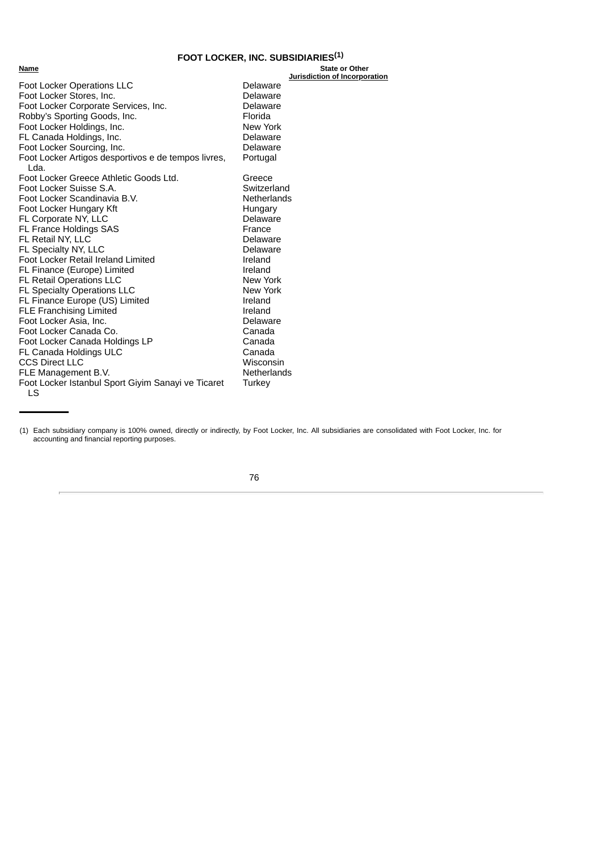## **FOOT LOCKER, INC. SUBSIDIARIES (1)**

| Name                                                        | <b>State or Other</b>                            |
|-------------------------------------------------------------|--------------------------------------------------|
| Foot Locker Operations LLC                                  | <b>Jurisdiction of Incorporation</b><br>Delaware |
| Foot Locker Stores, Inc.                                    | Delaware                                         |
| Foot Locker Corporate Services, Inc.                        | Delaware                                         |
| Robby's Sporting Goods, Inc.                                | Florida                                          |
| Foot Locker Holdings, Inc.                                  | New York                                         |
| FL Canada Holdings, Inc.                                    | Delaware                                         |
| Foot Locker Sourcing, Inc.                                  | Delaware                                         |
|                                                             |                                                  |
| Foot Locker Artigos desportivos e de tempos livres,<br>Lda. | Portugal                                         |
| Foot Locker Greece Athletic Goods Ltd.                      | Greece                                           |
| Foot Locker Suisse S.A.                                     | Switzerland                                      |
| Foot Locker Scandinavia B.V.                                | Netherlands                                      |
| Foot Locker Hungary Kft                                     | Hungary                                          |
| FL Corporate NY, LLC                                        | Delaware                                         |
| FL France Holdings SAS                                      | France                                           |
| FL Retail NY, LLC                                           | Delaware                                         |
| FL Specialty NY, LLC                                        | Delaware                                         |
| Foot Locker Retail Ireland Limited                          | Ireland                                          |
| FL Finance (Europe) Limited                                 | Ireland                                          |
| <b>FL Retail Operations LLC</b>                             | New York                                         |
| FL Specialty Operations LLC                                 | New York                                         |
| FL Finance Europe (US) Limited                              | Ireland                                          |
| <b>FLE Franchising Limited</b>                              | Ireland                                          |
| Foot Locker Asia, Inc.                                      | Delaware                                         |
| Foot Locker Canada Co.                                      | Canada                                           |
| Foot Locker Canada Holdings LP                              | Canada                                           |
| FL Canada Holdings ULC                                      | Canada                                           |
| <b>CCS Direct LLC</b>                                       | Wisconsin                                        |
| FLE Management B.V.                                         | <b>Netherlands</b>                               |
| Foot Locker Istanbul Sport Givim Sanayi ve Ticaret          | Turkey                                           |
| I S                                                         |                                                  |

LS

(1) Each subsidiary company is 100% owned, directly or indirectly, by Foot Locker, Inc. All subsidiaries are consolidated with Foot Locker, Inc. for accounting and financial reporting purposes.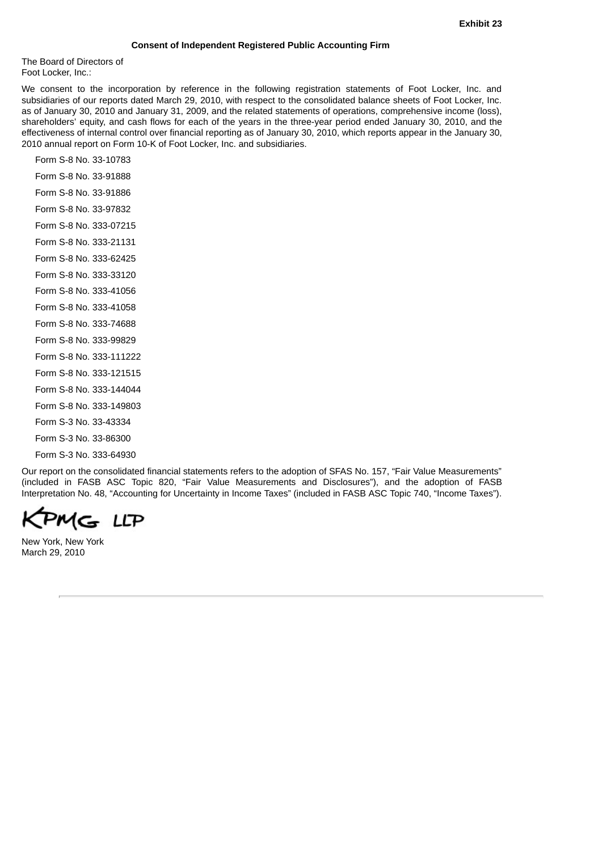The Board of Directors of Foot Locker, Inc.:

We consent to the incorporation by reference in the following registration statements of Foot Locker, Inc. and subsidiaries of our reports dated March 29, 2010, with respect to the consolidated balance sheets of Foot Locker, Inc. as of January 30, 2010 and January 31, 2009, and the related statements of operations, comprehensive income (loss), shareholders' equity, and cash flows for each of the years in the three-year period ended January 30, 2010, and the effectiveness of internal control over financial reporting as of January 30, 2010, which reports appear in the January 30, 2010 annual report on Form 10-K of Foot Locker, Inc. and subsidiaries.

Form S-8 No. 33-10783 Form S-8 No. 33-91888 Form S-8 No. 33-91886 Form S-8 No. 33-97832 Form S-8 No. 333-07215 Form S-8 No. 333-21131 Form S-8 No. 333-62425 Form S-8 No. 333-33120 Form S-8 No. 333-41056 Form S-8 No. 333-41058 Form S-8 No. 333-74688 Form S-8 No. 333-99829 Form S-8 No. 333-111222 Form S-8 No. 333-121515 Form S-8 No. 333-144044 Form S-8 No. 333-149803 Form S-3 No. 33-43334 Form S-3 No. 33-86300 Form S-3 No. 333-64930

Our report on the consolidated financial statements refers to the adoption of SFAS No. 157, "Fair Value Measurements" (included in FASB ASC Topic 820, "Fair Value Measurements and Disclosures"), and the adoption of FASB Interpretation No. 48, "Accounting for Uncertainty in Income Taxes" (included in FASB ASC Topic 740, "Income Taxes").

MC+ LLP

New York, New York March 29, 2010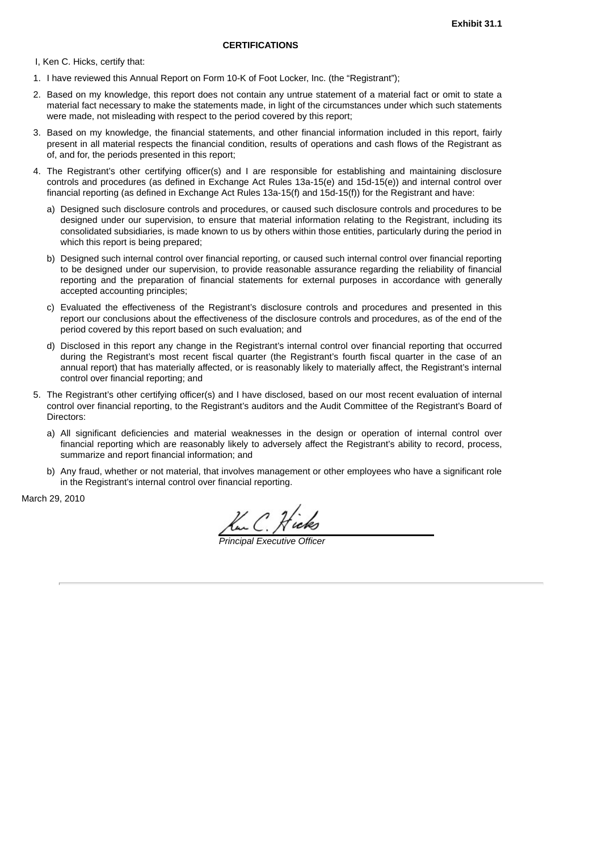### **CERTIFICATIONS**

I, Ken C. Hicks, certify that:

- 1. I have reviewed this Annual Report on Form 10-K of Foot Locker, Inc. (the "Registrant");
- 2. Based on my knowledge, this report does not contain any untrue statement of a material fact or omit to state a material fact necessary to make the statements made, in light of the circumstances under which such statements were made, not misleading with respect to the period covered by this report;
- 3. Based on my knowledge, the financial statements, and other financial information included in this report, fairly present in all material respects the financial condition, results of operations and cash flows of the Registrant as of, and for, the periods presented in this report;
- 4. The Registrant's other certifying officer(s) and I are responsible for establishing and maintaining disclosure controls and procedures (as defined in Exchange Act Rules 13a-15(e) and 15d-15(e)) and internal control over financial reporting (as defined in Exchange Act Rules 13a-15(f) and 15d-15(f)) for the Registrant and have:
	- a) Designed such disclosure controls and procedures, or caused such disclosure controls and procedures to be designed under our supervision, to ensure that material information relating to the Registrant, including its consolidated subsidiaries, is made known to us by others within those entities, particularly during the period in which this report is being prepared;
	- b) Designed such internal control over financial reporting, or caused such internal control over financial reporting to be designed under our supervision, to provide reasonable assurance regarding the reliability of financial reporting and the preparation of financial statements for external purposes in accordance with generally accepted accounting principles;
	- c) Evaluated the effectiveness of the Registrant's disclosure controls and procedures and presented in this report our conclusions about the effectiveness of the disclosure controls and procedures, as of the end of the period covered by this report based on such evaluation; and
	- d) Disclosed in this report any change in the Registrant's internal control over financial reporting that occurred during the Registrant's most recent fiscal quarter (the Registrant's fourth fiscal quarter in the case of an annual report) that has materially affected, or is reasonably likely to materially affect, the Registrant's internal control over financial reporting; and
- 5. The Registrant's other certifying officer(s) and I have disclosed, based on our most recent evaluation of internal control over financial reporting, to the Registrant's auditors and the Audit Committee of the Registrant's Board of Directors:
	- a) All significant deficiencies and material weaknesses in the design or operation of internal control over financial reporting which are reasonably likely to adversely affect the Registrant's ability to record, process, summarize and report financial information; and
	- b) Any fraud, whether or not material, that involves management or other employees who have a significant role in the Registrant's internal control over financial reporting.

March 29, 2010

Kur C. Hicks

*Principal Executive Officer*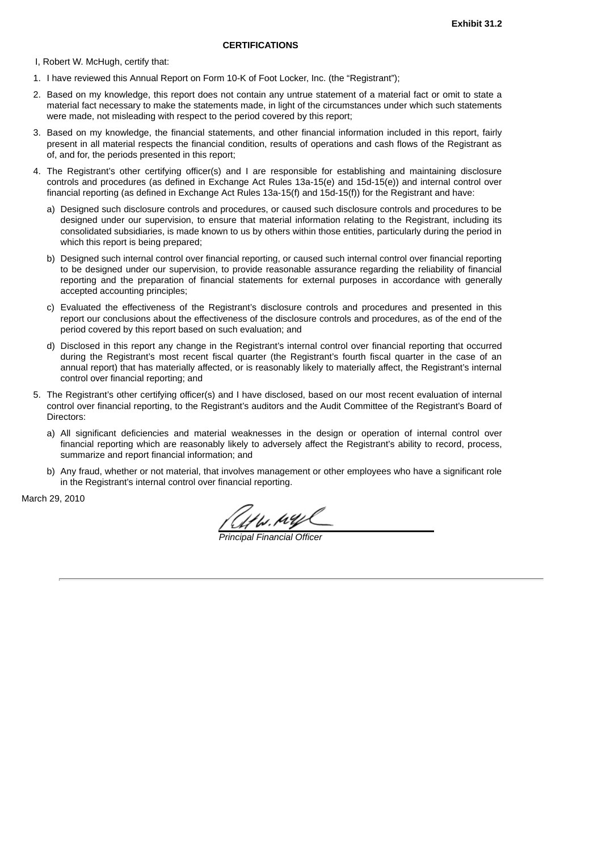#### **CERTIFICATIONS**

I, Robert W. McHugh, certify that:

- 1. I have reviewed this Annual Report on Form 10-K of Foot Locker, Inc. (the "Registrant");
- 2. Based on my knowledge, this report does not contain any untrue statement of a material fact or omit to state a material fact necessary to make the statements made, in light of the circumstances under which such statements were made, not misleading with respect to the period covered by this report;
- 3. Based on my knowledge, the financial statements, and other financial information included in this report, fairly present in all material respects the financial condition, results of operations and cash flows of the Registrant as of, and for, the periods presented in this report;
- 4. The Registrant's other certifying officer(s) and I are responsible for establishing and maintaining disclosure controls and procedures (as defined in Exchange Act Rules 13a-15(e) and 15d-15(e)) and internal control over financial reporting (as defined in Exchange Act Rules 13a-15(f) and 15d-15(f)) for the Registrant and have:
	- a) Designed such disclosure controls and procedures, or caused such disclosure controls and procedures to be designed under our supervision, to ensure that material information relating to the Registrant, including its consolidated subsidiaries, is made known to us by others within those entities, particularly during the period in which this report is being prepared;
	- b) Designed such internal control over financial reporting, or caused such internal control over financial reporting to be designed under our supervision, to provide reasonable assurance regarding the reliability of financial reporting and the preparation of financial statements for external purposes in accordance with generally accepted accounting principles;
	- c) Evaluated the effectiveness of the Registrant's disclosure controls and procedures and presented in this report our conclusions about the effectiveness of the disclosure controls and procedures, as of the end of the period covered by this report based on such evaluation; and
	- d) Disclosed in this report any change in the Registrant's internal control over financial reporting that occurred during the Registrant's most recent fiscal quarter (the Registrant's fourth fiscal quarter in the case of an annual report) that has materially affected, or is reasonably likely to materially affect, the Registrant's internal control over financial reporting; and
- 5. The Registrant's other certifying officer(s) and I have disclosed, based on our most recent evaluation of internal control over financial reporting, to the Registrant's auditors and the Audit Committee of the Registrant's Board of Directors:
	- a) All significant deficiencies and material weaknesses in the design or operation of internal control over financial reporting which are reasonably likely to adversely affect the Registrant's ability to record, process, summarize and report financial information; and
	- b) Any fraud, whether or not material, that involves management or other employees who have a significant role in the Registrant's internal control over financial reporting.

March 29, 2010

U 11. µY

*Principal Financial Officer*